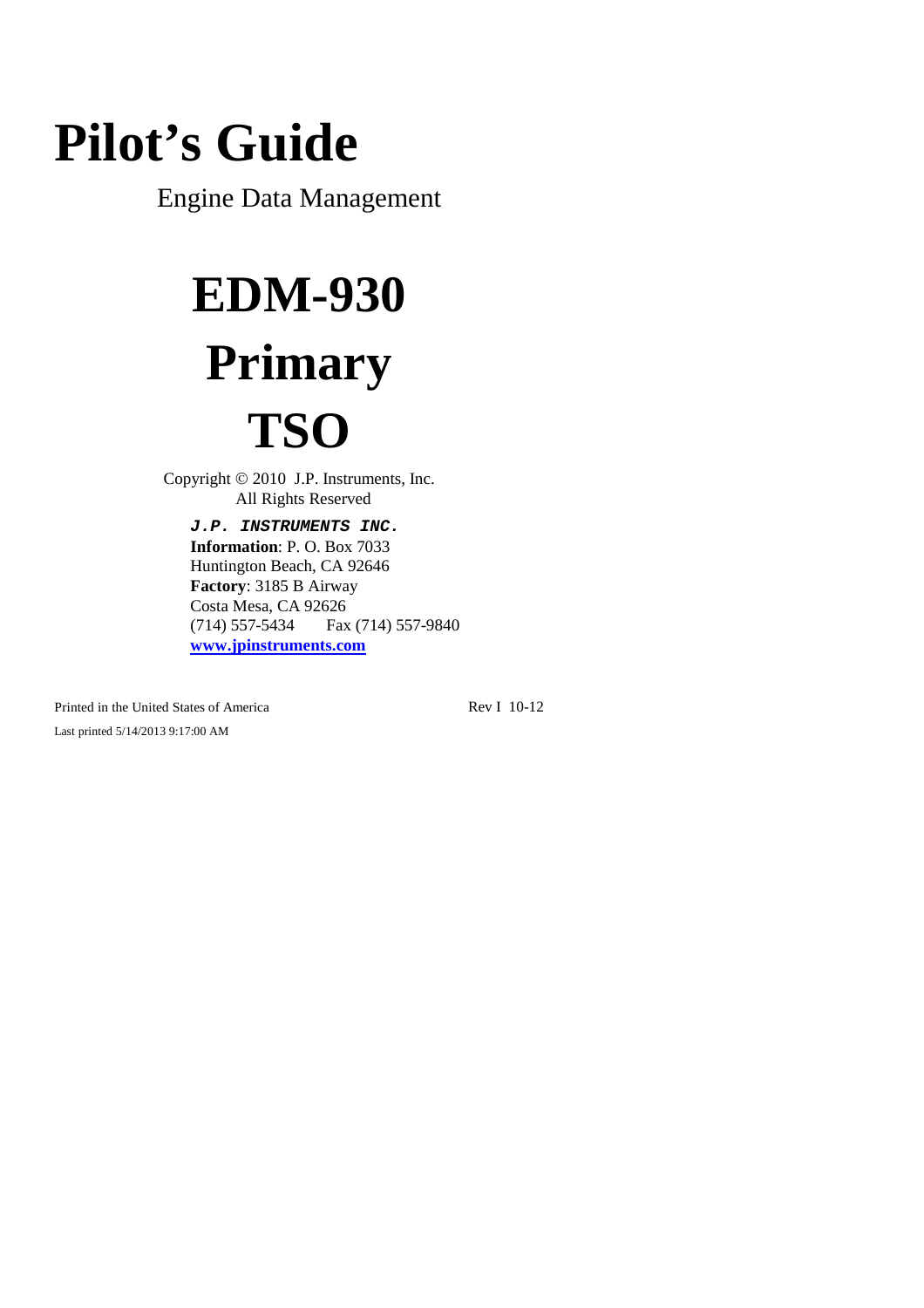# **Pilot's Guide**

Engine Data Management

# **EDM-930 Primary TSO**

Copyright  $© 2010$  J.P. Instruments, Inc. All Rights Reserved

*J.P. INSTRUMENTS INC.* **Information**: P. O. Box 7033 Huntington Beach, CA 92646 **Factory**: 3185 B Airway Costa Mesa, CA 92626 (714) 557-5434 Fax (714) 557-9840 **www.jpinstruments.com**

Printed in the United States of America Rev I 10-12 Last printed 5/14/2013 9:17:00 AM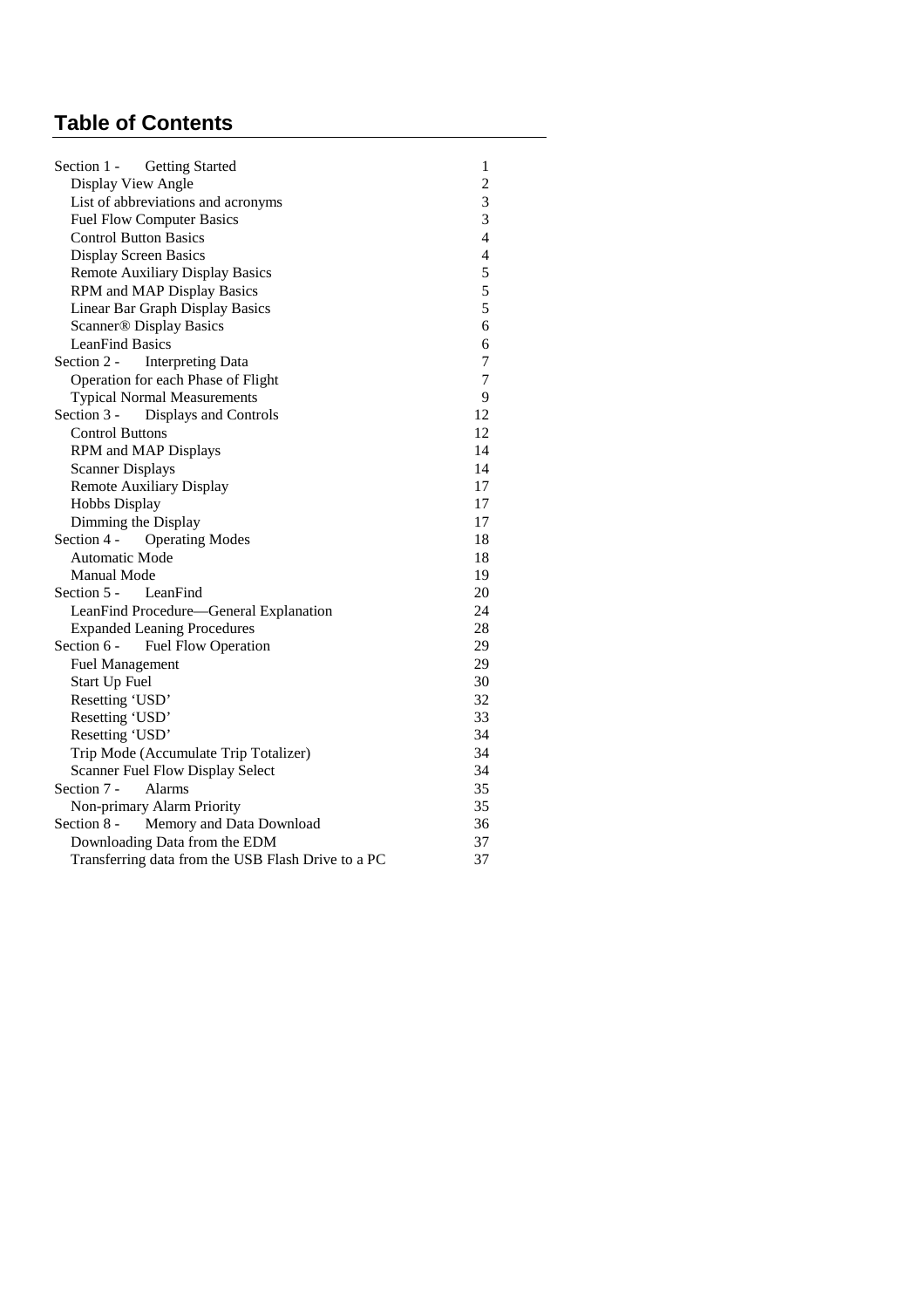# **Table of Contents**

| Section 1 - Getting Started                        | 1              |
|----------------------------------------------------|----------------|
| Display View Angle                                 | $\overline{c}$ |
| List of abbreviations and acronyms                 | 3              |
| <b>Fuel Flow Computer Basics</b>                   | 3              |
| <b>Control Button Basics</b>                       | 4              |
| <b>Display Screen Basics</b>                       | $\overline{4}$ |
| <b>Remote Auxiliary Display Basics</b>             | 5              |
| RPM and MAP Display Basics                         | 5              |
| Linear Bar Graph Display Basics                    | 5              |
| <b>Scanner® Display Basics</b>                     | 6              |
| <b>LeanFind Basics</b>                             | 6              |
| Section 2 -<br><b>Interpreting Data</b>            | $\tau$         |
| Operation for each Phase of Flight                 | $\tau$         |
| <b>Typical Normal Measurements</b>                 | 9              |
| Section 3 -<br>Displays and Controls               | 12             |
| <b>Control Buttons</b>                             | 12             |
| RPM and MAP Displays                               | 14             |
| <b>Scanner Displays</b>                            | 14             |
| <b>Remote Auxiliary Display</b>                    | 17             |
| Hobbs Display                                      | 17             |
| Dimming the Display                                | 17             |
| Section 4 -<br><b>Operating Modes</b>              | 18             |
| Automatic Mode                                     | 18             |
| Manual Mode                                        | 19             |
| Section 5 -<br>LeanFind                            | 20             |
| LeanFind Procedure—General Explanation             | 24             |
| <b>Expanded Leaning Procedures</b>                 | 28             |
| Section 6 -<br><b>Fuel Flow Operation</b>          | 29             |
| <b>Fuel Management</b>                             | 29             |
| Start Up Fuel                                      | 30             |
| Resetting 'USD'                                    | 32             |
| Resetting 'USD'                                    | 33             |
| Resetting 'USD'                                    | 34             |
| Trip Mode (Accumulate Trip Totalizer)              | 34             |
| Scanner Fuel Flow Display Select                   | 34             |
| Section 7 -<br>Alarms                              | 35             |
| Non-primary Alarm Priority                         | 35             |
| Section 8 -<br>Memory and Data Download            | 36             |
| Downloading Data from the EDM                      | 37             |
| Transferring data from the USB Flash Drive to a PC | 37             |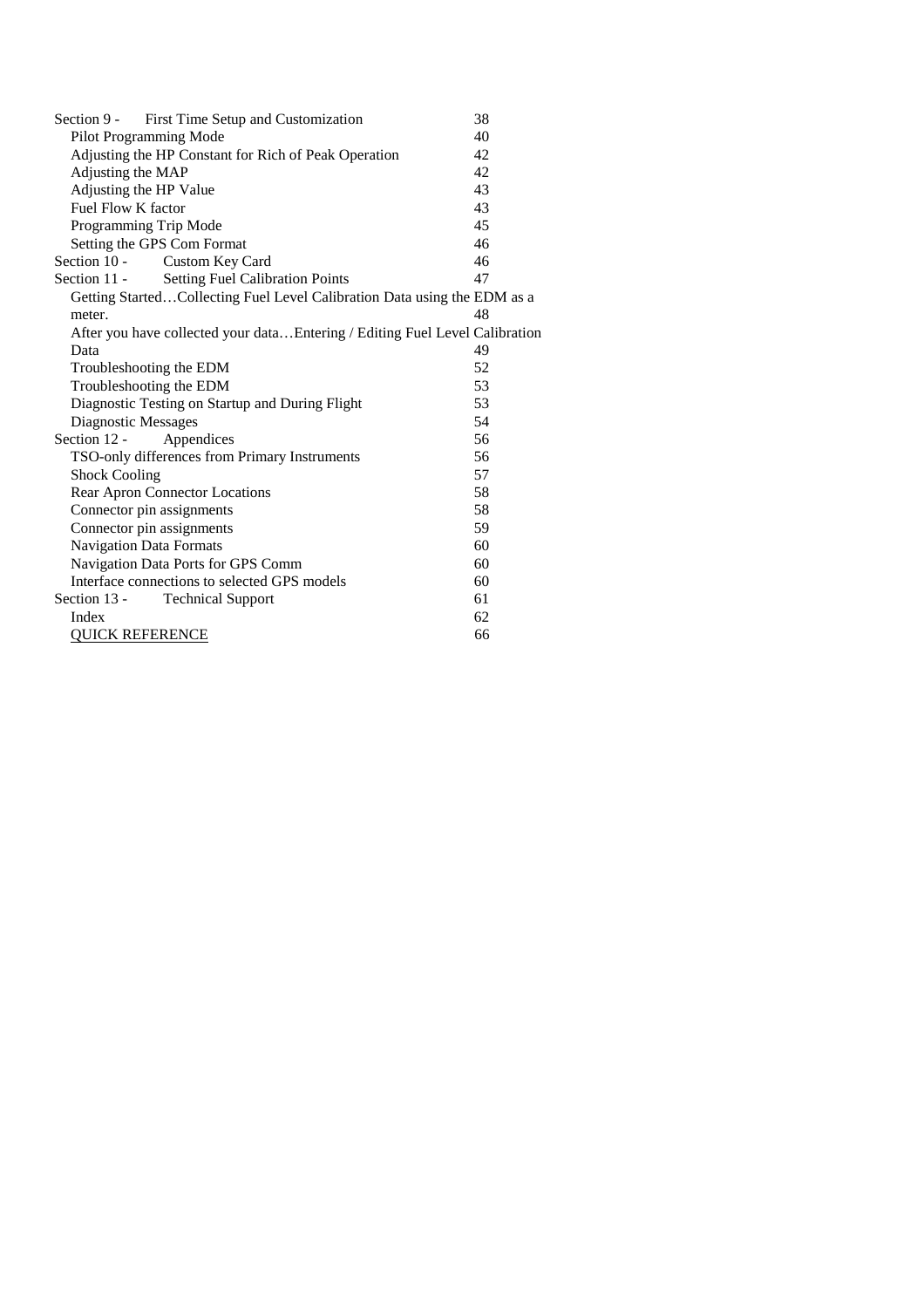| First Time Setup and Customization<br>Section 9 -                            | 38 |  |  |
|------------------------------------------------------------------------------|----|--|--|
| Pilot Programming Mode                                                       | 40 |  |  |
| Adjusting the HP Constant for Rich of Peak Operation<br>42                   |    |  |  |
| Adjusting the MAP                                                            | 42 |  |  |
| Adjusting the HP Value                                                       | 43 |  |  |
| Fuel Flow K factor                                                           | 43 |  |  |
| Programming Trip Mode                                                        | 45 |  |  |
| Setting the GPS Com Format                                                   | 46 |  |  |
| Section 10 -<br>Custom Key Card                                              | 46 |  |  |
| <b>Setting Fuel Calibration Points</b><br>Section 11 -                       | 47 |  |  |
| Getting StartedCollecting Fuel Level Calibration Data using the EDM as a     |    |  |  |
| meter.                                                                       | 48 |  |  |
| After you have collected your data Entering / Editing Fuel Level Calibration |    |  |  |
| Data                                                                         | 49 |  |  |
| Troubleshooting the EDM                                                      | 52 |  |  |
| Troubleshooting the EDM<br>53                                                |    |  |  |
| Diagnostic Testing on Startup and During Flight<br>53                        |    |  |  |
| Diagnostic Messages<br>54                                                    |    |  |  |
| Section 12 -<br>Appendices                                                   | 56 |  |  |
| TSO-only differences from Primary Instruments                                | 56 |  |  |
| <b>Shock Cooling</b>                                                         | 57 |  |  |
| Rear Apron Connector Locations                                               | 58 |  |  |
| Connector pin assignments                                                    | 58 |  |  |
| Connector pin assignments                                                    | 59 |  |  |
| Navigation Data Formats                                                      | 60 |  |  |
| Navigation Data Ports for GPS Comm                                           | 60 |  |  |
| Interface connections to selected GPS models<br>60                           |    |  |  |
| Section 13 -<br>61<br><b>Technical Support</b>                               |    |  |  |
| Index<br>62                                                                  |    |  |  |
| <b>QUICK REFERENCE</b><br>66                                                 |    |  |  |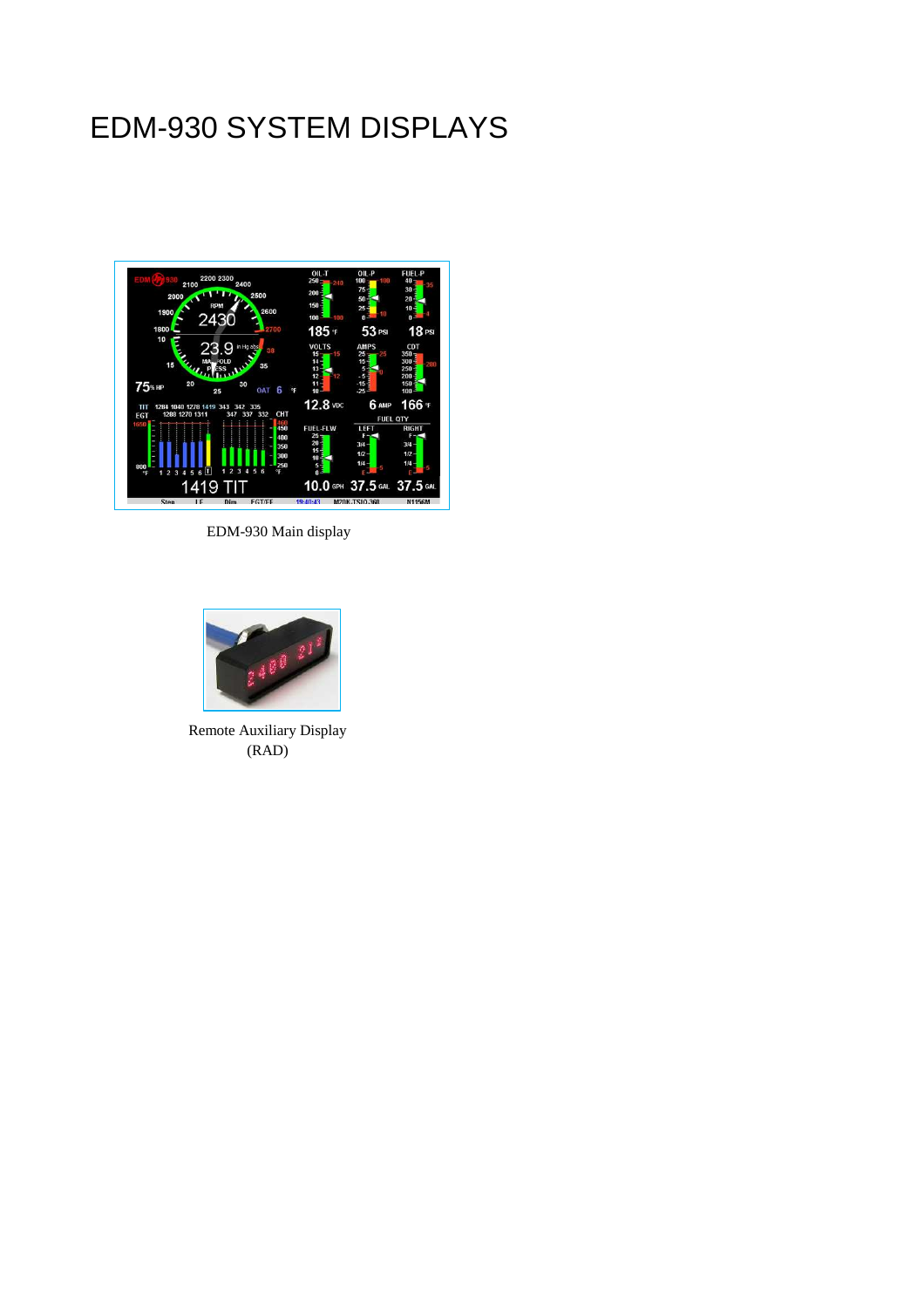# EDM-930 SYSTEM DISPLAYS



EDM-930 Main display



Remote Auxiliary Display (RAD)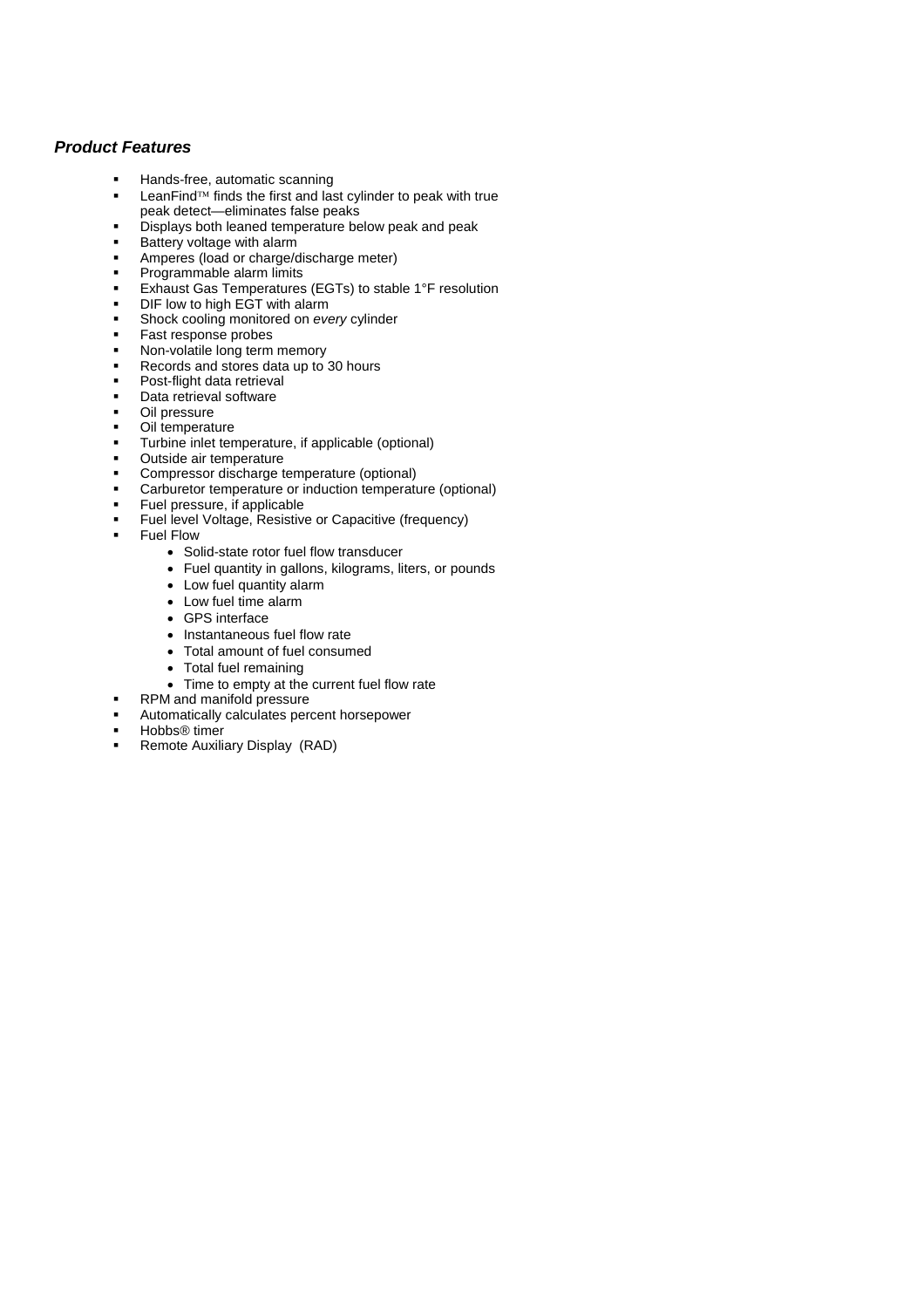#### *Product Features*

- Hands-free, automatic scanning
- **LeanFind<sup>TM</sup>** finds the first and last cylinder to peak with true peak detect—eliminates false peaks
- Displays both leaned temperature below peak and peak
- Battery voltage with alarm
- Amperes (load or charge/discharge meter)
- Programmable alarm limits
- Exhaust Gas Temperatures (EGTs) to stable 1°F resolution
- DIF low to high EGT with alarm
- Shock cooling monitored on *every* cylinder
- Fast response probes
- Non-volatile long term memory
- Records and stores data up to 30 hours
- **Post-flight data retrieval**
- Data retrieval software
- Oil pressure
- Oil temperature
- Turbine inlet temperature, if applicable (optional)
- Outside air temperature
- Compressor discharge temperature (optional)
- Carburetor temperature or induction temperature (optional)
- Fuel pressure, if applicable
- Fuel level Voltage, Resistive or Capacitive (frequency)
- Fuel Flow
	- Solid-state rotor fuel flow transducer
	- Fuel quantity in gallons, kilograms, liters, or pounds
	- Low fuel quantity alarm
	- Low fuel time alarm
	- GPS interface
	- Instantaneous fuel flow rate
	- Total amount of fuel consumed
	- Total fuel remaining
	- Time to empty at the current fuel flow rate
	- RPM and manifold pressure
- Automatically calculates percent horsepower
- Hobbs® timer
- Remote Auxiliary Display (RAD)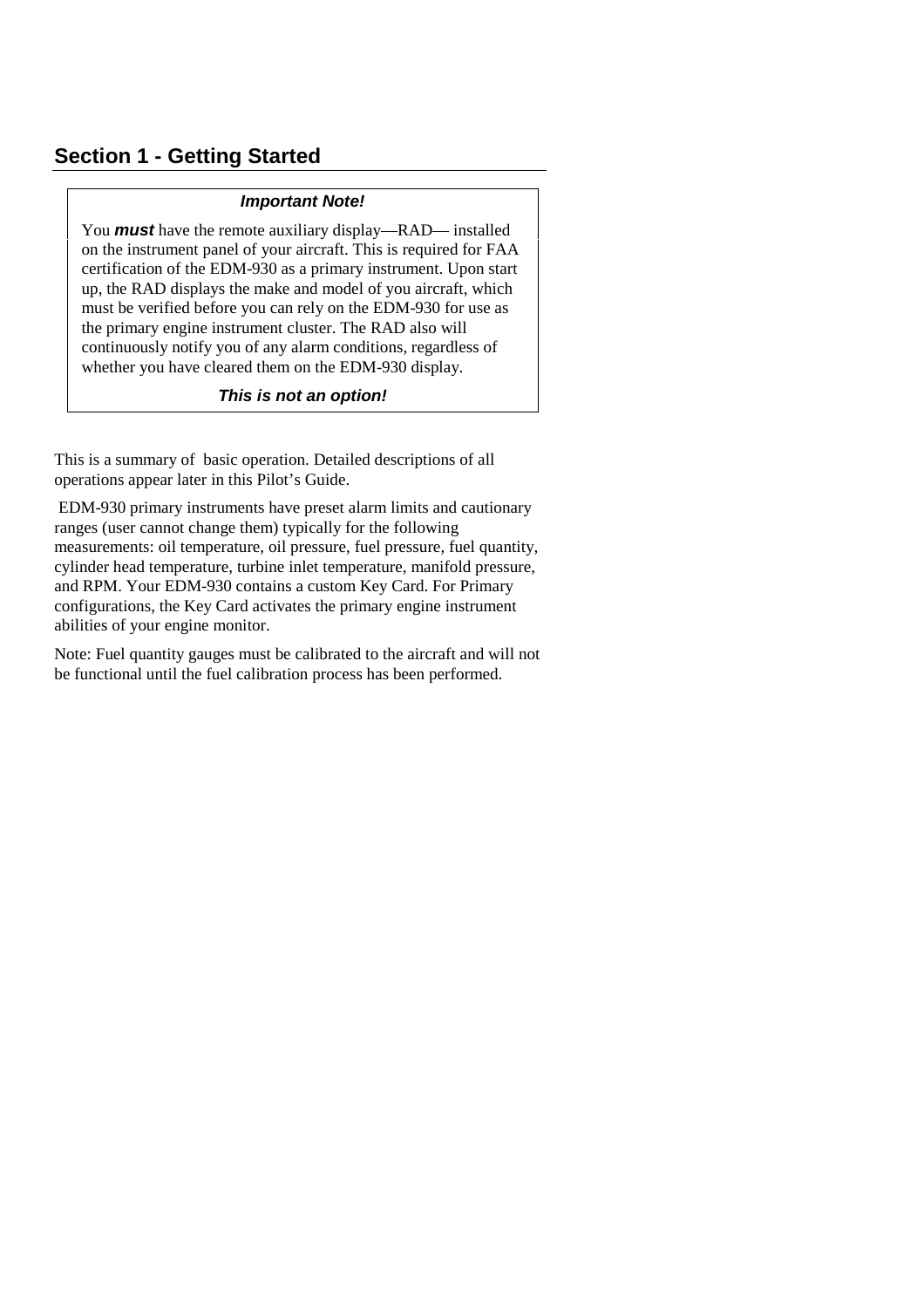#### **Section 1 - Getting Started**

#### *Important Note!*

You *must* have the remote auxiliary display—RAD— installed on the instrument panel of your aircraft. This is required for FAA certification of the EDM-930 as a primary instrument. Upon start up, the RAD displays the make and model of you aircraft, which must be verified before you can rely on the EDM-930 for use as the primary engine instrument cluster. The RAD also will continuously notify you of any alarm conditions, regardless of whether you have cleared them on the EDM-930 display.

#### *This is not an option!*

This is a summary of basic operation. Detailed descriptions of all operations appear later in this Pilot's Guide.

EDM-930 primary instruments have preset alarm limits and cautionary ranges (user cannot change them) typically for the following measurements: oil temperature, oil pressure, fuel pressure, fuel quantity, cylinder head temperature, turbine inlet temperature, manifold pressure, and RPM. Your EDM-930 contains a custom Key Card. For Primary configurations, the Key Card activates the primary engine instrument abilities of your engine monitor.

Note: Fuel quantity gauges must be calibrated to the aircraft and will not be functional until the fuel calibration process has been performed.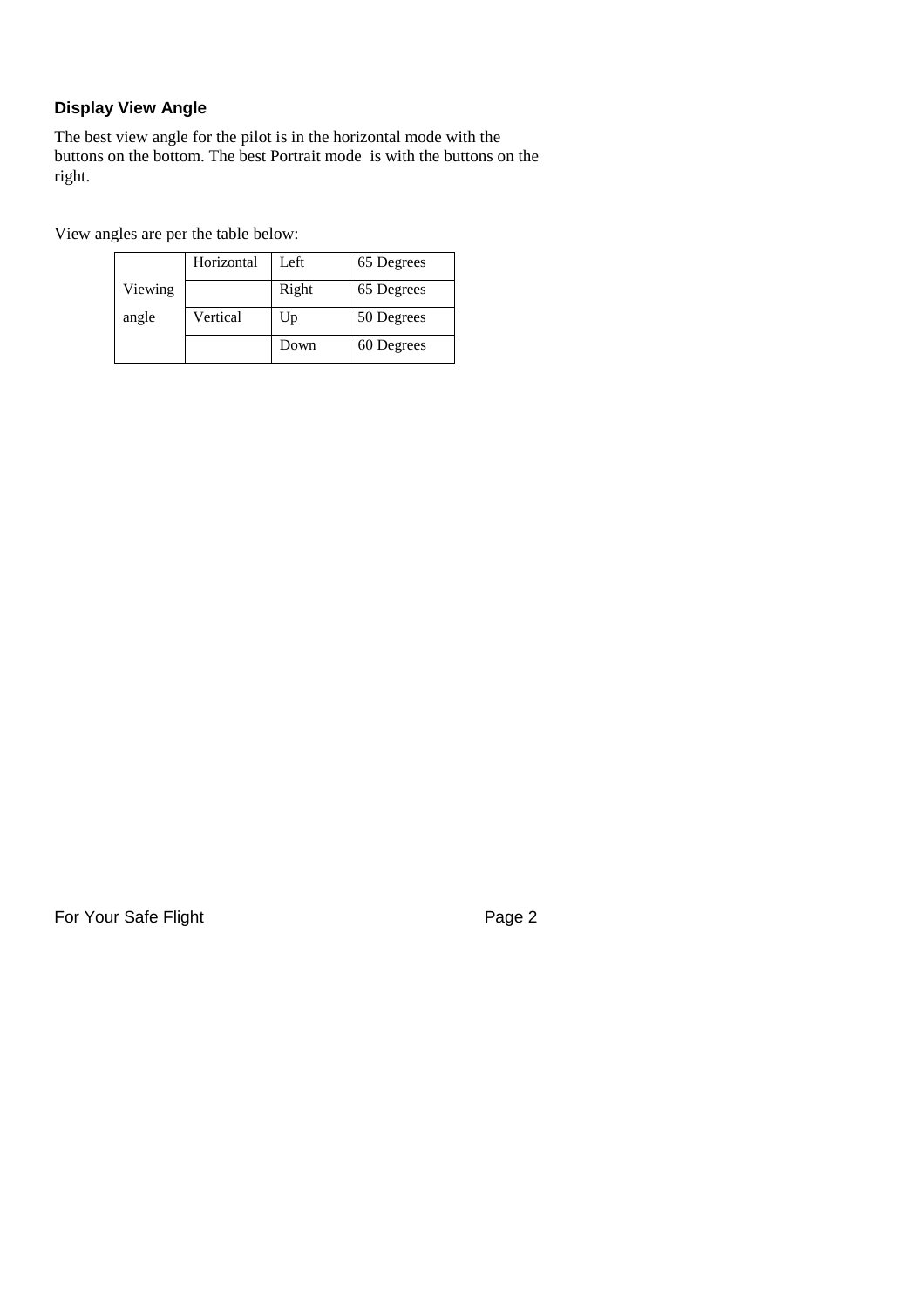#### **Display View Angle**

The best view angle for the pilot is in the horizontal mode with the buttons on the bottom. The best Portrait mode is with the buttons on the right.

View angles are per the table below:

|         | Horizontal | Left  | 65 Degrees |
|---------|------------|-------|------------|
| Viewing |            | Right | 65 Degrees |
| angle   | Vertical   | Up    | 50 Degrees |
|         |            | Down  | 60 Degrees |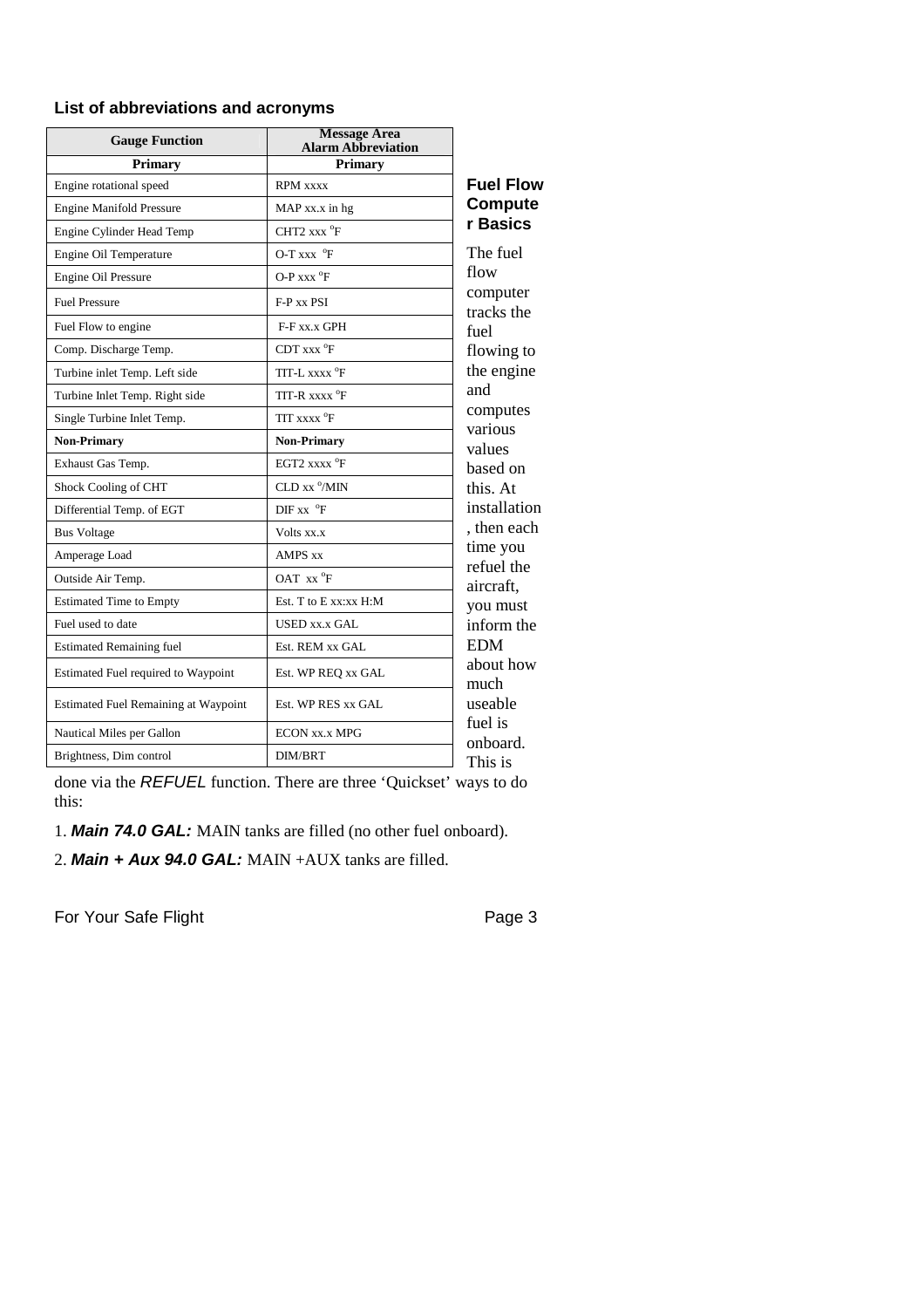#### **List of abbreviations and acronyms**

| <b>Gauge Function</b>                | <b>Message Area</b><br><b>Alarm Abbreviation</b> |                        |
|--------------------------------------|--------------------------------------------------|------------------------|
| <b>Primary</b>                       | <b>Primary</b>                                   |                        |
| Engine rotational speed              | <b>RPM</b> xxxx                                  | <b>Fuel Flow</b>       |
| <b>Engine Manifold Pressure</b>      | MAP xx.x in hg                                   | <b>Compute</b>         |
| Engine Cylinder Head Temp            | $CHT2$ xxx $^{\circ}F$                           | r Basics               |
| Engine Oil Temperature               | O-T xxx $\mathrm{^{\circ}F}$                     | The fuel               |
| Engine Oil Pressure                  | $O-P$ xxx $^{\circ}$ F                           | flow                   |
| <b>Fuel Pressure</b>                 | F-P xx PSI                                       | computer<br>tracks the |
| Fuel Flow to engine                  | F-F xx.x GPH                                     | fuel                   |
| Comp. Discharge Temp.                | $CDT$ xxx $^{\circ}$ F                           | flowing to             |
| Turbine inlet Temp. Left side        | TIT-L xxxx <sup>o</sup> F                        | the engine             |
| Turbine Inlet Temp. Right side       | TIT-R xxxx °F                                    | and                    |
| Single Turbine Inlet Temp.           | TIT XXXX <sup>o</sup> F                          | computes<br>various    |
| <b>Non-Primary</b>                   | <b>Non-Primary</b>                               | values                 |
| Exhaust Gas Temp.                    | EGT2 $xxx^{\circ}F$                              | based on               |
| Shock Cooling of CHT                 | CLD xx <sup>o</sup> /MIN                         | this. At               |
| Differential Temp. of EGT            | $DIF$ xx $^{\circ}F$                             | installation           |
| <b>Bus Voltage</b>                   | Volts xx.x                                       | , then each            |
| Amperage Load                        | <b>AMPS xx</b>                                   | time you<br>refuel the |
| Outside Air Temp.                    | OAT xx °F                                        | aircraft,              |
| <b>Estimated Time to Empty</b>       | Est. T to E xx:xx H:M                            | you must               |
| Fuel used to date                    | USED xx.x GAL                                    | inform the             |
| <b>Estimated Remaining fuel</b>      | Est. REM xx GAL                                  | <b>EDM</b>             |
| Estimated Fuel required to Waypoint  | Est. WP REQ xx GAL                               | about how<br>much      |
| Estimated Fuel Remaining at Waypoint | Est. WP RES xx GAL                               | useable                |
| Nautical Miles per Gallon            | <b>ECON XX.X MPG</b>                             | fuel is<br>onboard.    |
| Brightness, Dim control              | <b>DIM/BRT</b>                                   | This is                |

done via the *REFUEL* function. There are three 'Quickset' ways to do this:

1. *Main 74.0 GAL:* MAIN tanks are filled (no other fuel onboard).

2. *Main + Aux 94.0 GAL:* MAIN +AUX tanks are filled.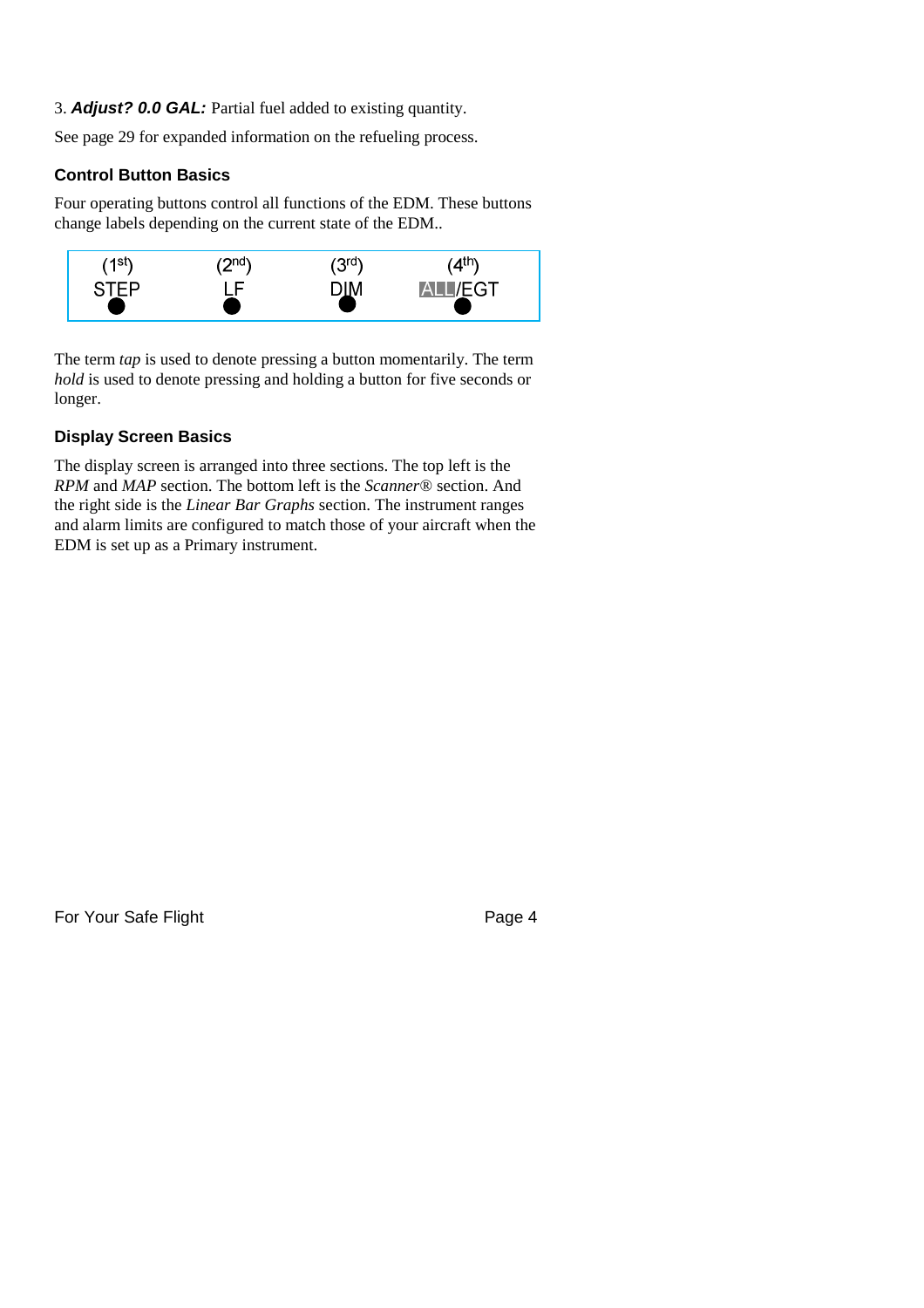3. *Adjust? 0.0 GAL:* Partial fuel added to existing quantity.

See page 29 for expanded information on the refueling process.

#### **Control Button Basics**

Four operating buttons control all functions of the EDM. These buttons change labels depending on the current state of the EDM..



The term *tap* is used to denote pressing a button momentarily. The term *hold* is used to denote pressing and holding a button for five seconds or longer.

#### **Display Screen Basics**

The display screen is arranged into three sections. The top left is the *RPM* and *MAP* section. The bottom left is the *Scanner®* section. And the right side is the *Linear Bar Graphs* section. The instrument ranges and alarm limits are configured to match those of your aircraft when the EDM is set up as a Primary instrument.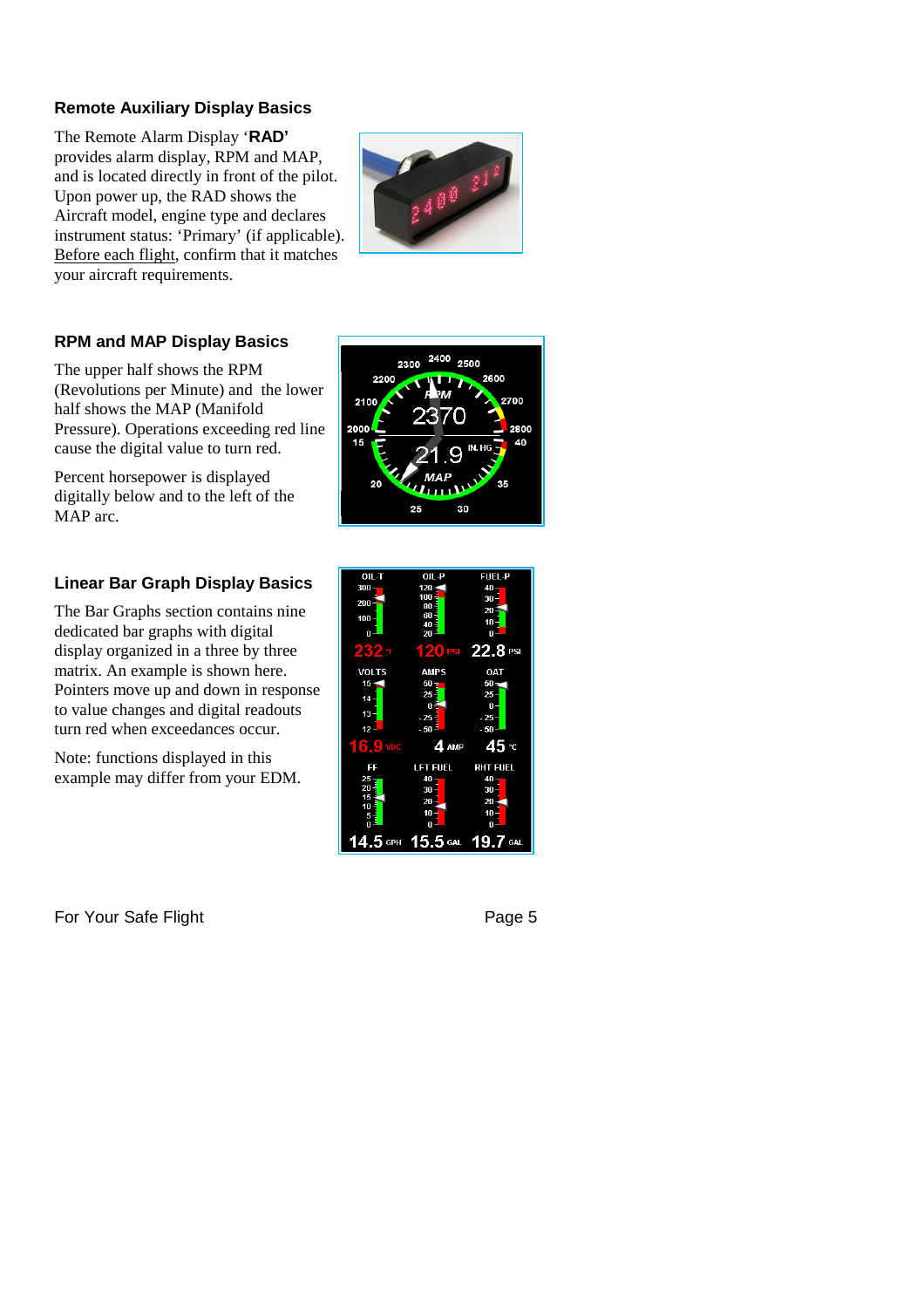#### **Remote Auxiliary Display Basics**

The Remote Alarm Display '**RAD'** provides alarm display, RPM and MAP, and is located directly in front of the pilot. Upon power up, the RAD shows the Aircraft model, engine type and declares instrument status: 'Primary' (if applicable). Before each flight, confirm that it matches your aircraft requirements.



2400 2500

30

2600

2300 2200

25

2100 2000 45

#### **RPM and MAP Display Basics**

The upper half shows the RPM (Revolutions per Minute) and the lower half shows the MAP (Manifold Pressure). Operations exceeding red line cause the digital value to turn red.

Percent horsepower is displayed digitally below and to the left of the MAP arc.

#### **Linear Bar Graph Display Basics**

The Bar Graphs section contains nine dedicated bar graphs with digital display organized in a three by three matrix. An example is shown here. Pointers move up and down in response to value changes and digital readouts turn red when exceedances occur.

Note: functions displayed in this example may differ from your EDM.

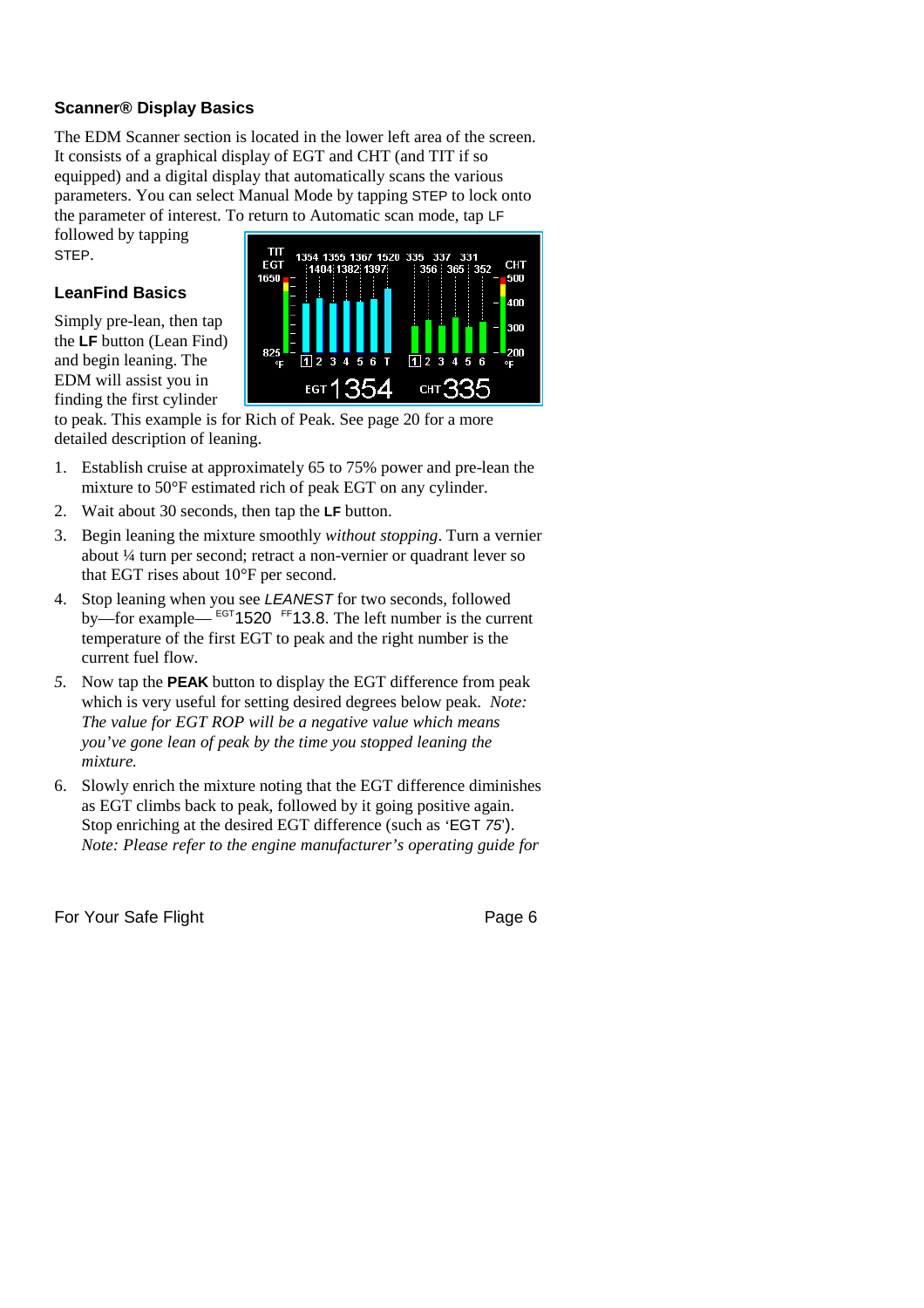#### **Scanner® Display Basics**

The EDM Scanner section is located in the lower left area of the screen. It consists of a graphical display of EGT and CHT (and TIT if so equipped) and a digital display that automatically scans the various parameters. You can select Manual Mode by tapping STEP to lock onto the parameter of interest. To return to Automatic scan mode, tap LF

followed by tapping STEP.

#### **LeanFind Basics**

Simply pre-lean, then tap the **LF** button (Lean Find) and begin leaning. The EDM will assist you in finding the first cylinder



to peak. This example is for Rich of Peak. See page 20 for a more detailed description of leaning.

- 1. Establish cruise at approximately 65 to 75% power and pre-lean the mixture to 50°F estimated rich of peak EGT on any cylinder.
- 2. Wait about 30 seconds, then tap the **LF** button.
- 3. Begin leaning the mixture smoothly *without stopping*. Turn a vernier about ¼ turn per second; retract a non-vernier or quadrant lever so that EGT rises about 10°F per second.
- 4. Stop leaning when you see *LEANEST* for two seconds, followed by—for example— <sup>EGT</sup>1520 <sup>FF</sup>13.8. The left number is the current temperature of the first EGT to peak and the right number is the current fuel flow.
- *5.* Now tap the **PEAK** button to display the EGT difference from peak which is very useful for setting desired degrees below peak. *Note: The value for EGT ROP will be a negative value which means you've gone lean of peak by the time you stopped leaning the mixture.*
- 6. Slowly enrich the mixture noting that the EGT difference diminishes as EGT climbs back to peak, followed by it going positive again. Stop enriching at the desired EGT difference (such as 'EGT *75*'). *Note: Please refer to the engine manufacturer's operating guide for*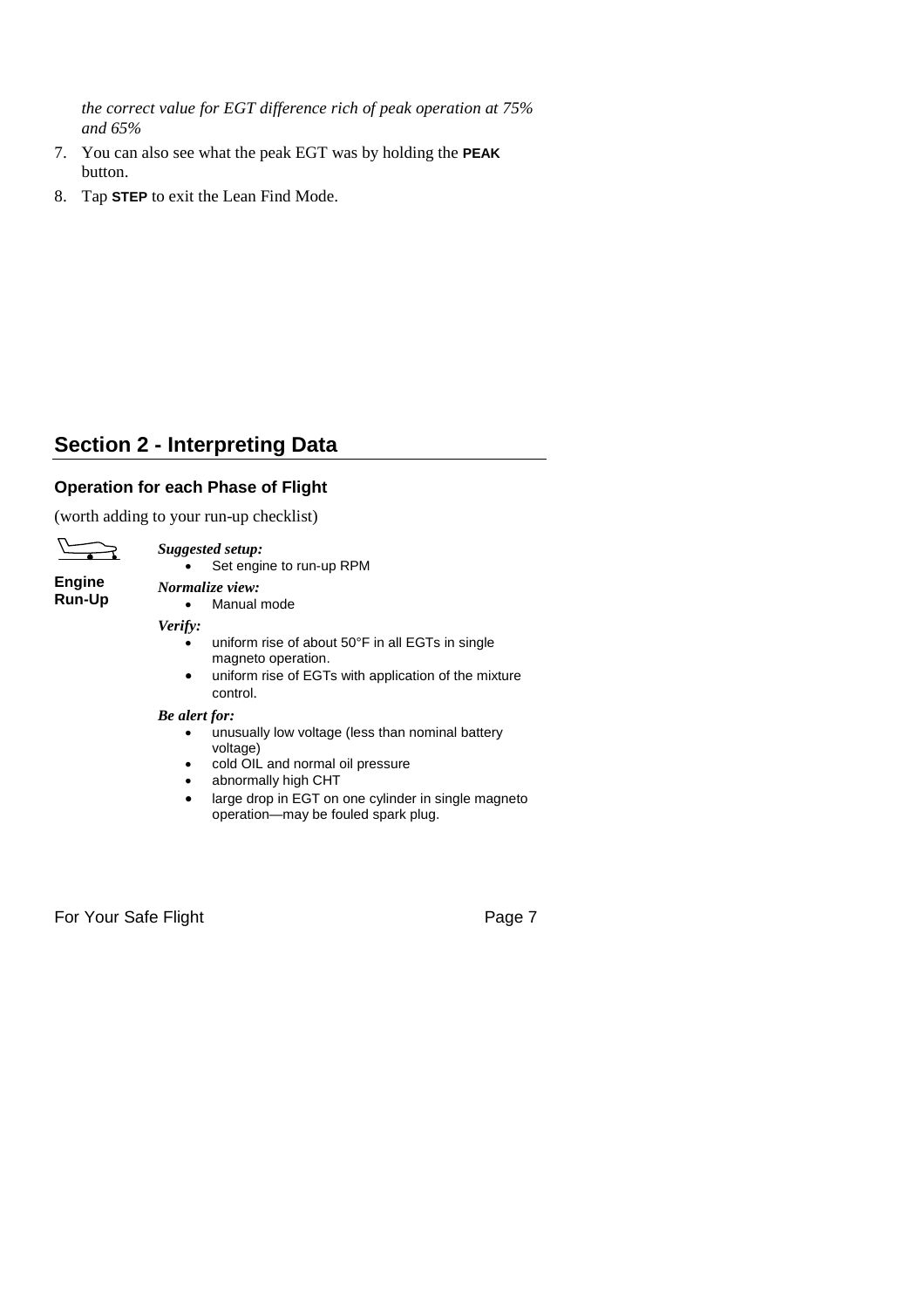*the correct value for EGT difference rich of peak operation at 75% and 65%*

- 7. You can also see what the peak EGT was by holding the **PEAK** button.
- 8. Tap **STEP** to exit the Lean Find Mode.

### **Section 2 - Interpreting Data**

#### **Operation for each Phase of Flight**

(worth adding to your run-up checklist)



*Suggested setup:* Set engine to run-up RPM

**Engine Run-Up**

*Normalize view:* Manual mode

*Verify:*

- uniform rise of about 50°F in all EGTs in single magneto operation.
- uniform rise of EGTs with application of the mixture control.

#### *Be alert for:*

- unusually low voltage (less than nominal battery voltage)
- cold OIL and normal oil pressure
- abnormally high CHT
- large drop in EGT on one cylinder in single magneto operation—may be fouled spark plug.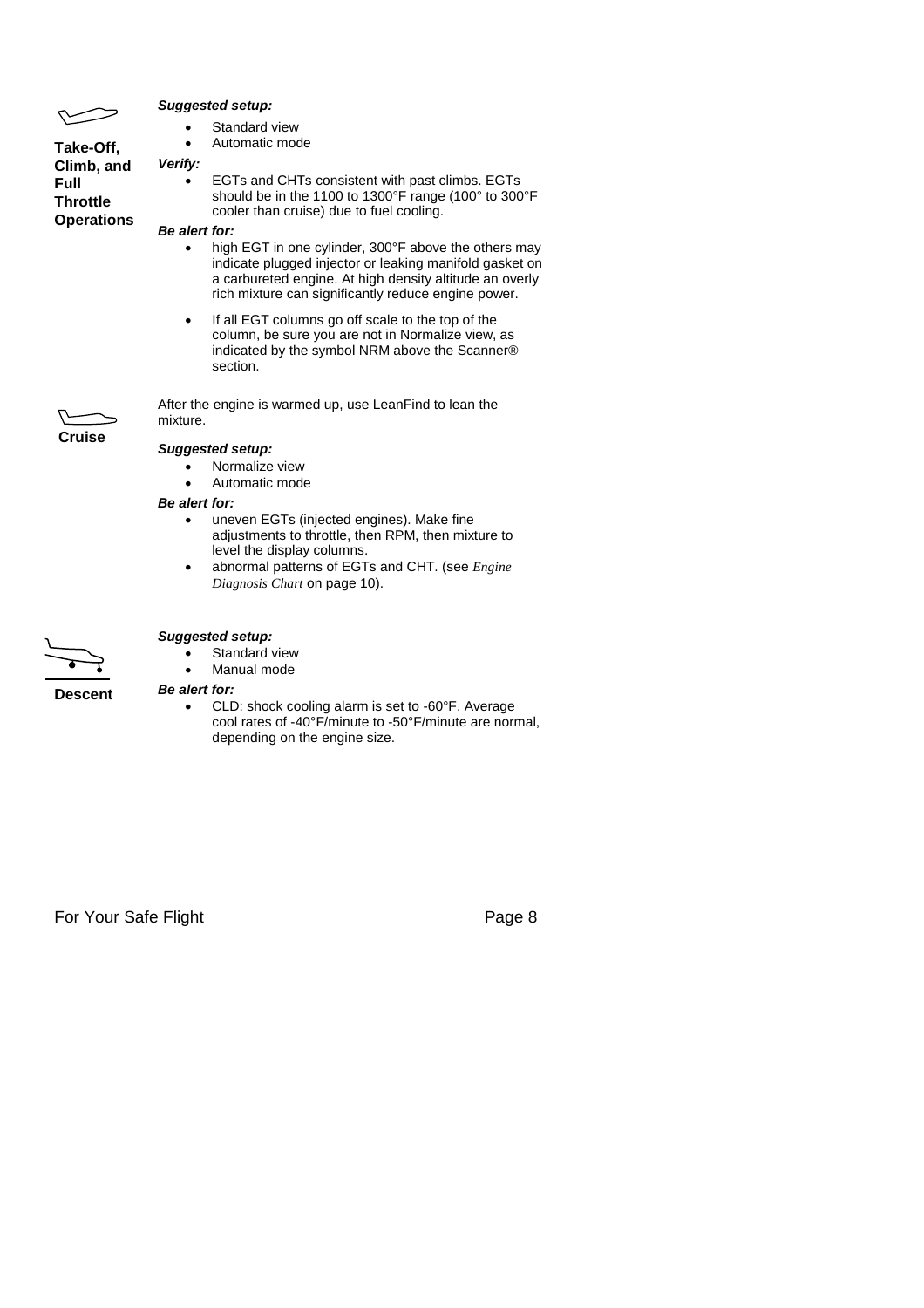|                                              | <b>Suggested setup:</b>                                                                                                                                                                                                           |  |  |  |
|----------------------------------------------|-----------------------------------------------------------------------------------------------------------------------------------------------------------------------------------------------------------------------------------|--|--|--|
|                                              | Standard view                                                                                                                                                                                                                     |  |  |  |
| Take-Off,                                    | Automatic mode                                                                                                                                                                                                                    |  |  |  |
| Climb, and                                   | Verify:                                                                                                                                                                                                                           |  |  |  |
| <b>Full</b><br>Throttle<br><b>Operations</b> | EGTs and CHTs consistent with past climbs. EGTs<br>should be in the 1100 to 1300°F range (100° to 300°F<br>cooler than cruise) due to fuel cooling.                                                                               |  |  |  |
|                                              | Be alert for:                                                                                                                                                                                                                     |  |  |  |
|                                              | high EGT in one cylinder, 300°F above the others may<br>indicate plugged injector or leaking manifold gasket on<br>a carbureted engine. At high density altitude an overly<br>rich mixture can significantly reduce engine power. |  |  |  |
|                                              | If all EGT columns go off scale to the top of the<br>column, be sure you are not in Normalize view, as<br>indicated by the symbol NRM above the Scanner®<br>section.                                                              |  |  |  |
|                                              | After the engine is warmed up, use LeanFind to lean the<br>mixture.                                                                                                                                                               |  |  |  |
| Cruise                                       | <b>Suggested setup:</b>                                                                                                                                                                                                           |  |  |  |
|                                              | Normalize view<br>Automatic mode                                                                                                                                                                                                  |  |  |  |
|                                              | <b>Be alert for:</b>                                                                                                                                                                                                              |  |  |  |
|                                              | uneven EGTs (injected engines). Make fine                                                                                                                                                                                         |  |  |  |

- adjustments to throttle, then RPM, then mixture to level the display columns. abnormal patterns of EGTs and CHT. (see *Engine*
- *Diagnosis Chart* on page 10).



#### *Suggested setup:*

- Standard view
- Manual mode

#### *Be alert for:*

• CLD: shock cooling alarm is set to -60°F. Average cool rates of -40°F/minute to -50°F/minute are normal, depending on the engine size.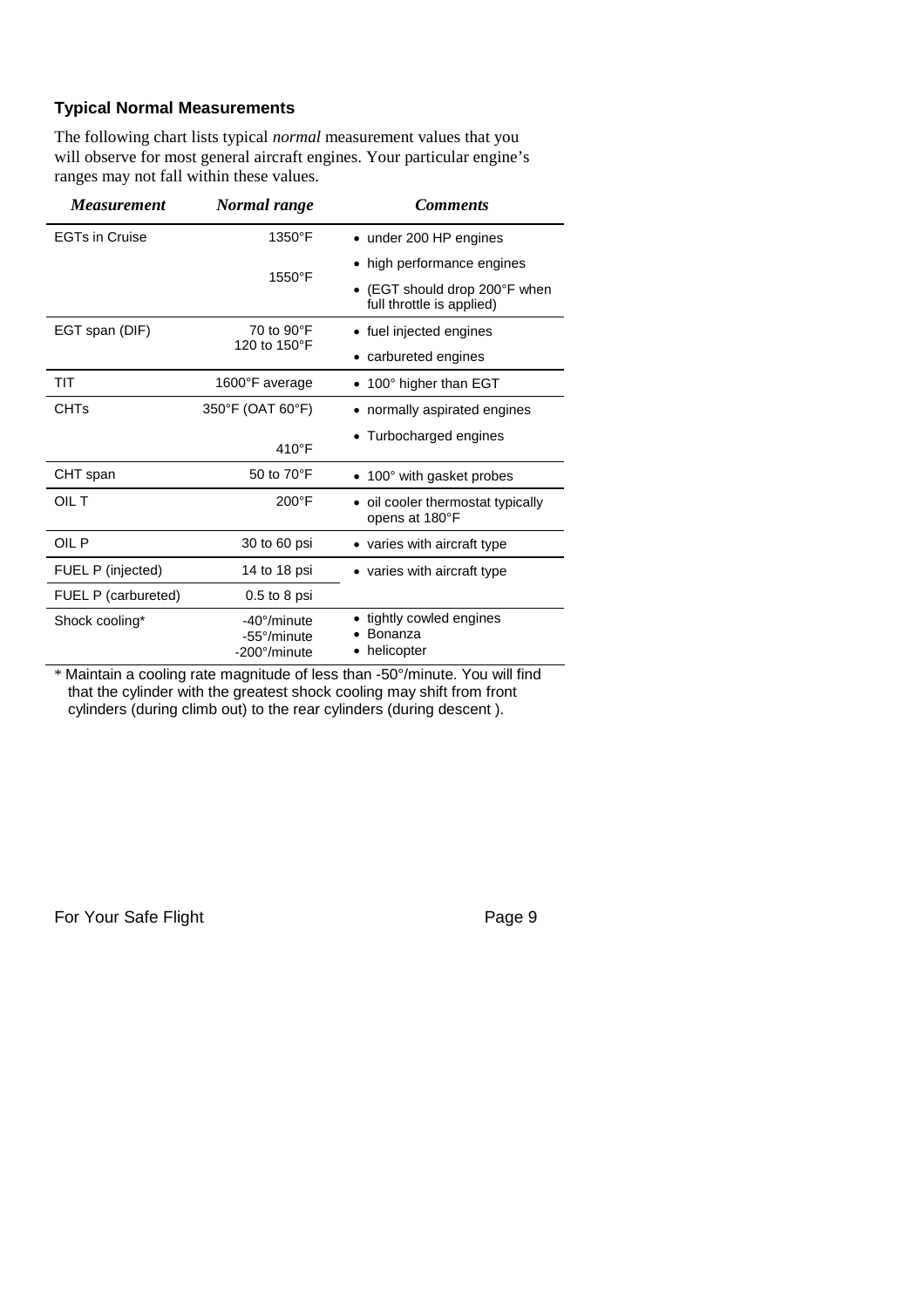#### **Typical Normal Measurements**

The following chart lists typical *normal* measurement values that you will observe for most general aircraft engines. Your particular engine's ranges may not fall within these values.

| <i>Measurement</i>    | Normal range                               | <b>Comments</b>                                          |
|-----------------------|--------------------------------------------|----------------------------------------------------------|
| <b>EGTs in Cruise</b> | $1350^{\circ}$ F                           | • under 200 HP engines                                   |
|                       | 1550°F                                     | high performance engines                                 |
|                       |                                            | (EGT should drop 200°F when<br>full throttle is applied) |
| EGT span (DIF)        | 70 to 90°F                                 | • fuel injected engines                                  |
|                       | 120 to 150°F                               | • carbureted engines                                     |
| TIT                   | 1600°F average                             | 100° higher than EGT                                     |
| <b>CHTs</b>           | 350°F (OAT 60°F)                           | • normally aspirated engines                             |
|                       | $410^{\circ}$ F                            | • Turbocharged engines                                   |
| CHT span              | 50 to 70°F                                 | • 100° with gasket probes                                |
| OIL T                 | $200^{\circ}$ F                            | • oil cooler thermostat typically<br>opens at 180°F      |
| OIL P                 | 30 to 60 psi                               | • varies with aircraft type                              |
| FUEL P (injected)     | 14 to 18 psi                               | • varies with aircraft type                              |
| FUEL P (carbureted)   | $0.5$ to 8 psi                             |                                                          |
| Shock cooling*        | -40°/minute<br>-55°/minute<br>-200°/minute | • tightly cowled engines<br>Bonanza<br>helicopter        |
|                       |                                            |                                                          |

\* Maintain a cooling rate magnitude of less than -50°/minute. You will find that the cylinder with the greatest shock cooling may shift from front cylinders (during climb out) to the rear cylinders (during descent ).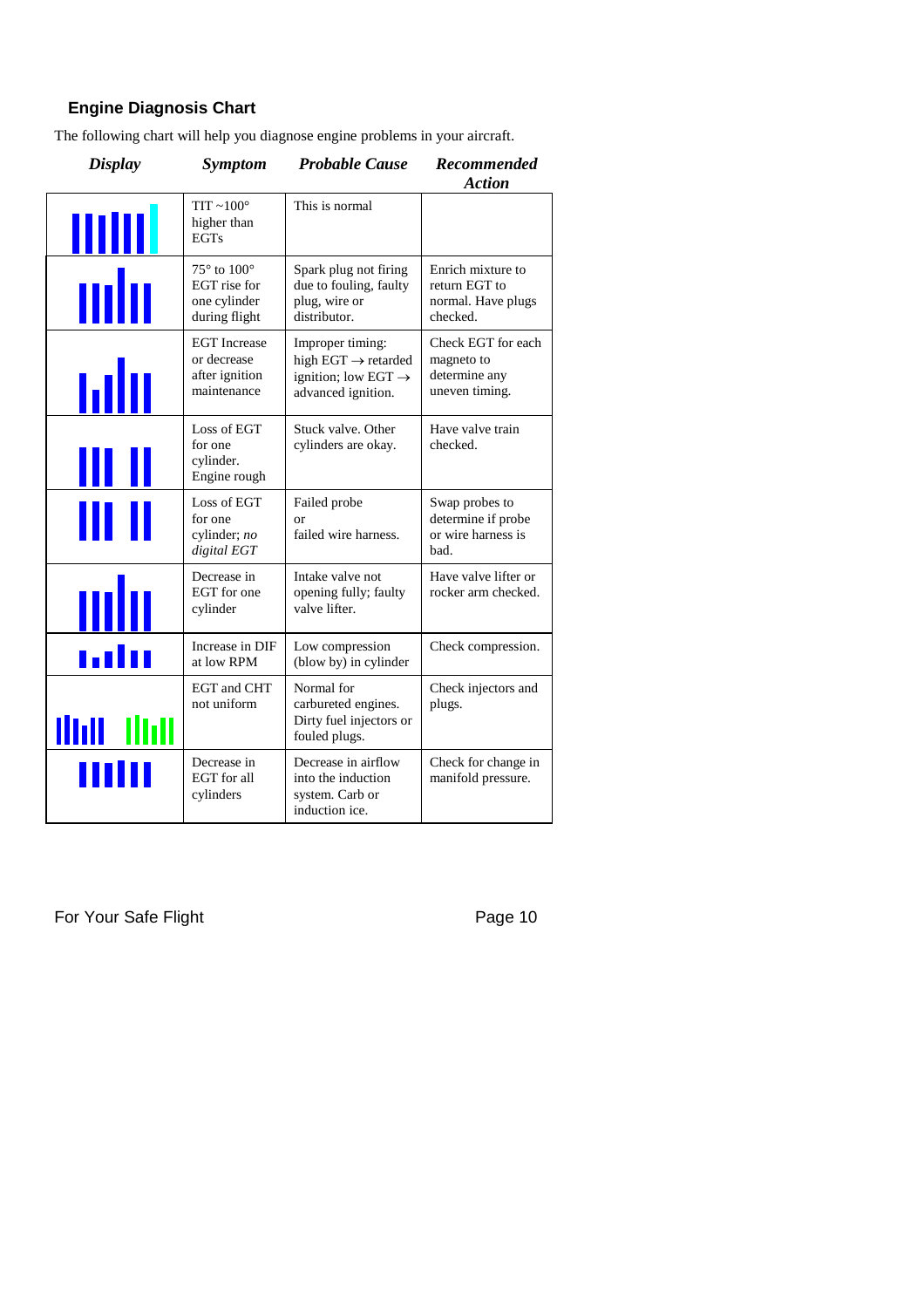#### **Engine Diagnosis Chart**

The following chart will help you diagnose engine problems in your aircraft.

| <b>Display</b> | <i>Symptom</i>                                                             | <b>Probable Cause</b>                                                                                        | <b>Recommended</b><br><b>Action</b>                                  |
|----------------|----------------------------------------------------------------------------|--------------------------------------------------------------------------------------------------------------|----------------------------------------------------------------------|
| <u>IIIIII</u>  | TIT $~100^\circ$<br>higher than<br><b>EGTs</b>                             | This is normal                                                                                               |                                                                      |
| mb             | $75^\circ$ to $100^\circ$<br>EGT rise for<br>one cylinder<br>during flight | Spark plug not firing<br>due to fouling, faulty<br>plug, wire or<br>distributor.                             | Enrich mixture to<br>return EGT to<br>normal. Have plugs<br>checked. |
| ыIн            | <b>EGT</b> Increase<br>or decrease<br>after ignition<br>maintenance        | Improper timing:<br>high EGT $\rightarrow$ retarded<br>ignition; low EGT $\rightarrow$<br>advanced ignition. | Check EGT for each<br>magneto to<br>determine any<br>uneven timing.  |
| III I          | Loss of EGT<br>for one<br>cylinder.<br>Engine rough                        | Stuck valve. Other<br>cylinders are okay.                                                                    | Have valve train<br>checked.                                         |
| III II         | Loss of EGT<br>for one<br>cylinder; $no$<br>digital EGT                    | Failed probe<br>or<br>failed wire harness.                                                                   | Swap probes to<br>determine if probe<br>or wire harness is<br>bad.   |
| mh             | Decrease in<br>EGT for one<br>cylinder                                     | Intake valve not<br>opening fully; faulty<br>valve lifter.                                                   | Have valve lifter or<br>rocker arm checked.                          |
| <u>ado</u>     | Increase in DIF<br>at low RPM                                              | Low compression<br>(blow by) in cylinder                                                                     | Check compression.                                                   |
| ilidi dhii     | <b>EGT</b> and CHT<br>not uniform                                          | Normal for<br>carbureted engines.<br>Dirty fuel injectors or<br>fouled plugs.                                | Check injectors and<br>plugs.                                        |
| Ш              | Decrease in<br>EGT for all<br>cylinders                                    | Decrease in airflow<br>into the induction<br>system. Carb or<br>induction ice.                               | Check for change in<br>manifold pressure.                            |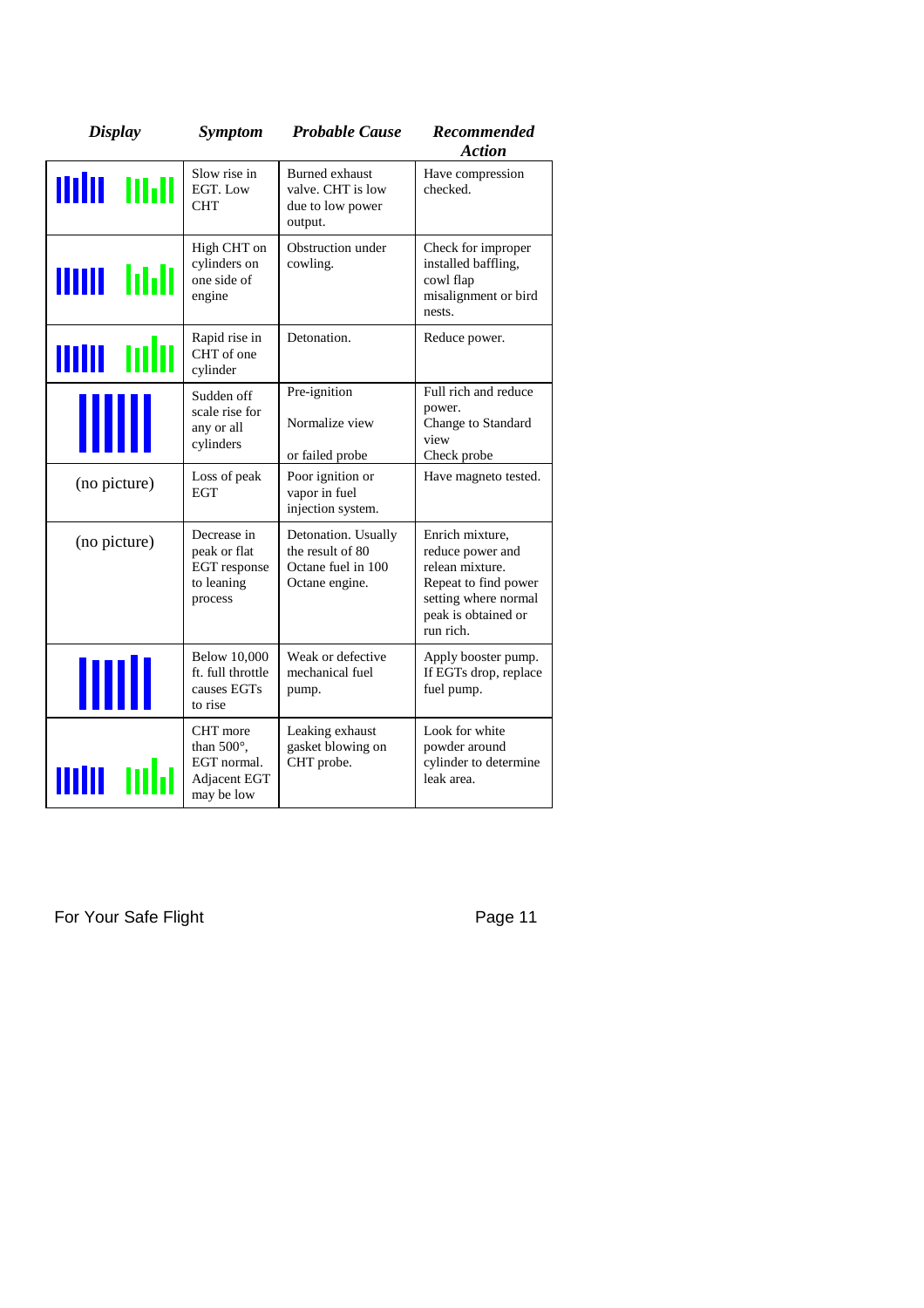| <b>Display</b>      | <b>Symptom</b>                                                              | <b>Probable Cause</b>                                                           | <b>Recommended</b><br><b>Action</b>                                                                                                        |
|---------------------|-----------------------------------------------------------------------------|---------------------------------------------------------------------------------|--------------------------------------------------------------------------------------------------------------------------------------------|
| min mar             | Slow rise in<br>EGT. Low<br><b>CHT</b>                                      | <b>Burned</b> exhaust<br>valve. CHT is low<br>due to low power<br>output.       | Have compression<br>checked.                                                                                                               |
| unu hali            | High CHT on<br>cylinders on<br>one side of<br>engine                        | Obstruction under<br>cowling.                                                   | Check for improper<br>installed baffling,<br>cowl flap<br>misalignment or bird<br>nests.                                                   |
| <b>IIIIII</b><br>mm | Rapid rise in<br>CHT of one<br>cylinder                                     | Detonation.                                                                     | Reduce power.                                                                                                                              |
| JIII                | Sudden off<br>scale rise for<br>any or all<br>cylinders                     | Pre-ignition<br>Normalize view<br>or failed probe                               | Full rich and reduce<br>power.<br>Change to Standard<br>view<br>Check probe                                                                |
| (no picture)        | Loss of peak<br><b>EGT</b>                                                  | Poor ignition or<br>vapor in fuel<br>injection system.                          | Have magneto tested.                                                                                                                       |
| (no picture)        | Decrease in<br>peak or flat<br>EGT response<br>to leaning<br>process        | Detonation. Usually<br>the result of 80<br>Octane fuel in 100<br>Octane engine. | Enrich mixture,<br>reduce power and<br>relean mixture.<br>Repeat to find power<br>setting where normal<br>peak is obtained or<br>run rich. |
| IIIII               | <b>Below 10,000</b><br>ft. full throttle<br>causes EGTs<br>to rise          | Weak or defective<br>mechanical fuel<br>pump.                                   | Apply booster pump.<br>If EGTs drop, replace<br>fuel pump.                                                                                 |
|                     | CHT more<br>than $500^\circ$ ,<br>EGT normal.<br>Adjacent EGT<br>may be low | Leaking exhaust<br>gasket blowing on<br>CHT probe.                              | Look for white<br>powder around<br>cylinder to determine<br>leak area.                                                                     |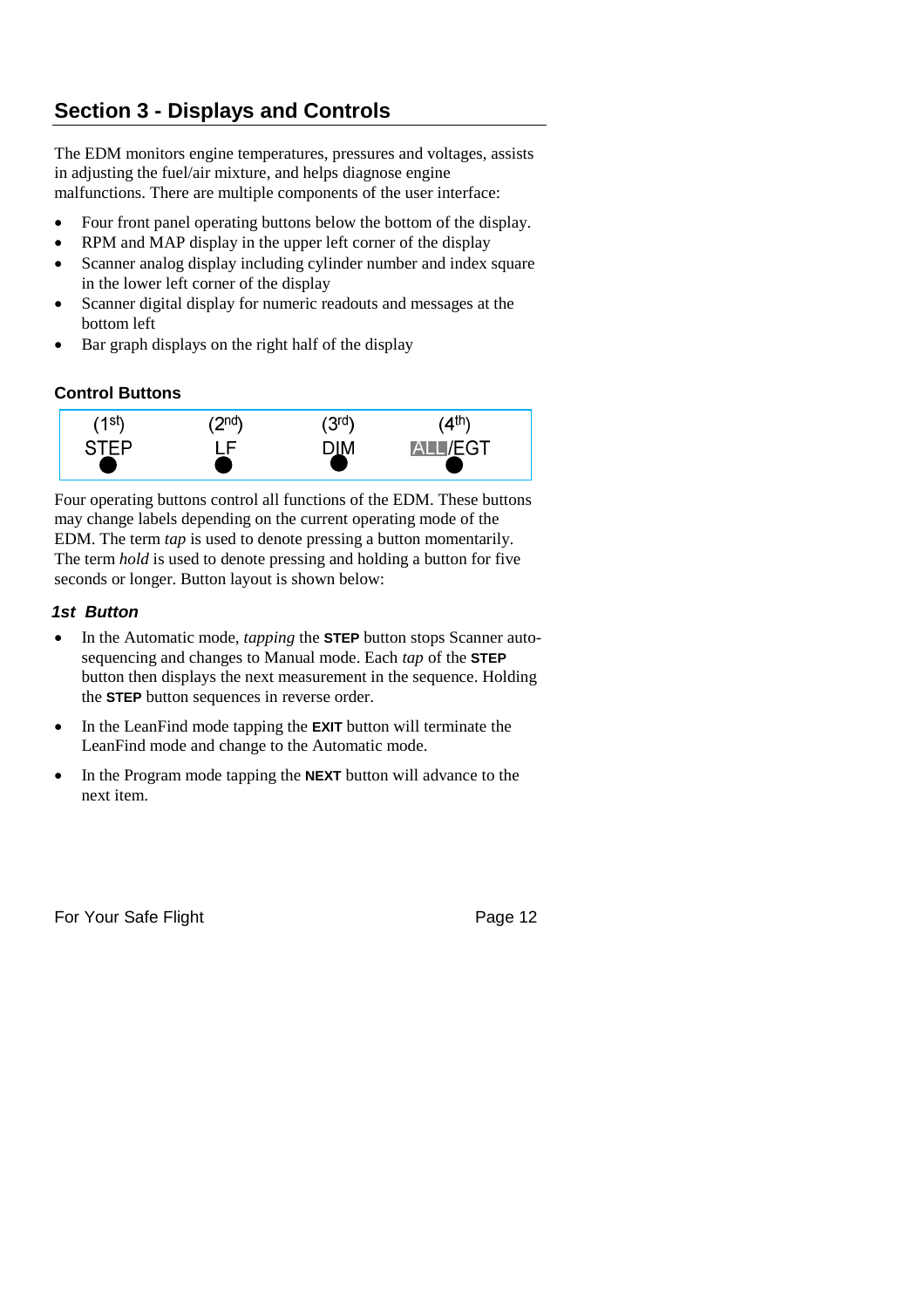# **Section 3 - Displays and Controls**

The EDM monitors engine temperatures, pressures and voltages, assists in adjusting the fuel/air mixture, and helps diagnose engine malfunctions. There are multiple components of the user interface:

- Four front panel operating buttons below the bottom of the display.
- RPM and MAP display in the upper left corner of the display
- Scanner analog display including cylinder number and index square in the lower left corner of the display
- Scanner digital display for numeric readouts and messages at the bottom left
- Bar graph displays on the right half of the display

#### **Control Buttons**



Four operating buttons control all functions of the EDM. These buttons may change labels depending on the current operating mode of the EDM. The term *tap* is used to denote pressing a button momentarily. The term *hold* is used to denote pressing and holding a button for five seconds or longer. Button layout is shown below:

#### *1st Button*

- In the Automatic mode, *tapping* the **STEP** button stops Scanner autosequencing and changes to Manual mode. Each *tap* of the **STEP** button then displays the next measurement in the sequence. Holding the **STEP** button sequences in reverse order.
- In the LeanFind mode tapping the **EXIT** button will terminate the LeanFind mode and change to the Automatic mode.
- In the Program mode tapping the **NEXT** button will advance to the next item.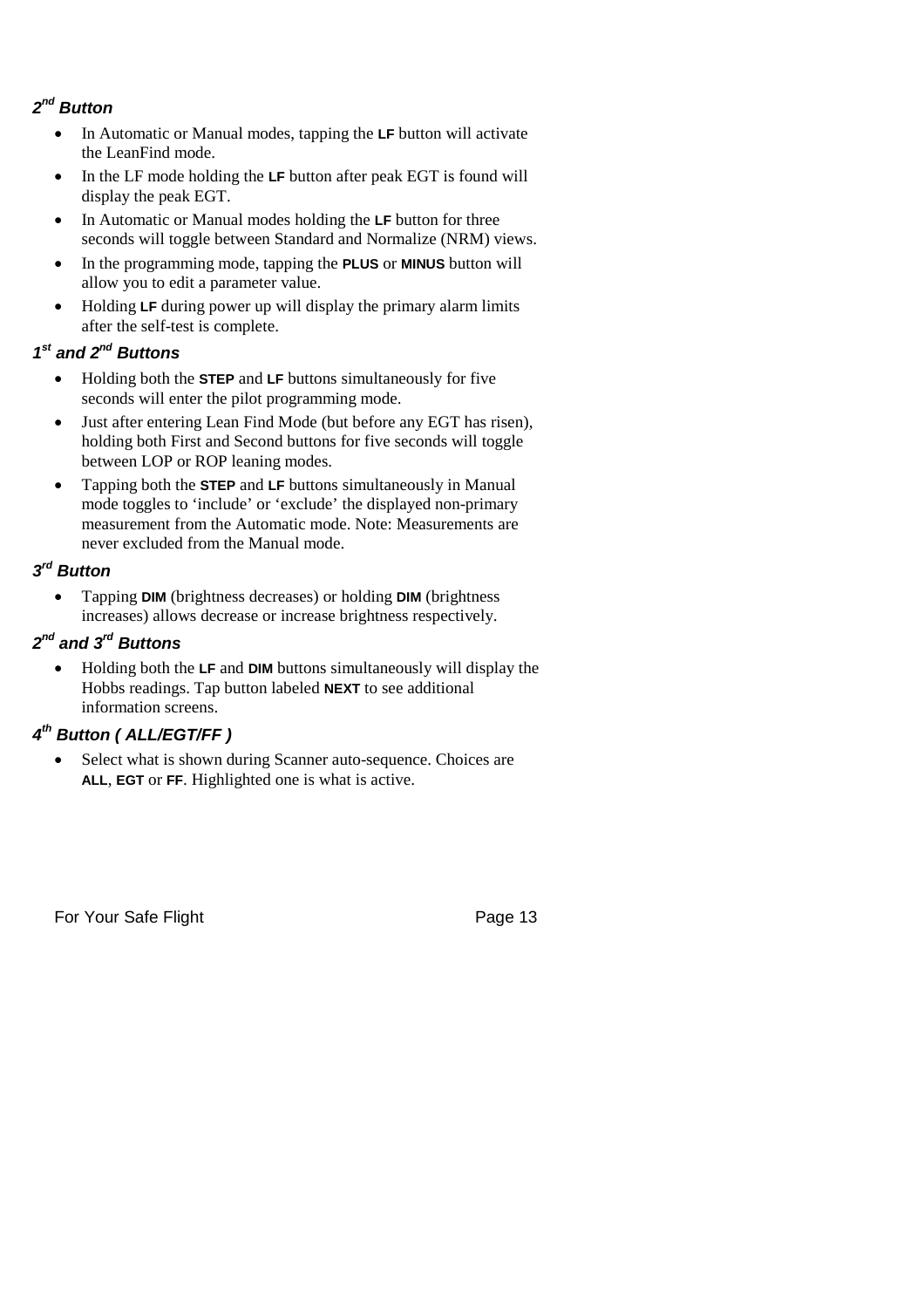#### *2 nd Button*

- In Automatic or Manual modes, tapping the **LF** button will activate the LeanFind mode.
- In the LF mode holding the LF button after peak EGT is found will display the peak EGT.
- In Automatic or Manual modes holding the **LF** button for three seconds will toggle between Standard and Normalize (NRM) views.
- In the programming mode, tapping the **PLUS** or **MINUS** button will allow you to edit a parameter value.
- Holding **LF** during power up will display the primary alarm limits after the self-test is complete.

#### *1 st and 2nd Buttons*

- Holding both the **STEP** and **LF** buttons simultaneously for five seconds will enter the pilot programming mode.
- Just after entering Lean Find Mode (but before any EGT has risen), holding both First and Second buttons for five seconds will toggle between LOP or ROP leaning modes.
- Tapping both the **STEP** and **LF** buttons simultaneously in Manual mode toggles to 'include' or 'exclude' the displayed non-primary measurement from the Automatic mode. Note: Measurements are never excluded from the Manual mode.

#### *3 rd Button*

 Tapping **DIM** (brightness decreases) or holding **DIM** (brightness increases) allows decrease or increase brightness respectively.

#### *2 nd and 3rd Buttons*

 Holding both the **LF** and **DIM** buttons simultaneously will display the Hobbs readings. Tap button labeled **NEXT** to see additional information screens.

#### *4 th Button ( ALL/EGT/FF )*

• Select what is shown during Scanner auto-sequence. Choices are **ALL**, **EGT** or **FF**. Highlighted one is what is active.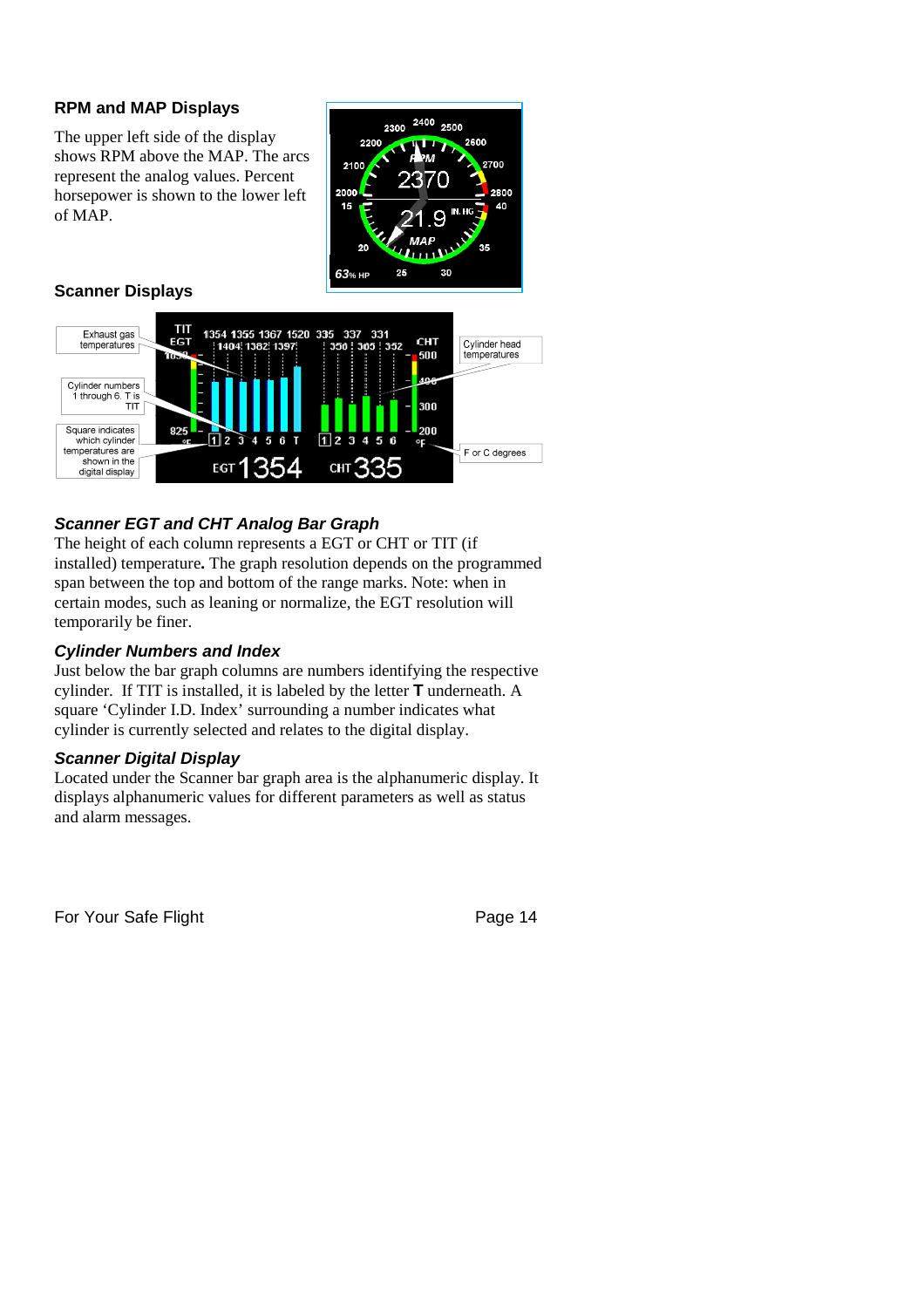#### **RPM and MAP Displays**

The upper left side of the display shows RPM above the MAP. The arcs represent the analog values. Percent horsepower is shown to the lower left of MAP.



#### **Scanner Displays**



#### *Scanner EGT and CHT Analog Bar Graph*

The height of each column represents a EGT or CHT or TIT (if installed) temperature**.** The graph resolution depends on the programmed span between the top and bottom of the range marks. Note: when in certain modes, such as leaning or normalize, the EGT resolution will temporarily be finer.

#### *Cylinder Numbers and Index*

Just below the bar graph columns are numbers identifying the respective cylinder. If TIT is installed, it is labeled by the letter **T** underneath. A square 'Cylinder I.D. Index' surrounding a number indicates what cylinder is currently selected and relates to the digital display.

#### *Scanner Digital Display*

Located under the Scanner bar graph area is the alphanumeric display. It displays alphanumeric values for different parameters as well as status and alarm messages.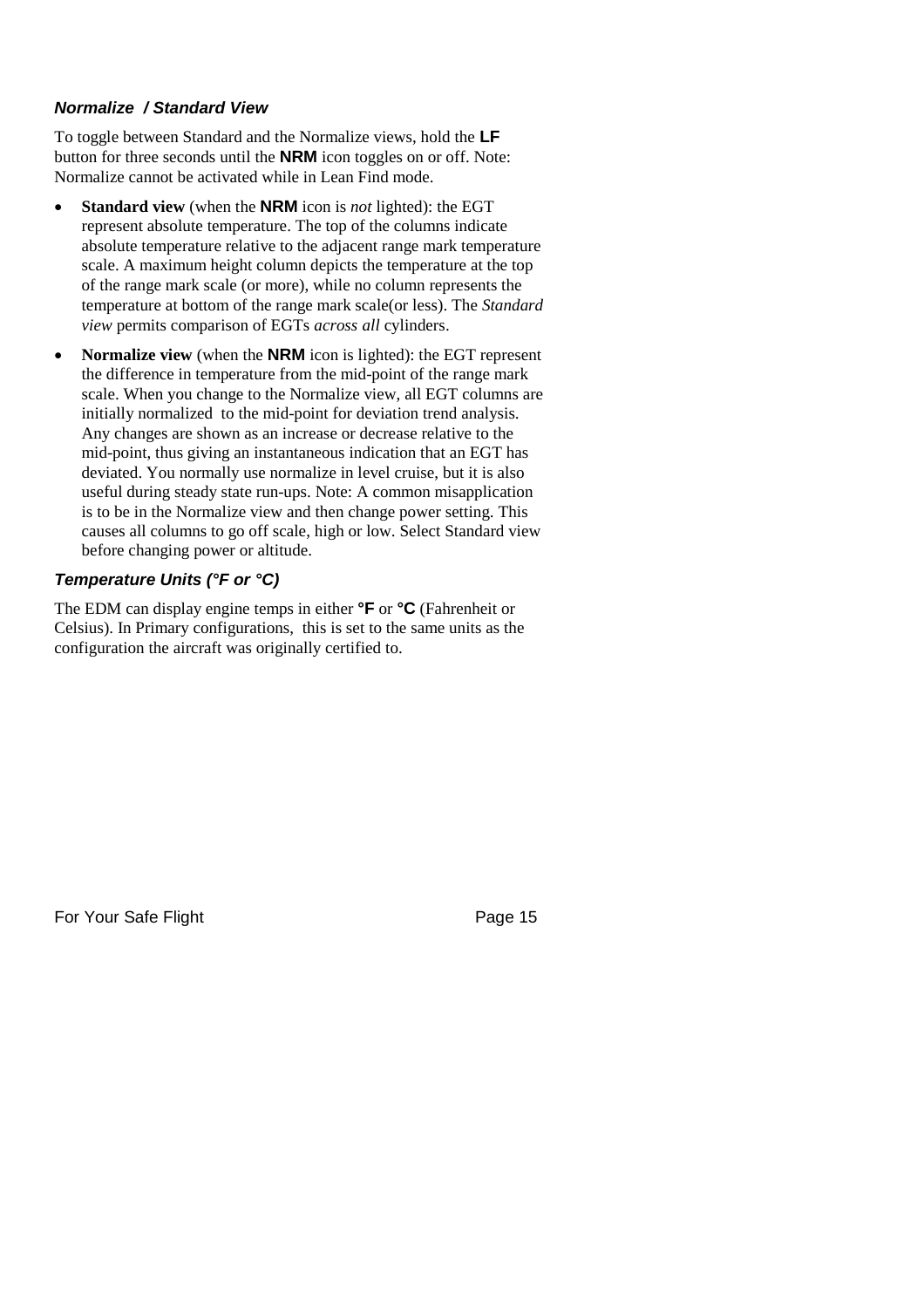#### *Normalize / Standard View*

To toggle between Standard and the Normalize views, hold the **LF** button for three seconds until the **NRM** icon toggles on or off. Note: Normalize cannot be activated while in Lean Find mode.

- **Standard view** (when the **NRM** icon is *not* lighted): the EGT represent absolute temperature. The top of the columns indicate absolute temperature relative to the adjacent range mark temperature scale. A maximum height column depicts the temperature at the top of the range mark scale (or more), while no column represents the temperature at bottom of the range mark scale(or less). The *Standard view* permits comparison of EGTs *across all* cylinders.
- **Normalize view** (when the **NRM** icon is lighted): the EGT represent the difference in temperature from the mid-point of the range mark scale. When you change to the Normalize view, all EGT columns are initially normalized to the mid-point for deviation trend analysis. Any changes are shown as an increase or decrease relative to the mid-point, thus giving an instantaneous indication that an EGT has deviated. You normally use normalize in level cruise, but it is also useful during steady state run-ups. Note: A common misapplication is to be in the Normalize view and then change power setting. This causes all columns to go off scale, high or low. Select Standard view before changing power or altitude.

#### *Temperature Units (°F or °C)*

The EDM can display engine temps in either **°F** or **°C** (Fahrenheit or Celsius). In Primary configurations, this is set to the same units as the configuration the aircraft was originally certified to.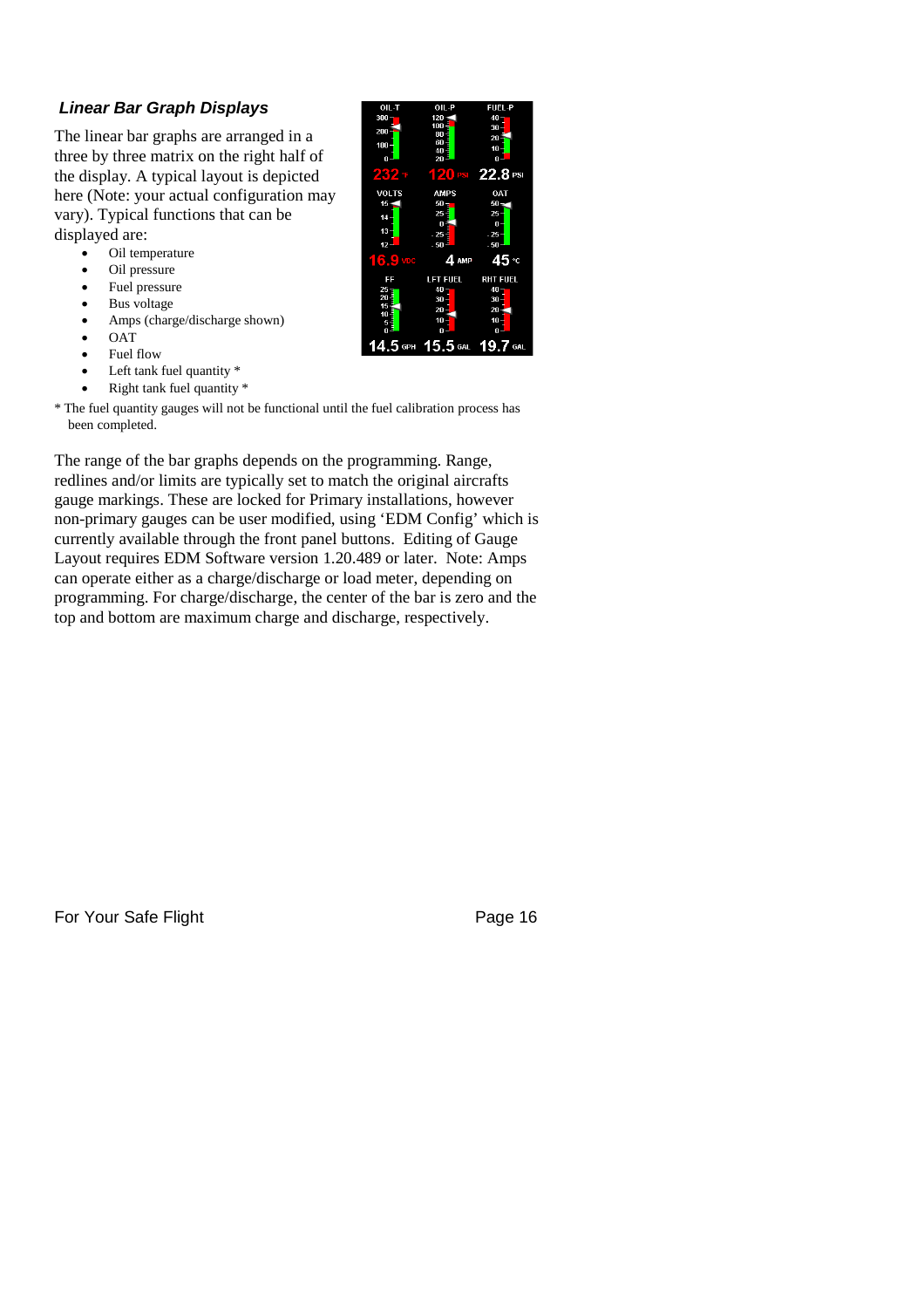#### *Linear Bar Graph Displays*

The linear bar graphs are arranged in a three by three matrix on the right half of the display. A typical layout is depicted here (Note: your actual configuration may vary). Typical functions that can be displayed are:

- Oil temperature
- Oil pressure
- Fuel pressure
- Bus voltage
- Amps (charge/discharge shown)
- **OAT**
- Fuel flow
- Left tank fuel quantity  $*$
- Right tank fuel quantity \*

\* The fuel quantity gauges will not be functional until the fuel calibration process has been completed.

The range of the bar graphs depends on the programming. Range, redlines and/or limits are typically set to match the original aircrafts gauge markings. These are locked for Primary installations, however non-primary gauges can be user modified, using 'EDM Config' which is currently available through the front panel buttons. Editing of Gauge Layout requires EDM Software version 1.20.489 or later. Note: Amps can operate either as a charge/discharge or load meter, depending on programming. For charge/discharge, the center of the bar is zero and the top and bottom are maximum charge and discharge, respectively.

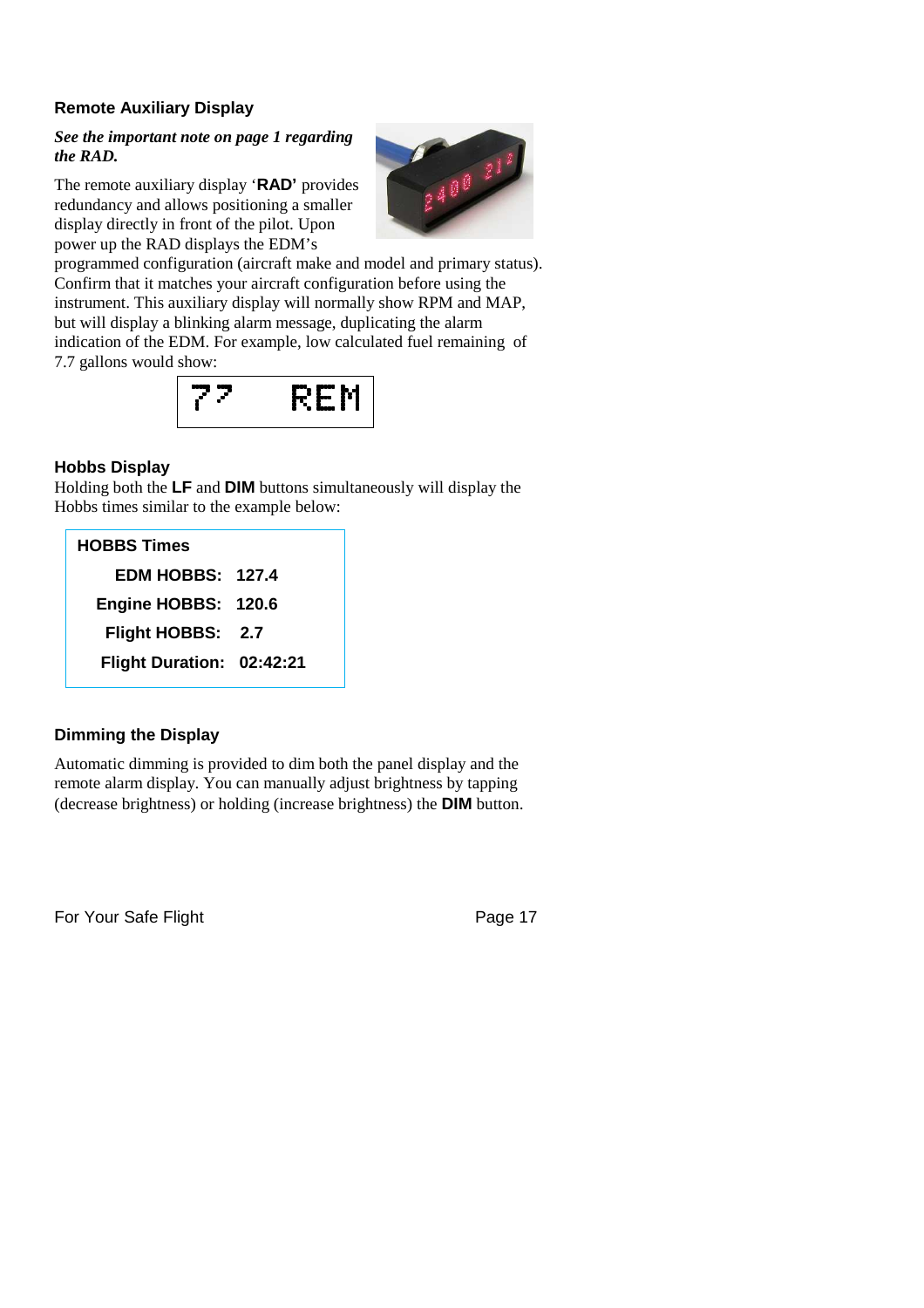#### **Remote Auxiliary Display**

#### *See the important note on page 1 regarding the RAD.*

The remote auxiliary display '**RAD'** provides redundancy and allows positioning a smaller display directly in front of the pilot. Upon power up the RAD displays the EDM's



programmed configuration (aircraft make and model and primary status). Confirm that it matches your aircraft configuration before using the instrument. This auxiliary display will normally show RPM and MAP, but will display a blinking alarm message, duplicating the alarm indication of the EDM. For example, low calculated fuel remaining of 7.7 gallons would show:



#### **Hobbs Display**

Holding both the **LF** and **DIM** buttons simultaneously will display the Hobbs times similar to the example below:

| <b>HOBBS Times</b>        |  |
|---------------------------|--|
| <b>EDM HOBBS: 127.4</b>   |  |
| Engine HOBBS: 120.6       |  |
| Flight HOBBS: 2.7         |  |
| Flight Duration: 02:42:21 |  |

#### **Dimming the Display**

Automatic dimming is provided to dim both the panel display and the remote alarm display. You can manually adjust brightness by tapping (decrease brightness) or holding (increase brightness) the **DIM** button.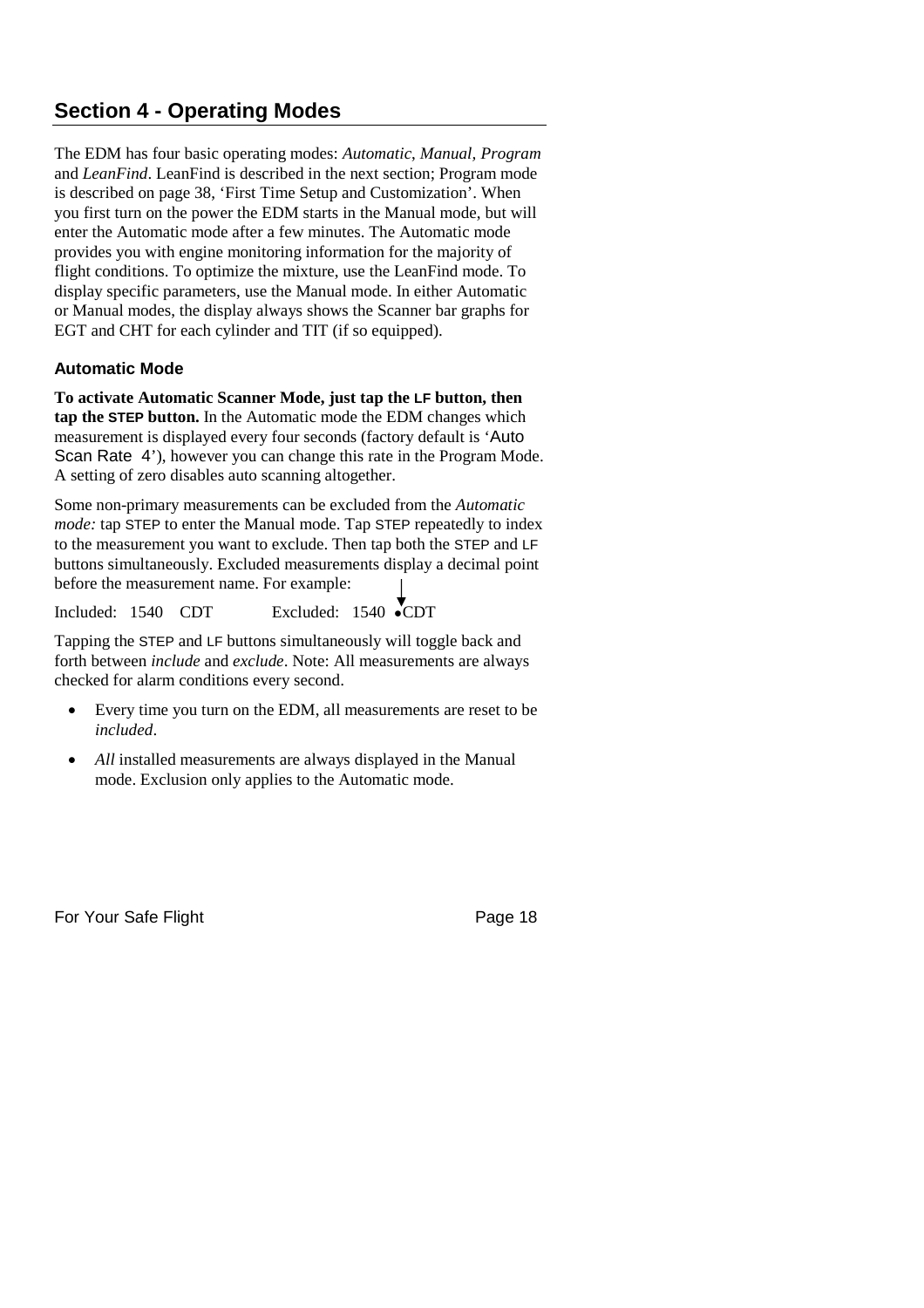## **Section 4 - Operating Modes**

The EDM has four basic operating modes: *Automatic*, *Manual, Program* and *LeanFind*. LeanFind is described in the next section; Program mode is described on page 38, 'First Time Setup and Customization'. When you first turn on the power the EDM starts in the Manual mode, but will enter the Automatic mode after a few minutes. The Automatic mode provides you with engine monitoring information for the majority of flight conditions. To optimize the mixture, use the LeanFind mode. To display specific parameters, use the Manual mode. In either Automatic or Manual modes, the display always shows the Scanner bar graphs for EGT and CHT for each cylinder and TIT (if so equipped).

#### **Automatic Mode**

**To activate Automatic Scanner Mode, just tap the LF button, then tap the STEP button.** In the Automatic mode the EDM changes which measurement is displayed every four seconds (factory default is 'Auto Scan Rate 4'), however you can change this rate in the Program Mode. A setting of zero disables auto scanning altogether.

Some non-primary measurements can be excluded from the *Automatic mode:* tap STEP to enter the Manual mode. Tap STEP repeatedly to index to the measurement you want to exclude. Then tap both the STEP and LF buttons simultaneously. Excluded measurements display a decimal point before the measurement name. For example:

Included: 1540 CDT Excluded: 1540 ●CDT

Tapping the STEP and LF buttons simultaneously will toggle back and forth between *include* and *exclude*. Note: All measurements are always checked for alarm conditions every second.

- Every time you turn on the EDM, all measurements are reset to be *included*.
- *All* installed measurements are always displayed in the Manual mode. Exclusion only applies to the Automatic mode.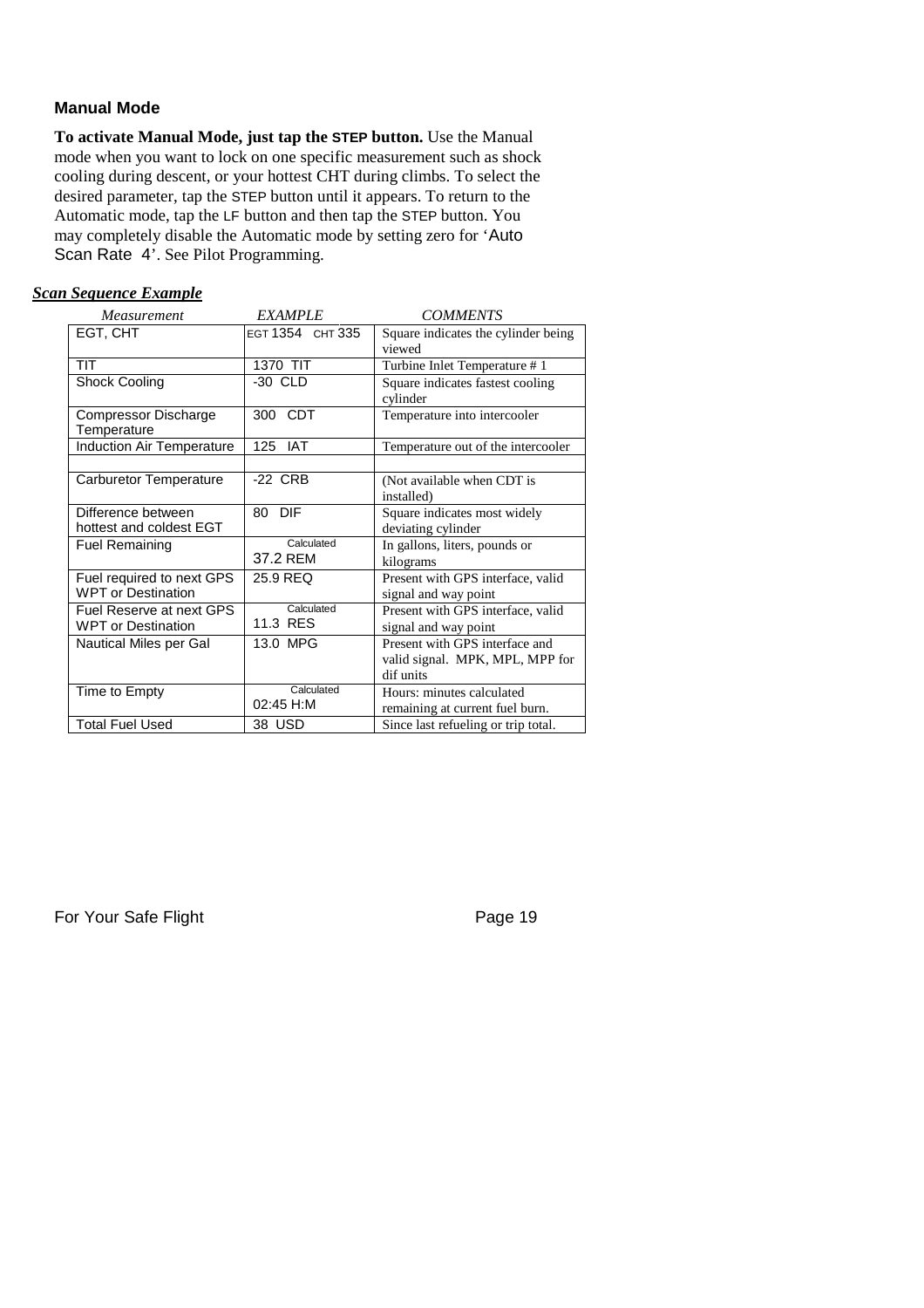#### **Manual Mode**

**To activate Manual Mode, just tap the STEP button.** Use the Manual mode when you want to lock on one specific measurement such as shock cooling during descent, or your hottest CHT during climbs. To select the desired parameter, tap the STEP button until it appears. To return to the Automatic mode, tap the LF button and then tap the STEP button. You may completely disable the Automatic mode by setting zero for 'Auto Scan Rate 4'. See Pilot Programming.

#### *Scan Sequence Example*

| Measurement                                            | <b>EXAMPLE</b>          | <b>COMMENTS</b>                                                                |
|--------------------------------------------------------|-------------------------|--------------------------------------------------------------------------------|
| EGT, CHT                                               | EGT 1354 CHT 335        | Square indicates the cylinder being<br>viewed                                  |
| TIT                                                    | 1370 TIT                | Turbine Inlet Temperature #1                                                   |
| <b>Shock Cooling</b>                                   | -30 CLD                 | Square indicates fastest cooling<br>cylinder                                   |
| Compressor Discharge<br>Temperature                    | CDT<br>300              | Temperature into intercooler                                                   |
| <b>Induction Air Temperature</b>                       | 125<br><b>IAT</b>       | Temperature out of the intercooler                                             |
| Carburetor Temperature                                 | -22 CRB                 | (Not available when CDT is<br>installed)                                       |
| Difference between<br>hottest and coldest EGT          | <b>DIF</b><br>80        | Square indicates most widely<br>deviating cylinder                             |
| <b>Fuel Remaining</b>                                  | Calculated<br>37.2 REM  | In gallons, liters, pounds or<br>kilograms                                     |
| Fuel required to next GPS<br><b>WPT or Destination</b> | 25.9 REQ                | Present with GPS interface, valid<br>signal and way point                      |
| Fuel Reserve at next GPS<br><b>WPT or Destination</b>  | Calculated<br>11.3 RES  | Present with GPS interface, valid<br>signal and way point                      |
| Nautical Miles per Gal                                 | 13.0 MPG                | Present with GPS interface and<br>valid signal. MPK, MPL, MPP for<br>dif units |
| Time to Empty                                          | Calculated<br>02:45 H:M | Hours: minutes calculated<br>remaining at current fuel burn.                   |
| <b>Total Fuel Used</b>                                 | 38 USD                  | Since last refueling or trip total.                                            |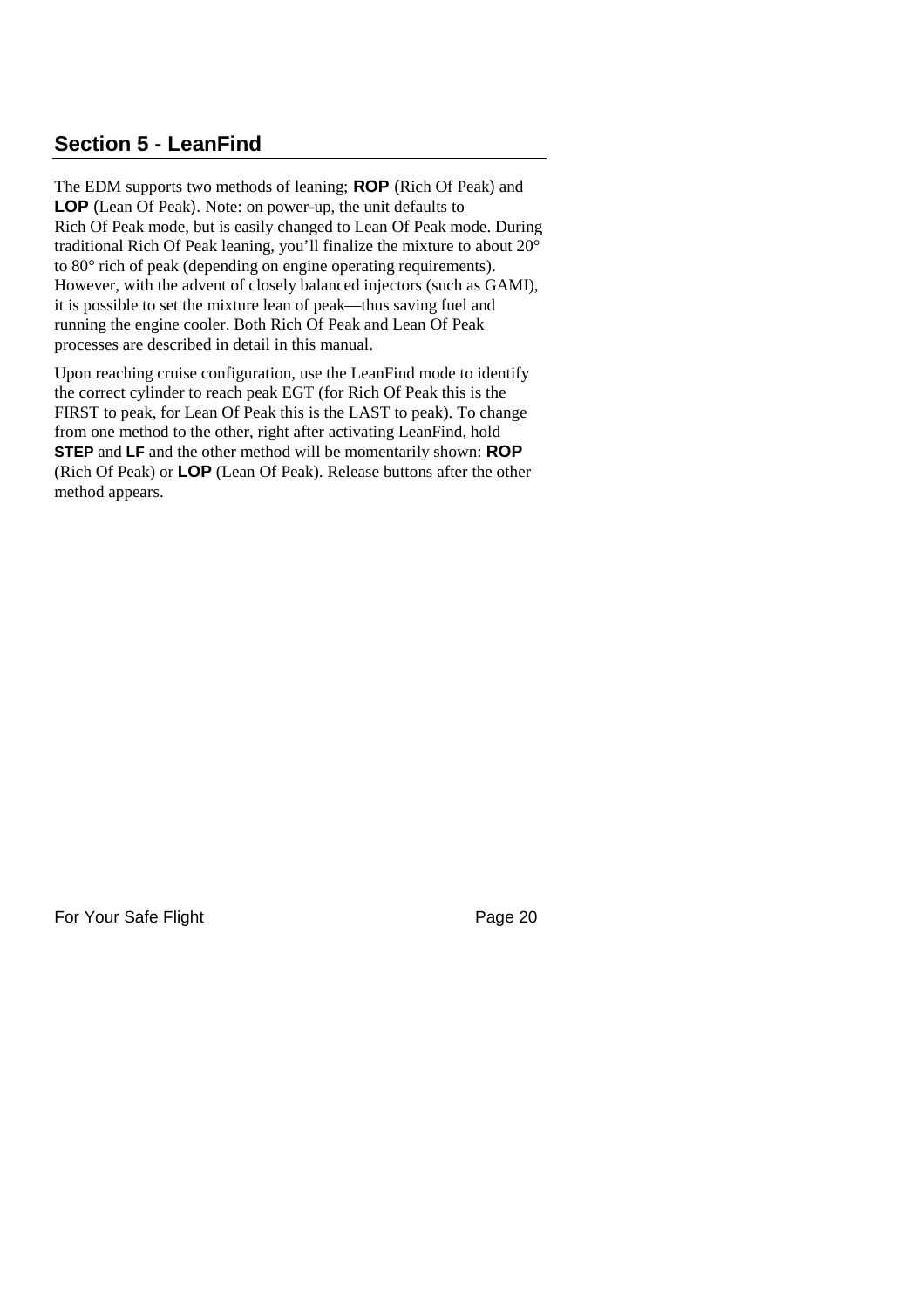### **Section 5 - LeanFind**

The EDM supports two methods of leaning; **ROP** (Rich Of Peak) and **LOP** (Lean Of Peak). Note: on power-up, the unit defaults to Rich Of Peak mode, but is easily changed to Lean Of Peak mode. During traditional Rich Of Peak leaning, you'll finalize the mixture to about 20° to 80° rich of peak (depending on engine operating requirements). However, with the advent of closely balanced injectors (such as GAMI), it is possible to set the mixture lean of peak—thus saving fuel and running the engine cooler. Both Rich Of Peak and Lean Of Peak processes are described in detail in this manual.

Upon reaching cruise configuration, use the LeanFind mode to identify the correct cylinder to reach peak EGT (for Rich Of Peak this is the FIRST to peak, for Lean Of Peak this is the LAST to peak). To change from one method to the other, right after activating LeanFind, hold **STEP** and **LF** and the other method will be momentarily shown: **ROP** (Rich Of Peak) or **LOP** (Lean Of Peak). Release buttons after the other method appears.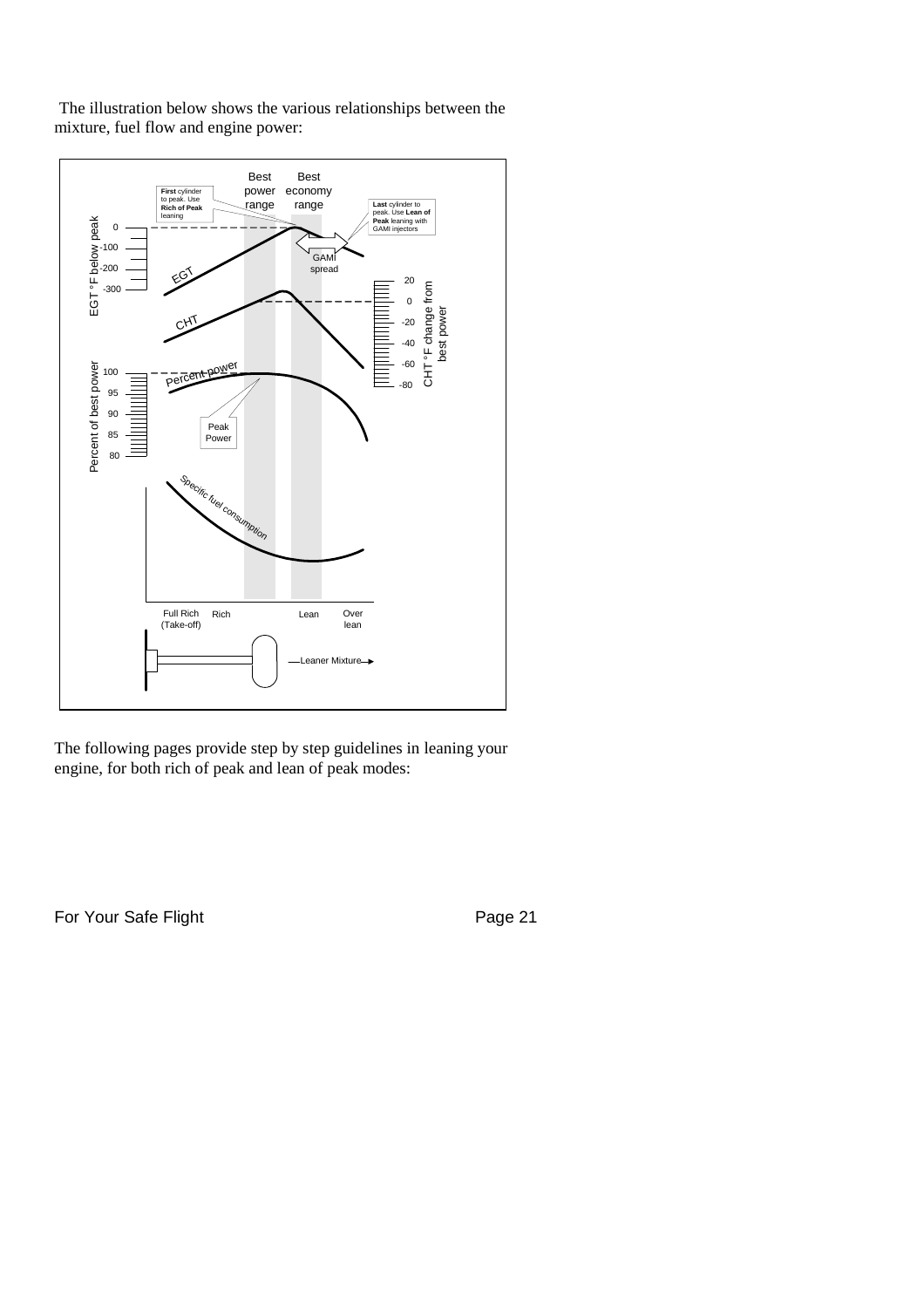



The following pages provide step by step guidelines in leaning your engine, for both rich of peak and lean of peak modes: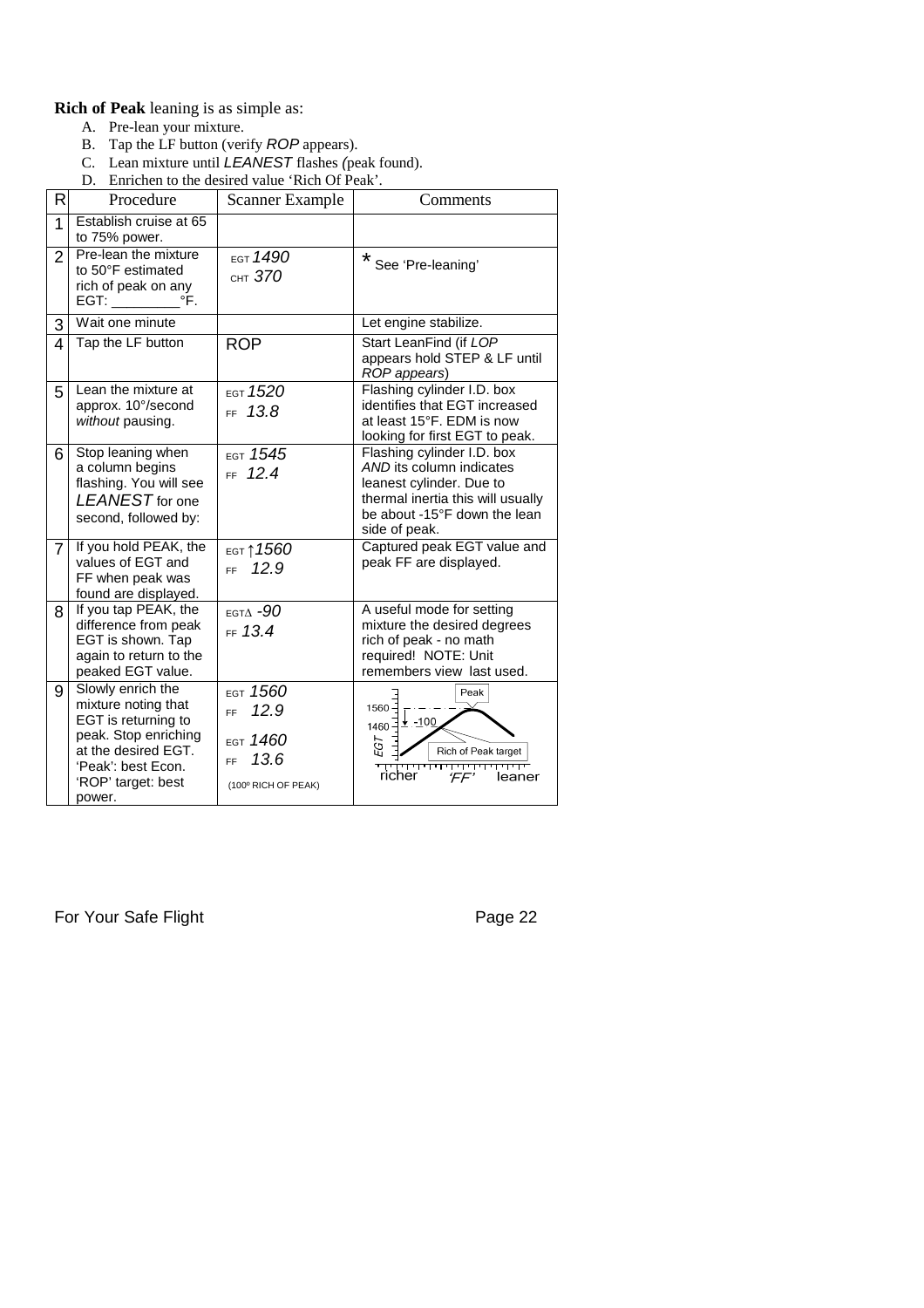#### **Rich of Peak** leaning is as simple as:

- A. Pre-lean your mixture.
- B. Tap the LF button (verify *ROP* appears).
- C. Lean mixture until *LEANEST* flashes *(*peak found).
- D. Enrichen to the desired value 'Rich Of Peak'.

| R              | Procedure                                                                                                                                                            | <b>Scanner Example</b>                                                            | Comments                                                                                                                                                                 |
|----------------|----------------------------------------------------------------------------------------------------------------------------------------------------------------------|-----------------------------------------------------------------------------------|--------------------------------------------------------------------------------------------------------------------------------------------------------------------------|
| 1              | Establish cruise at 65<br>to 75% power.                                                                                                                              |                                                                                   |                                                                                                                                                                          |
| $\overline{2}$ | Pre-lean the mixture<br>to 50°F estimated<br>rich of peak on any<br>EGT:<br>$\mathsf{P}$                                                                             | EGT 1490<br>CHT 370                                                               | *<br>See 'Pre-leaning'                                                                                                                                                   |
| 3              | Wait one minute                                                                                                                                                      |                                                                                   | Let engine stabilize.                                                                                                                                                    |
| 4              | Tap the LF button                                                                                                                                                    | <b>ROP</b>                                                                        | Start LeanFind (if LOP<br>appears hold STEP & LF until<br>ROP appears)                                                                                                   |
| 5              | Lean the mixture at<br>approx. 10°/second<br>without pausing.                                                                                                        | EGT 1520<br>13.8<br>FF -                                                          | Flashing cylinder I.D. box<br>identifies that EGT increased<br>at least 15°F. EDM is now<br>looking for first EGT to peak.                                               |
| 6              | Stop leaning when<br>a column begins<br>flashing. You will see<br>LEANEST for one<br>second, followed by:                                                            | EGT 1545<br>FF 12.4                                                               | Flashing cylinder I.D. box<br>AND its column indicates<br>leanest cylinder. Due to<br>thermal inertia this will usually<br>be about -15°F down the lean<br>side of peak. |
| $\overline{7}$ | If you hold PEAK, the<br>values of EGT and<br>FF when peak was<br>found are displayed.                                                                               | <sub>ЕGТ</sub> ↑1560<br>12.9<br><b>FF</b>                                         | Captured peak EGT value and<br>peak FF are displayed.                                                                                                                    |
| 8              | If you tap PEAK, the<br>difference from peak<br>EGT is shown. Tap<br>again to return to the<br>peaked EGT value.                                                     | EGTA $-90$<br>FF 13.4                                                             | A useful mode for setting<br>mixture the desired degrees<br>rich of peak - no math<br>required! NOTE: Unit<br>remembers view last used.                                  |
| 9              | Slowly enrich the<br>mixture noting that<br>EGT is returning to<br>peak. Stop enriching<br>at the desired EGT.<br>'Peak': best Econ.<br>'ROP' target: best<br>power. | EGT 1560<br>12.9<br><b>FF</b><br>EGT $1460$<br>13.6<br>FF.<br>(100° RICH OF PEAK) | Peak<br>$1560 -$<br>1460 + -100<br>EGT<br>Rich of Peak target<br>THEFT<br>richer<br>$F$ $F$<br>leaner                                                                    |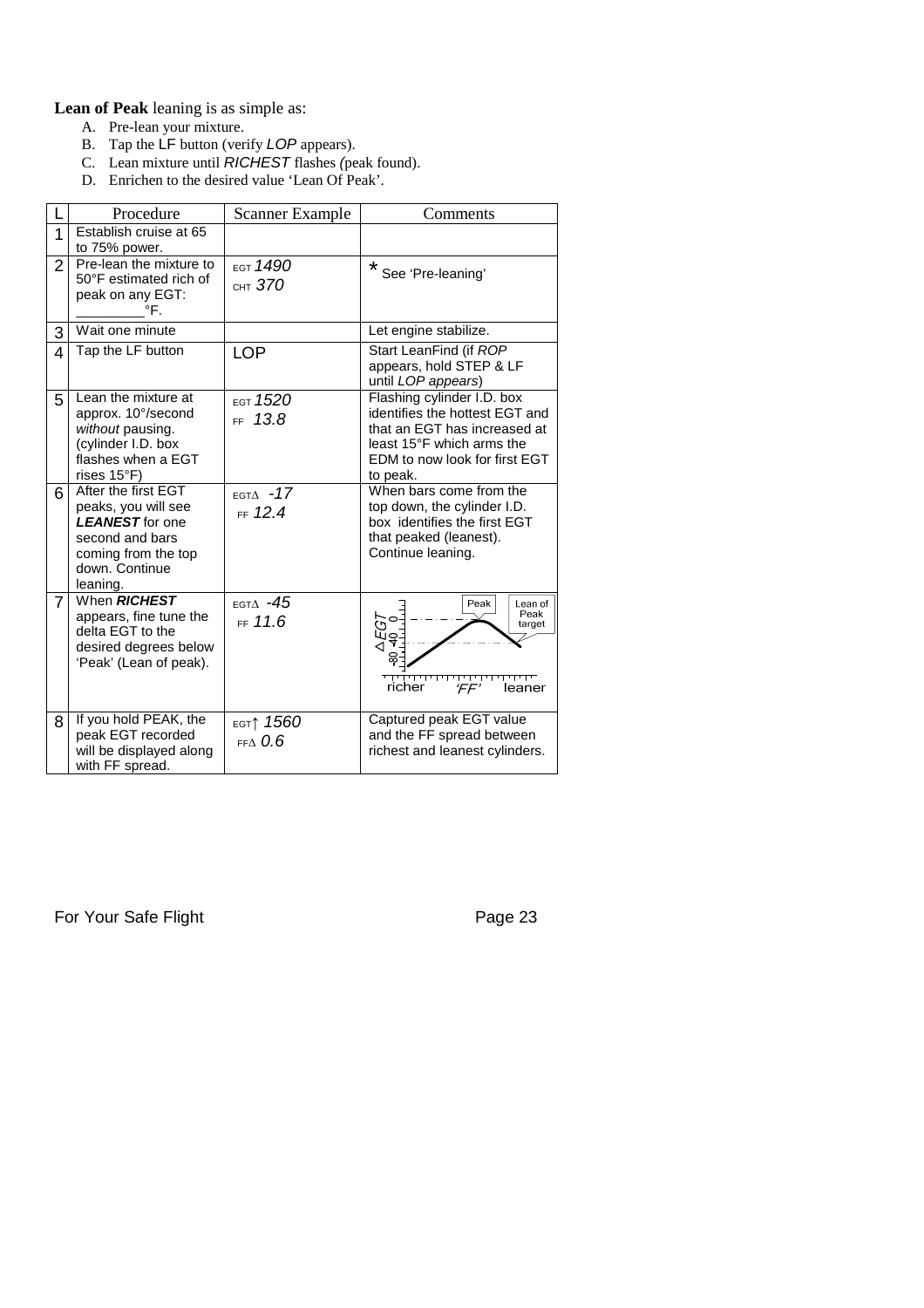**Lean of Peak** leaning is as simple as:

- A. Pre-lean your mixture.
- B. Tap the LF button (verify *LOP* appears).
- C. Lean mixture until *RICHEST* flashes *(*peak found).
- D. Enrichen to the desired value 'Lean Of Peak'.

|                | Procedure                                                                                                                                    | Scanner Example                          | Comments                                                                                                                                                               |
|----------------|----------------------------------------------------------------------------------------------------------------------------------------------|------------------------------------------|------------------------------------------------------------------------------------------------------------------------------------------------------------------------|
| 1              | Establish cruise at 65<br>to 75% power.                                                                                                      |                                          |                                                                                                                                                                        |
| $\overline{2}$ | Pre-lean the mixture to<br>50°F estimated rich of<br>peak on any EGT:<br>°F.                                                                 | EGT 1490<br>CHT $370$                    | *<br>See 'Pre-leaning'                                                                                                                                                 |
| 3              | Wait one minute                                                                                                                              |                                          | Let engine stabilize.                                                                                                                                                  |
| 4              | Tap the LF button                                                                                                                            | <b>LOP</b>                               | Start LeanFind (if ROP<br>appears, hold STEP & LF<br>until LOP appears)                                                                                                |
| 5              | Lean the mixture at<br>approx. 10°/second<br>without pausing.<br>(cylinder I.D. box<br>flashes when a EGT<br>rises $15^{\circ}$ F)           | EGT 1520<br>13.8<br>FF.                  | Flashing cylinder I.D. box<br>identifies the hottest EGT and<br>that an EGT has increased at<br>least 15°F which arms the<br>EDM to now look for first EGT<br>to peak. |
| 6              | After the first EGT<br>peaks, you will see<br><b>LEANEST</b> for one<br>second and bars<br>coming from the top<br>down. Continue<br>leaning. | EGT $\Delta$ -17<br>FF 12.4              | When bars come from the<br>top down, the cylinder I.D.<br>box identifies the first EGT<br>that peaked (leanest).<br>Continue leaning.                                  |
| $\overline{7}$ | When RICHEST<br>appears, fine tune the<br>delta EGT to the<br>desired degrees below<br>'Peak' (Lean of peak).                                | EGT $\Delta$ -45<br>FF 11.6              | Peak<br>Lean of<br>Peak<br>$E$<br>target<br>richer<br>$F$ $F'$<br>leaner                                                                                               |
| 8              | If you hold PEAK, the<br>peak EGT recorded<br>will be displayed along<br>with FF spread.                                                     | <sub>EGT</sub> ↑ 1560<br>$EF \wedge 0.6$ | Captured peak EGT value<br>and the FF spread between<br>richest and leanest cylinders.                                                                                 |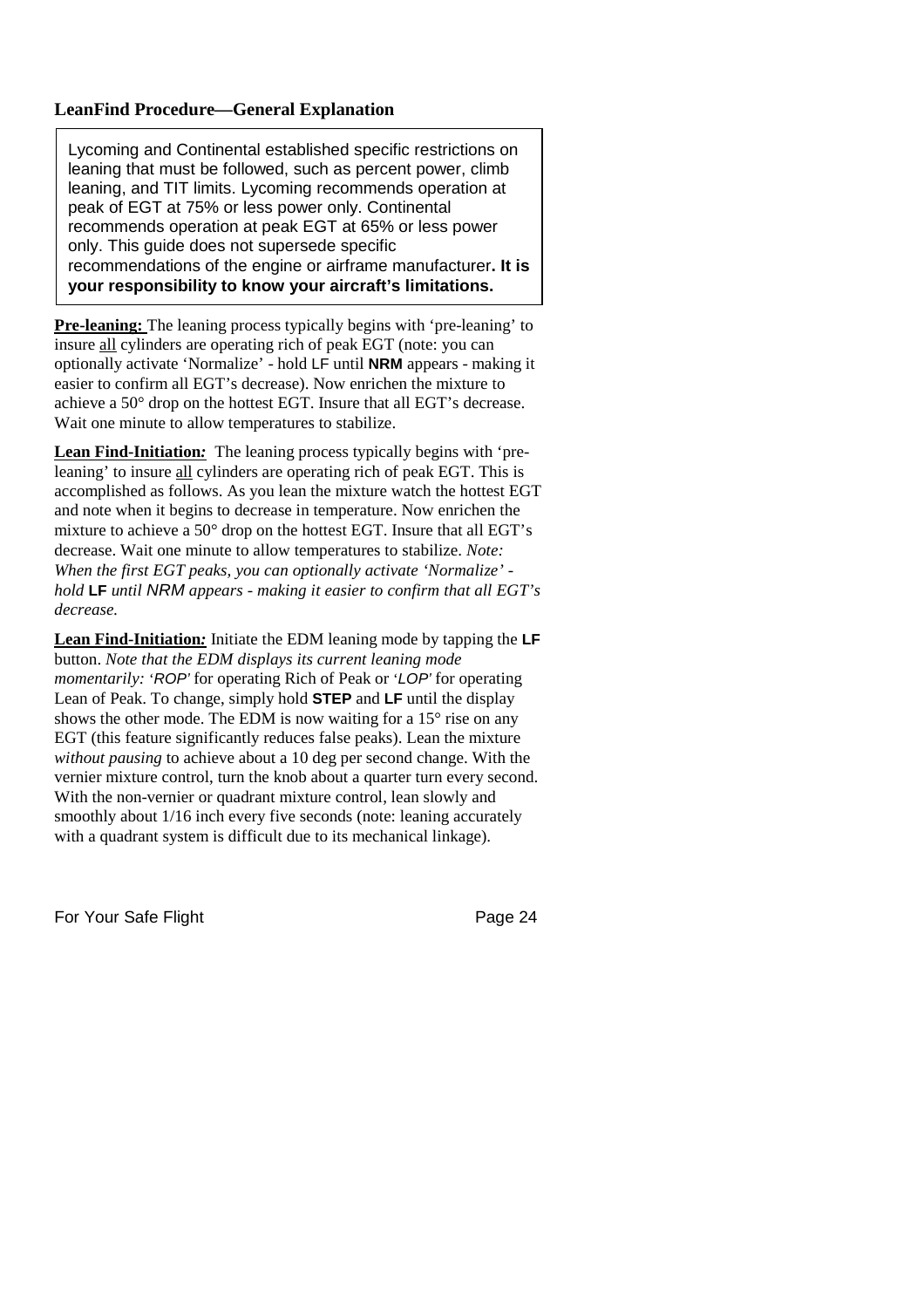#### **LeanFind Procedure—General Explanation**

Lycoming and Continental established specific restrictions on leaning that must be followed, such as percent power, climb leaning, and TIT limits. Lycoming recommends operation at peak of EGT at 75% or less power only. Continental recommends operation at peak EGT at 65% or less power only. This guide does not supersede specific recommendations of the engine or airframe manufacturer**. It is your responsibility to know your aircraft's limitations.**

**Pre-leaning:** The leaning process typically begins with 'pre-leaning' to insure all cylinders are operating rich of peak EGT (note: you can optionally activate 'Normalize' - hold LF until **NRM** appears - making it easier to confirm all EGT's decrease). Now enrichen the mixture to achieve a 50° drop on the hottest EGT. Insure that all EGT's decrease. Wait one minute to allow temperatures to stabilize.

**Lean Find-Initiation***:* The leaning process typically begins with 'preleaning' to insure all cylinders are operating rich of peak EGT. This is accomplished as follows. As you lean the mixture watch the hottest EGT and note when it begins to decrease in temperature. Now enrichen the mixture to achieve a 50° drop on the hottest EGT. Insure that all EGT's decrease. Wait one minute to allow temperatures to stabilize. *Note: When the first EGT peaks, you can optionally activate 'Normalize' hold* **LF** *until NRM appears - making it easier to confirm that all EGT's decrease.*

**Lean Find-Initiation***:* Initiate the EDM leaning mode by tapping the **LF** button. *Note that the EDM displays its current leaning mode momentarily:* '*ROP'* for operating Rich of Peak or '*LOP'* for operating Lean of Peak. To change, simply hold **STEP** and **LF** until the display shows the other mode. The EDM is now waiting for a 15° rise on any EGT (this feature significantly reduces false peaks). Lean the mixture *without pausing* to achieve about a 10 deg per second change. With the vernier mixture control, turn the knob about a quarter turn every second. With the non-vernier or quadrant mixture control, lean slowly and smoothly about 1/16 inch every five seconds (note: leaning accurately with a quadrant system is difficult due to its mechanical linkage).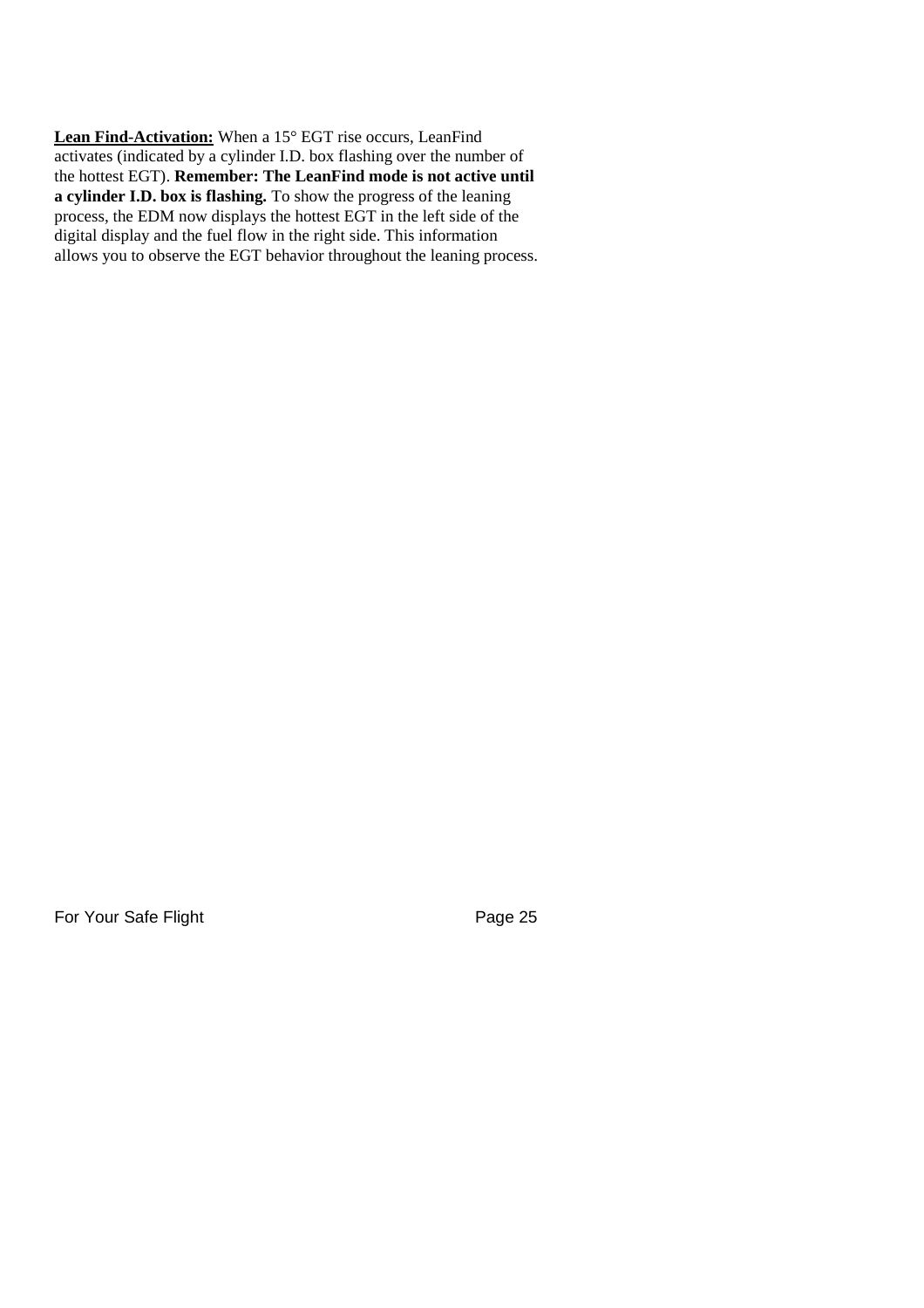**Lean Find-Activation:** When a 15° EGT rise occurs, LeanFind activates (indicated by a cylinder I.D. box flashing over the number of the hottest EGT). **Remember: The LeanFind mode is not active until a cylinder I.D. box is flashing.** To show the progress of the leaning process, the EDM now displays the hottest EGT in the left side of the digital display and the fuel flow in the right side. This information allows you to observe the EGT behavior throughout the leaning process.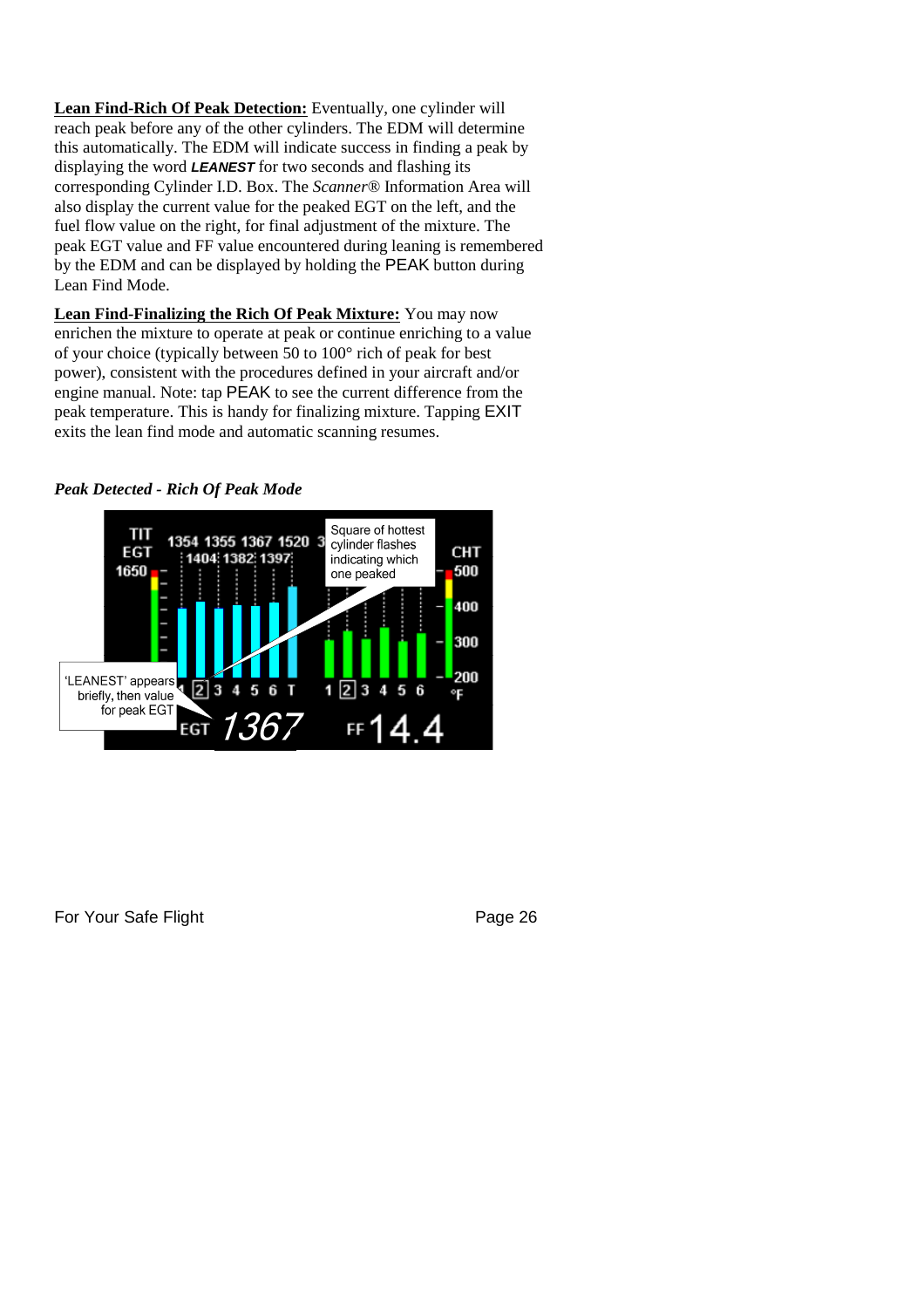**Lean Find-Rich Of Peak Detection:** Eventually, one cylinder will reach peak before any of the other cylinders. The EDM will determine this automatically. The EDM will indicate success in finding a peak by displaying the word *LEANEST* for two seconds and flashing its corresponding Cylinder I.D. Box. The *Scanner®* Information Area will also display the current value for the peaked EGT on the left, and the fuel flow value on the right, for final adjustment of the mixture. The peak EGT value and FF value encountered during leaning is remembered by the EDM and can be displayed by holding the PEAK button during Lean Find Mode.

**Lean Find-Finalizing the Rich Of Peak Mixture:** You may now enrichen the mixture to operate at peak or continue enriching to a value of your choice (typically between 50 to 100° rich of peak for best power), consistent with the procedures defined in your aircraft and/or engine manual. Note: tap PEAK to see the current difference from the peak temperature. This is handy for finalizing mixture. Tapping EXIT exits the lean find mode and automatic scanning resumes.

#### *Peak Detected - Rich Of Peak Mode*

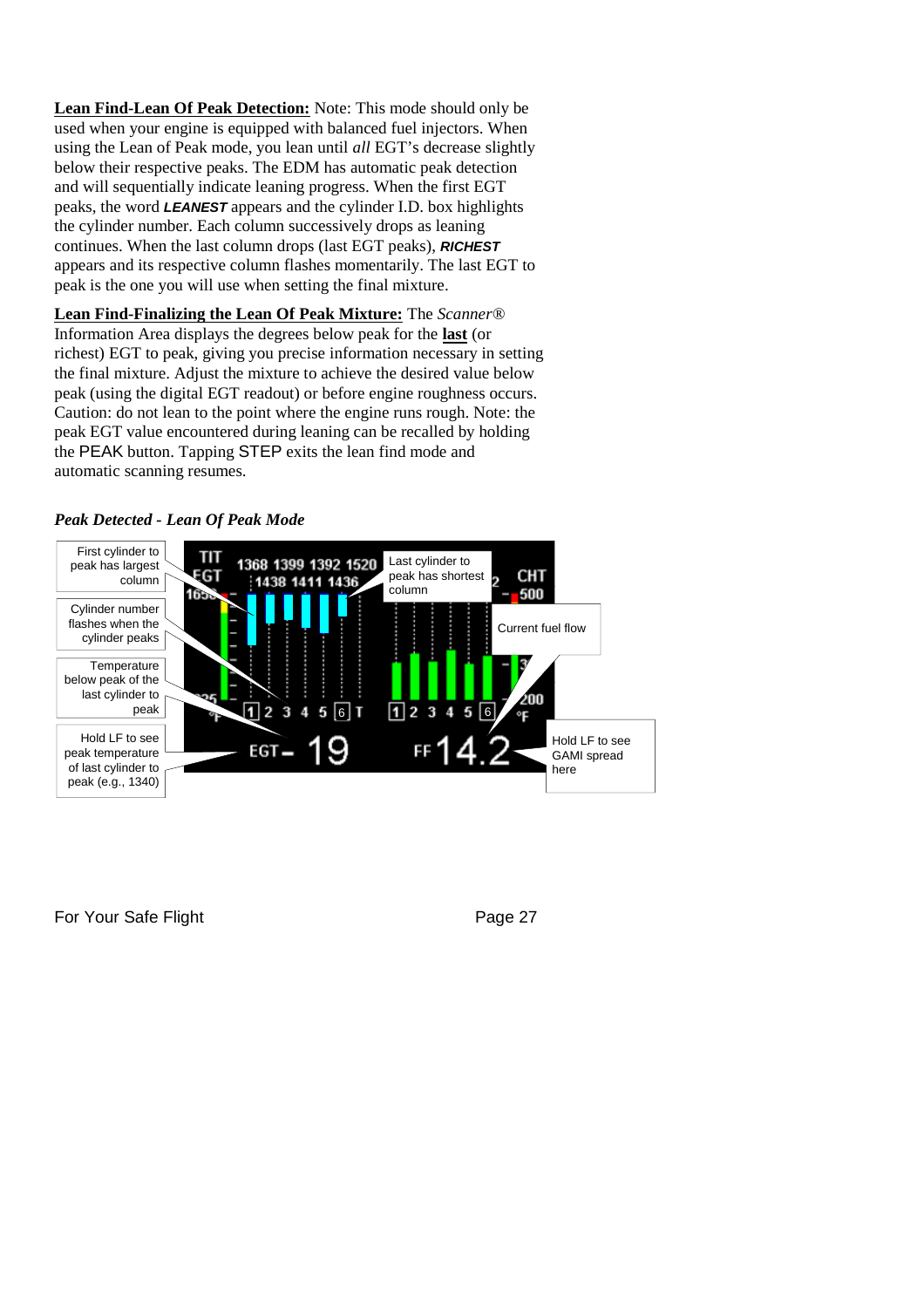**Lean Find-Lean Of Peak Detection:** Note: This mode should only be used when your engine is equipped with balanced fuel injectors. When using the Lean of Peak mode, you lean until *all* EGT's decrease slightly below their respective peaks. The EDM has automatic peak detection and will sequentially indicate leaning progress. When the first EGT peaks, the word *LEANEST* appears and the cylinder I.D. box highlights the cylinder number. Each column successively drops as leaning continues. When the last column drops (last EGT peaks), *RICHEST* appears and its respective column flashes momentarily. The last EGT to peak is the one you will use when setting the final mixture.

**Lean Find-Finalizing the Lean Of Peak Mixture:** The *Scanner®* Information Area displays the degrees below peak for the **last** (or richest) EGT to peak, giving you precise information necessary in setting the final mixture. Adjust the mixture to achieve the desired value below peak (using the digital EGT readout) or before engine roughness occurs. Caution: do not lean to the point where the engine runs rough. Note: the peak EGT value encountered during leaning can be recalled by holding the PEAK button. Tapping STEP exits the lean find mode and automatic scanning resumes.



#### *Peak Detected - Lean Of Peak Mode*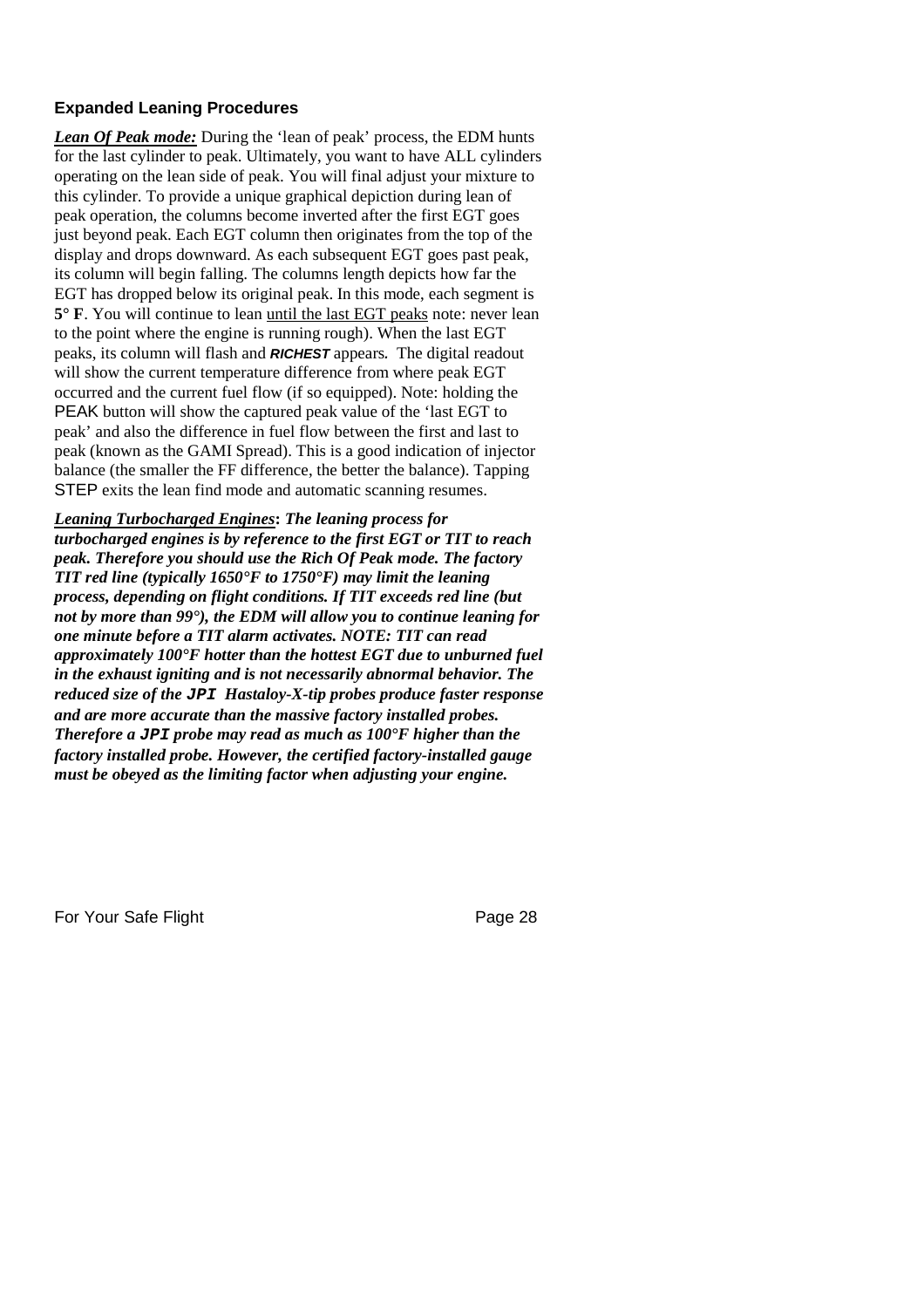#### **Expanded Leaning Procedures**

*Lean Of Peak mode:* During the 'lean of peak' process, the EDM hunts for the last cylinder to peak. Ultimately, you want to have ALL cylinders operating on the lean side of peak. You will final adjust your mixture to this cylinder. To provide a unique graphical depiction during lean of peak operation, the columns become inverted after the first EGT goes just beyond peak. Each EGT column then originates from the top of the display and drops downward. As each subsequent EGT goes past peak, its column will begin falling. The columns length depicts how far the EGT has dropped below its original peak. In this mode, each segment is **5° F**. You will continue to lean until the last EGT peaks note: never lean to the point where the engine is running rough). When the last EGT peaks, its column will flash and *RICHEST* appears*.* The digital readout will show the current temperature difference from where peak EGT occurred and the current fuel flow (if so equipped). Note: holding the PEAK button will show the captured peak value of the 'last EGT to peak' and also the difference in fuel flow between the first and last to peak (known as the GAMI Spread). This is a good indication of injector balance (the smaller the FF difference, the better the balance). Tapping STEP exits the lean find mode and automatic scanning resumes.

*Leaning Turbocharged Engines***:** *The leaning process for turbocharged engines is by reference to the first EGT or TIT to reach peak. Therefore you should use the Rich Of Peak mode. The factory TIT red line (typically 1650°F to 1750°F) may limit the leaning process, depending on flight conditions. If TIT exceeds red line (but not by more than 99°), the EDM will allow you to continue leaning for one minute before a TIT alarm activates. NOTE: TIT can read approximately 100°F hotter than the hottest EGT due to unburned fuel in the exhaust igniting and is not necessarily abnormal behavior. The reduced size of the JPI Hastaloy-X-tip probes produce faster response and are more accurate than the massive factory installed probes. Therefore a JPI probe may read as much as 100°F higher than the factory installed probe. However, the certified factory-installed gauge must be obeyed as the limiting factor when adjusting your engine.*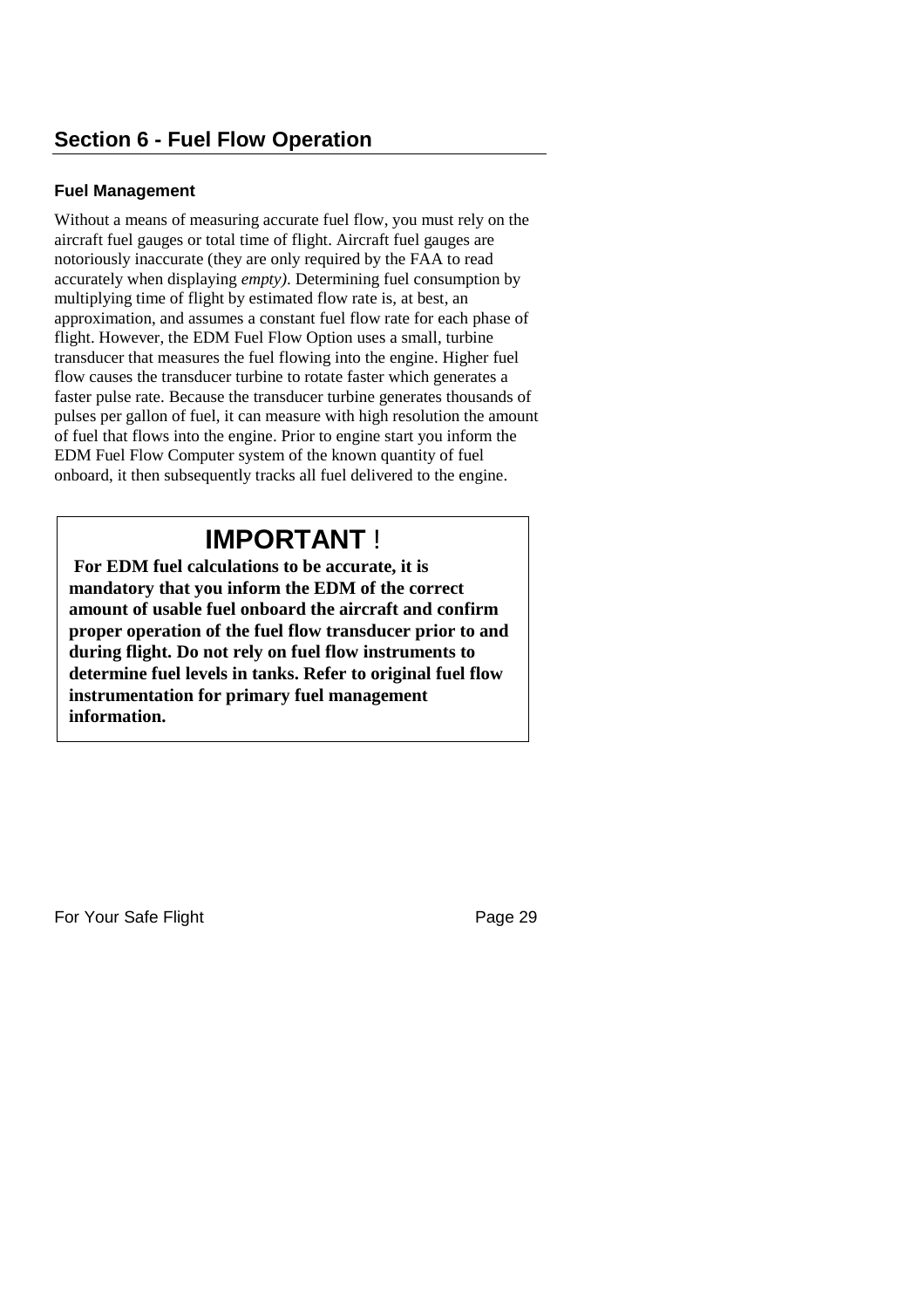#### **Fuel Management**

Without a means of measuring accurate fuel flow, you must rely on the aircraft fuel gauges or total time of flight. Aircraft fuel gauges are notoriously inaccurate (they are only required by the FAA to read accurately when displaying *empty)*. Determining fuel consumption by multiplying time of flight by estimated flow rate is, at best, an approximation, and assumes a constant fuel flow rate for each phase of flight. However, the EDM Fuel Flow Option uses a small, turbine transducer that measures the fuel flowing into the engine. Higher fuel flow causes the transducer turbine to rotate faster which generates a faster pulse rate. Because the transducer turbine generates thousands of pulses per gallon of fuel, it can measure with high resolution the amount of fuel that flows into the engine. Prior to engine start you inform the EDM Fuel Flow Computer system of the known quantity of fuel onboard, it then subsequently tracks all fuel delivered to the engine.

# **IMPORTANT** !

**For EDM fuel calculations to be accurate, it is mandatory that you inform the EDM of the correct amount of usable fuel onboard the aircraft and confirm proper operation of the fuel flow transducer prior to and during flight. Do not rely on fuel flow instruments to determine fuel levels in tanks. Refer to original fuel flow instrumentation for primary fuel management information.**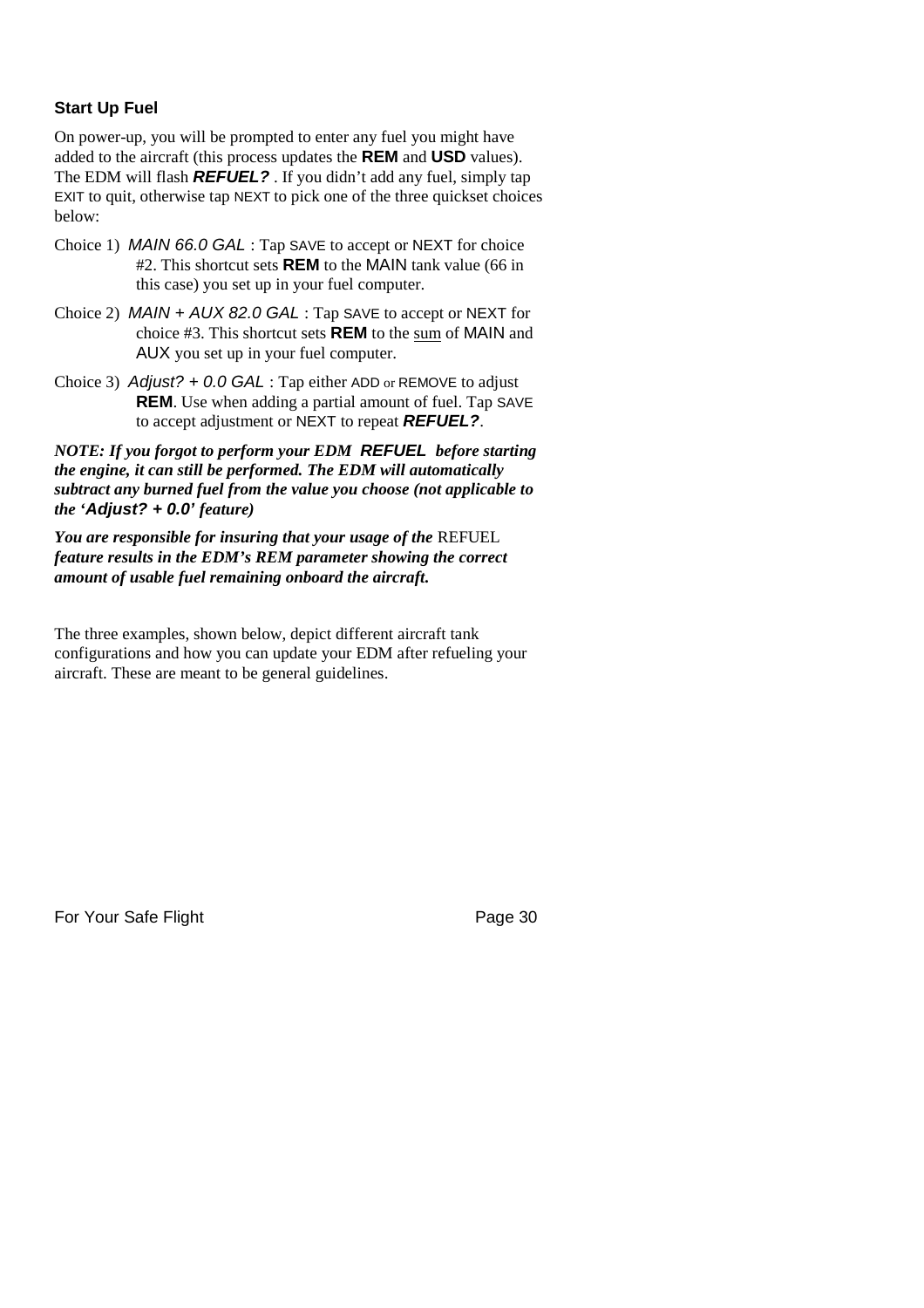#### **Start Up Fuel**

On power-up, you will be prompted to enter any fuel you might have added to the aircraft (this process updates the **REM** and **USD** values). The EDM will flash *REFUEL?* . If you didn't add any fuel, simply tap EXIT to quit, otherwise tap NEXT to pick one of the three quickset choices below:

- Choice 1) *MAIN 66.0 GAL* : Tap SAVE to accept or NEXT for choice #2. This shortcut sets **REM** to the MAIN tank value (66 in this case) you set up in your fuel computer.
- Choice 2) *MAIN + AUX 82.0 GAL* : Tap SAVE to accept or NEXT for choice #3. This shortcut sets **REM** to the sum of MAIN and AUX you set up in your fuel computer.
- Choice 3) *Adjust? + 0.0 GAL* : Tap either ADD or REMOVE to adjust **REM**. Use when adding a partial amount of fuel. Tap SAVE to accept adjustment or NEXT to repeat *REFUEL?*.

*NOTE: If you forgot to perform your EDM REFUEL before starting the engine, it can still be performed. The EDM will automatically subtract any burned fuel from the value you choose (not applicable to the 'Adjust? + 0.0' feature)*

*You are responsible for insuring that your usage of the* REFUEL *feature results in the EDM's REM parameter showing the correct amount of usable fuel remaining onboard the aircraft.*

The three examples, shown below, depict different aircraft tank configurations and how you can update your EDM after refueling your aircraft. These are meant to be general guidelines.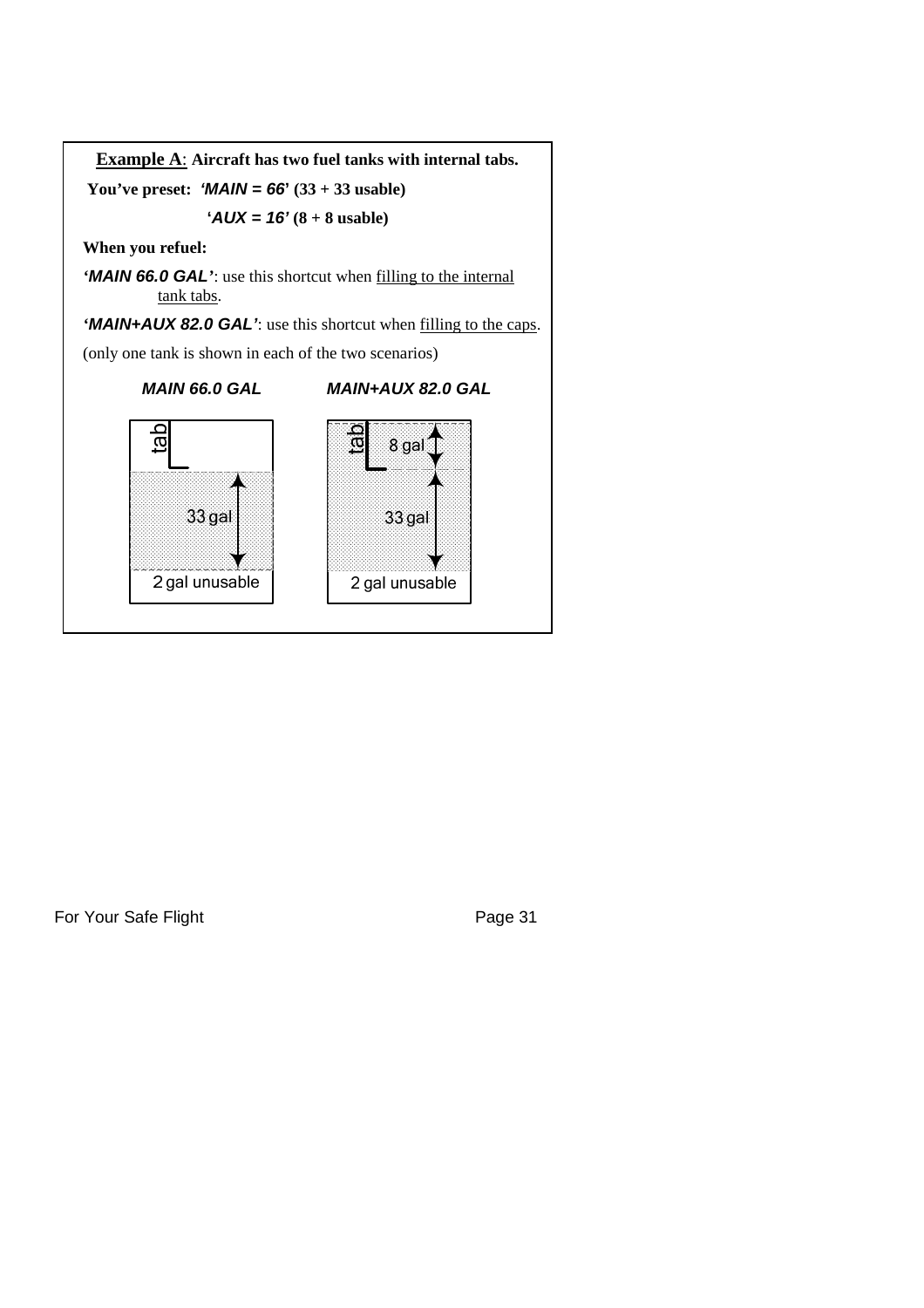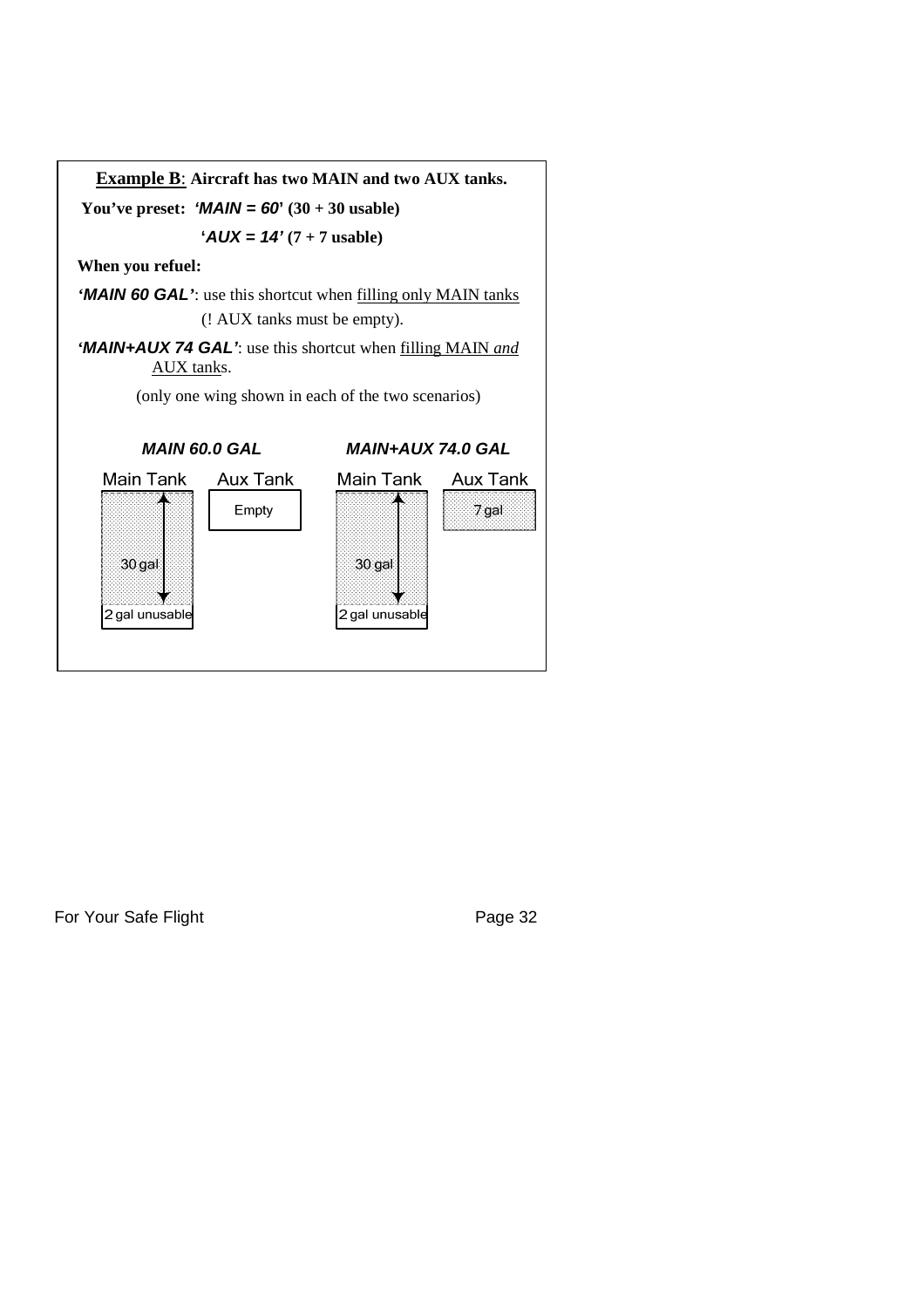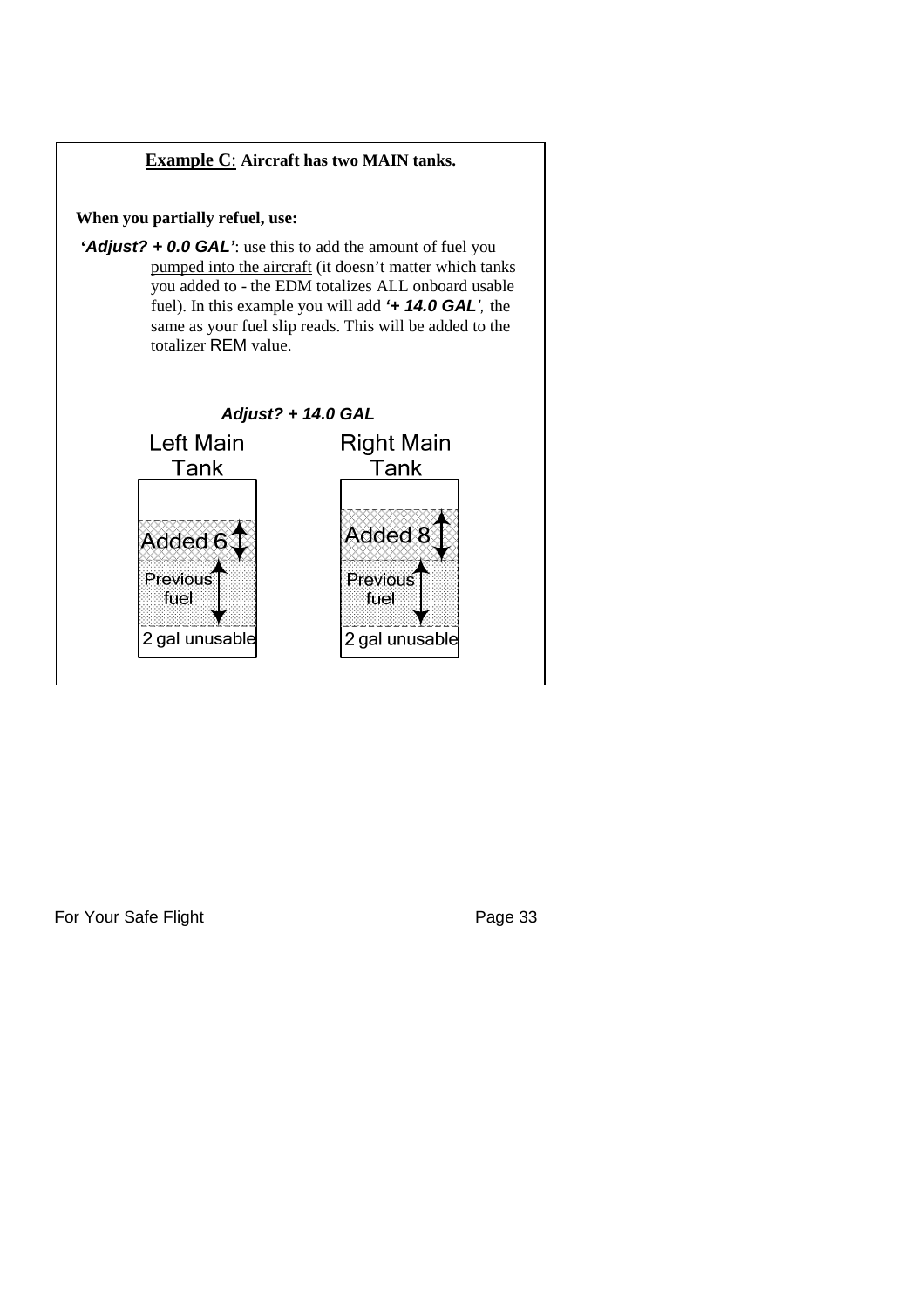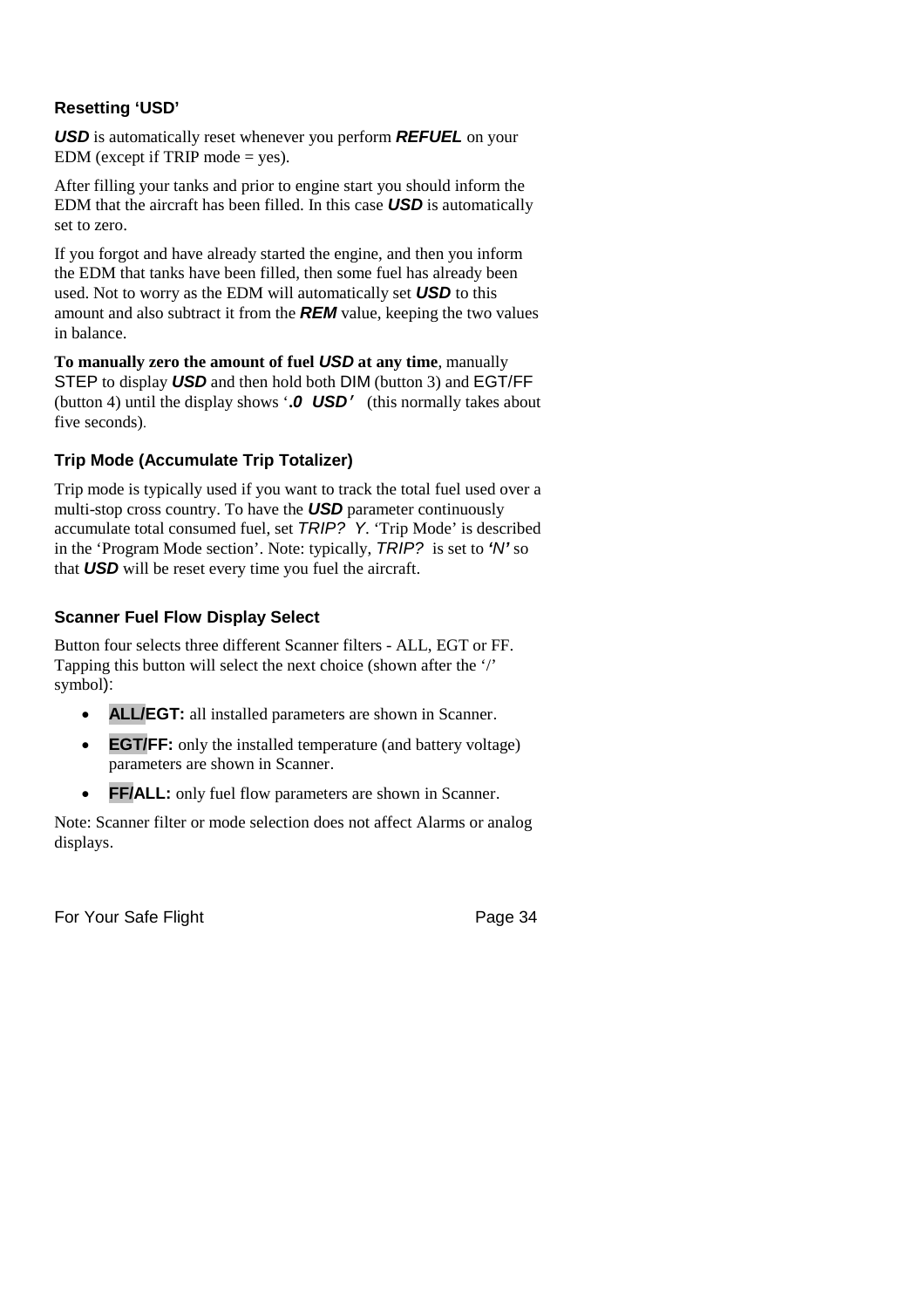## **Resetting 'USD'**

*USD* is automatically reset whenever you perform *REFUEL* on your EDM (except if TRIP mode  $=$  yes).

After filling your tanks and prior to engine start you should inform the EDM that the aircraft has been filled. In this case *USD* is automatically set to zero.

If you forgot and have already started the engine, and then you inform the EDM that tanks have been filled, then some fuel has already been used. Not to worry as the EDM will automatically set *USD* to this amount and also subtract it from the *REM* value, keeping the two values in balance.

**To manually zero the amount of fuel** *USD* **at any time**, manually STEP to display *USD* and then hold both DIM (button 3) and EGT/FF (button 4) until the display shows '**.***0 USD*' (this normally takes about five seconds).

## **Trip Mode (Accumulate Trip Totalizer)**

Trip mode is typically used if you want to track the total fuel used over a multi-stop cross country. To have the *USD* parameter continuously accumulate total consumed fuel, set *TRIP? Y*. 'Trip Mode' is described in the 'Program Mode section'. Note: typically, *TRIP?* is set to *'N'* so that *USD* will be reset every time you fuel the aircraft.

## **Scanner Fuel Flow Display Select**

Button four selects three different Scanner filters - ALL, EGT or FF. Tapping this button will select the next choice (shown after the '/' symbol):

- **ALL/EGT:** all installed parameters are shown in Scanner.
- **EGT/FF:** only the installed temperature (and battery voltage) parameters are shown in Scanner.
- **FF/ALL:** only fuel flow parameters are shown in Scanner.

Note: Scanner filter or mode selection does not affect Alarms or analog displays.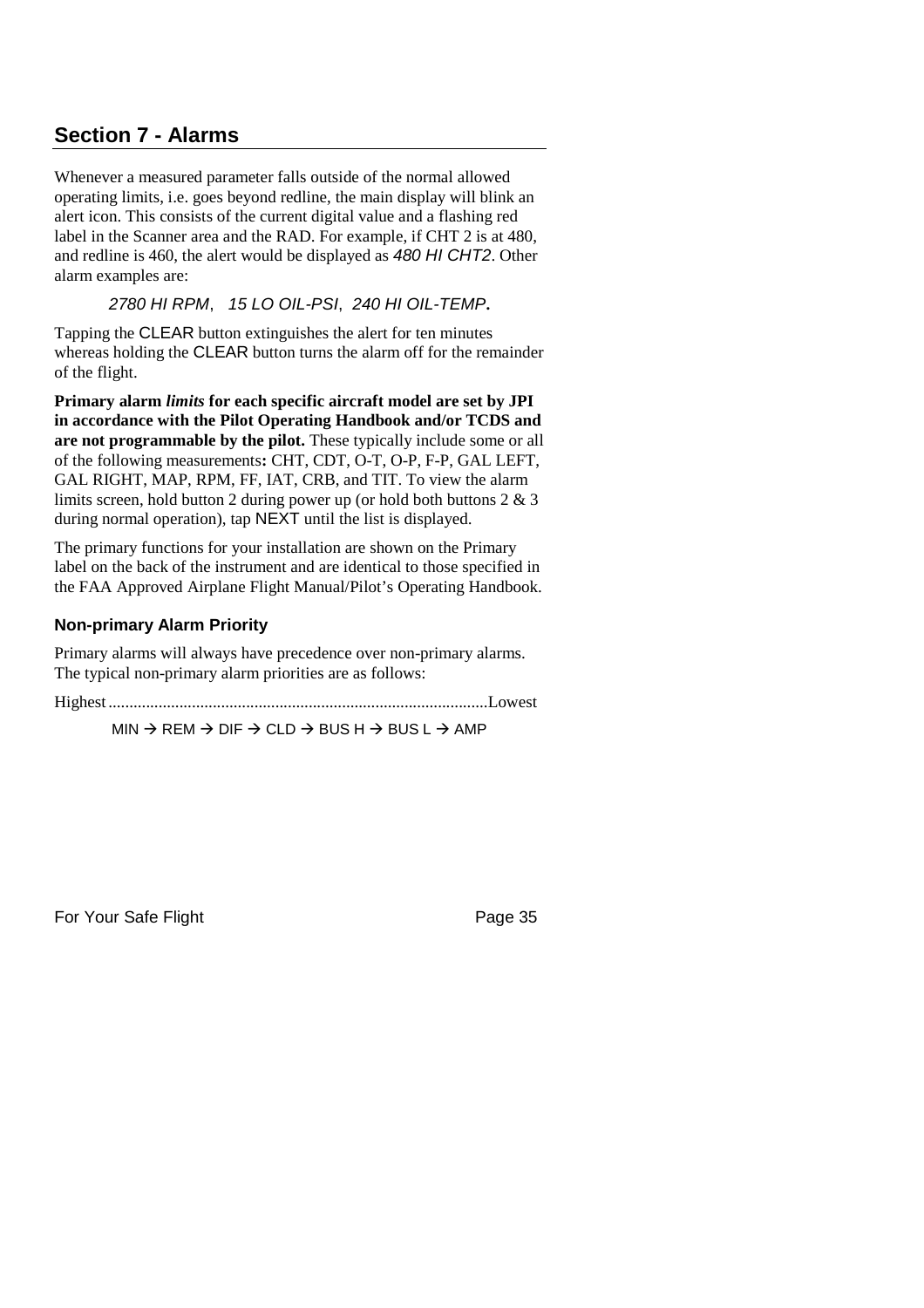# **Section 7 - Alarms**

Whenever a measured parameter falls outside of the normal allowed operating limits, i.e. goes beyond redline, the main display will blink an alert icon. This consists of the current digital value and a flashing red label in the Scanner area and the RAD. For example, if CHT 2 is at 480, and redline is 460, the alert would be displayed as *480 HI CHT2*. Other alarm examples are:

*2780 HI RPM*, *15 LO OIL-PSI*, *240 HI OIL-TEMP***.**

Tapping the CLEAR button extinguishes the alert for ten minutes whereas holding the CLEAR button turns the alarm off for the remainder of the flight.

**Primary alarm** *limits* **for each specific aircraft model are set by JPI in accordance with the Pilot Operating Handbook and/or TCDS and are not programmable by the pilot.** These typically include some or all of the following measurements**:** CHT, CDT, O-T, O-P, F-P, GAL LEFT, GAL RIGHT, MAP, RPM, FF, IAT, CRB, and TIT. To view the alarm limits screen, hold button 2 during power up (or hold both buttons 2 & 3 during normal operation), tap NEXT until the list is displayed.

The primary functions for your installation are shown on the Primary label on the back of the instrument and are identical to those specified in the FAA Approved Airplane Flight Manual/Pilot's Operating Handbook.

## **Non-primary Alarm Priority**

Primary alarms will always have precedence over non-primary alarms. The typical non-primary alarm priorities are as follows:

Highest ...........................................................................................Lowest

 $MIN \rightarrow REM \rightarrow DIF \rightarrow CLD \rightarrow BUS H \rightarrow BUS L \rightarrow AMP$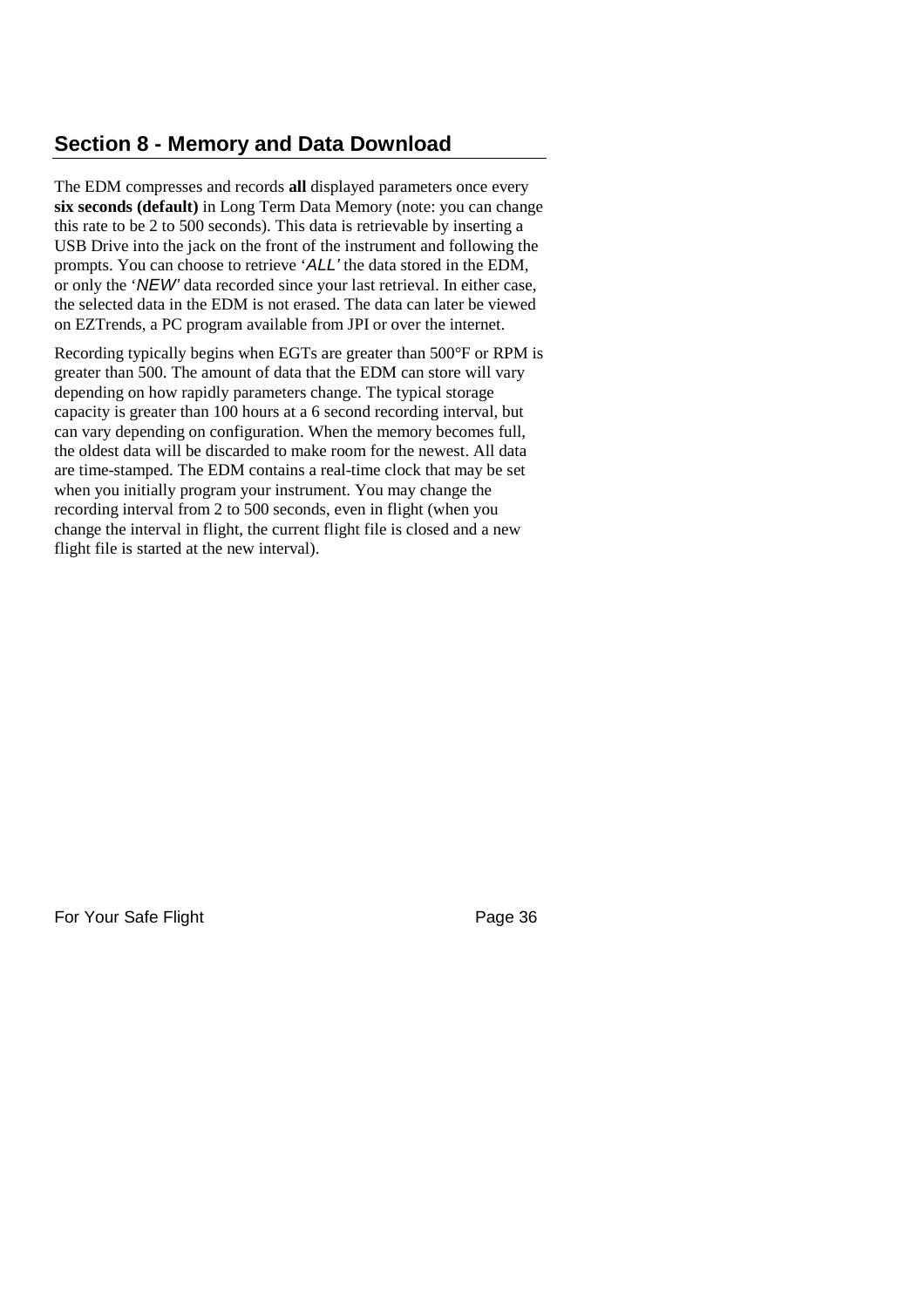# **Section 8 - Memory and Data Download**

The EDM compresses and records **all** displayed parameters once every **six seconds (default)** in Long Term Data Memory (note: you can change this rate to be 2 to 500 seconds). This data is retrievable by inserting a USB Drive into the jack on the front of the instrument and following the prompts. You can choose to retrieve '*ALL'* the data stored in the EDM, or only the '*NEW'* data recorded since your last retrieval. In either case, the selected data in the EDM is not erased. The data can later be viewed on EZTrends, a PC program available from JPI or over the internet.

Recording typically begins when EGTs are greater than 500°F or RPM is greater than 500. The amount of data that the EDM can store will vary depending on how rapidly parameters change. The typical storage capacity is greater than 100 hours at a 6 second recording interval, but can vary depending on configuration. When the memory becomes full, the oldest data will be discarded to make room for the newest. All data are time-stamped. The EDM contains a real-time clock that may be set when you initially program your instrument. You may change the recording interval from 2 to 500 seconds, even in flight (when you change the interval in flight, the current flight file is closed and a new flight file is started at the new interval).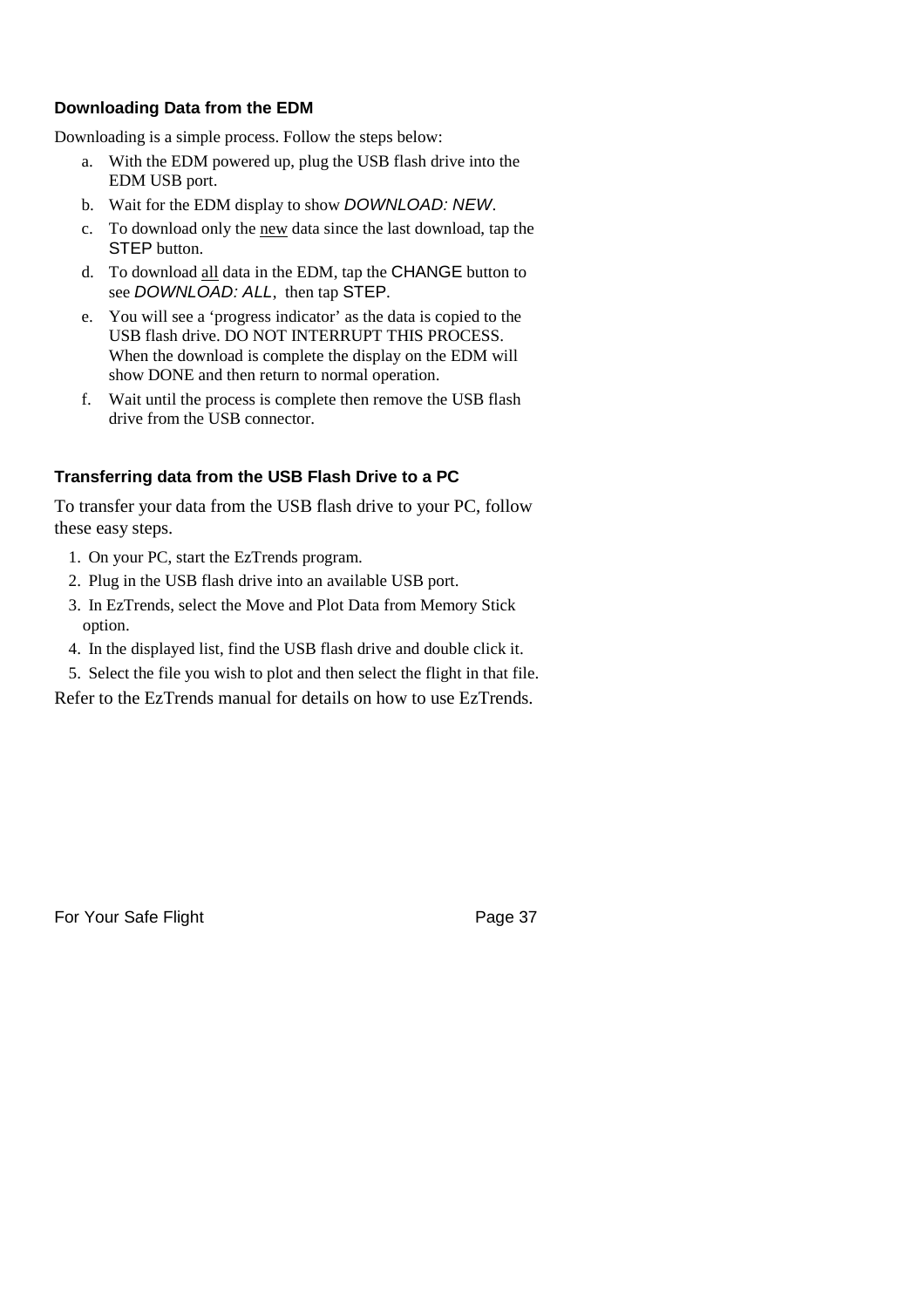## **Downloading Data from the EDM**

Downloading is a simple process. Follow the steps below:

- a. With the EDM powered up, plug the USB flash drive into the EDM USB port.
- b. Wait for the EDM display to show *DOWNLOAD: NEW*.
- c. To download only the new data since the last download, tap the STEP button.
- d. To download all data in the EDM, tap the CHANGE button to see *DOWNLOAD: ALL*, then tap STEP.
- e. You will see a 'progress indicator' as the data is copied to the USB flash drive. DO NOT INTERRUPT THIS PROCESS. When the download is complete the display on the EDM will show DONE and then return to normal operation.
- f. Wait until the process is complete then remove the USB flash drive from the USB connector.

## **Transferring data from the USB Flash Drive to a PC**

To transfer your data from the USB flash drive to your PC, follow these easy steps.

- 1. On your PC, start the EzTrends program.
- 2. Plug in the USB flash drive into an available USB port.
- 3. In EzTrends, select the Move and Plot Data from Memory Stick option.
- 4. In the displayed list, find the USB flash drive and double click it.
- 5. Select the file you wish to plot and then select the flight in that file.

Refer to the EzTrends manual for details on how to use EzTrends.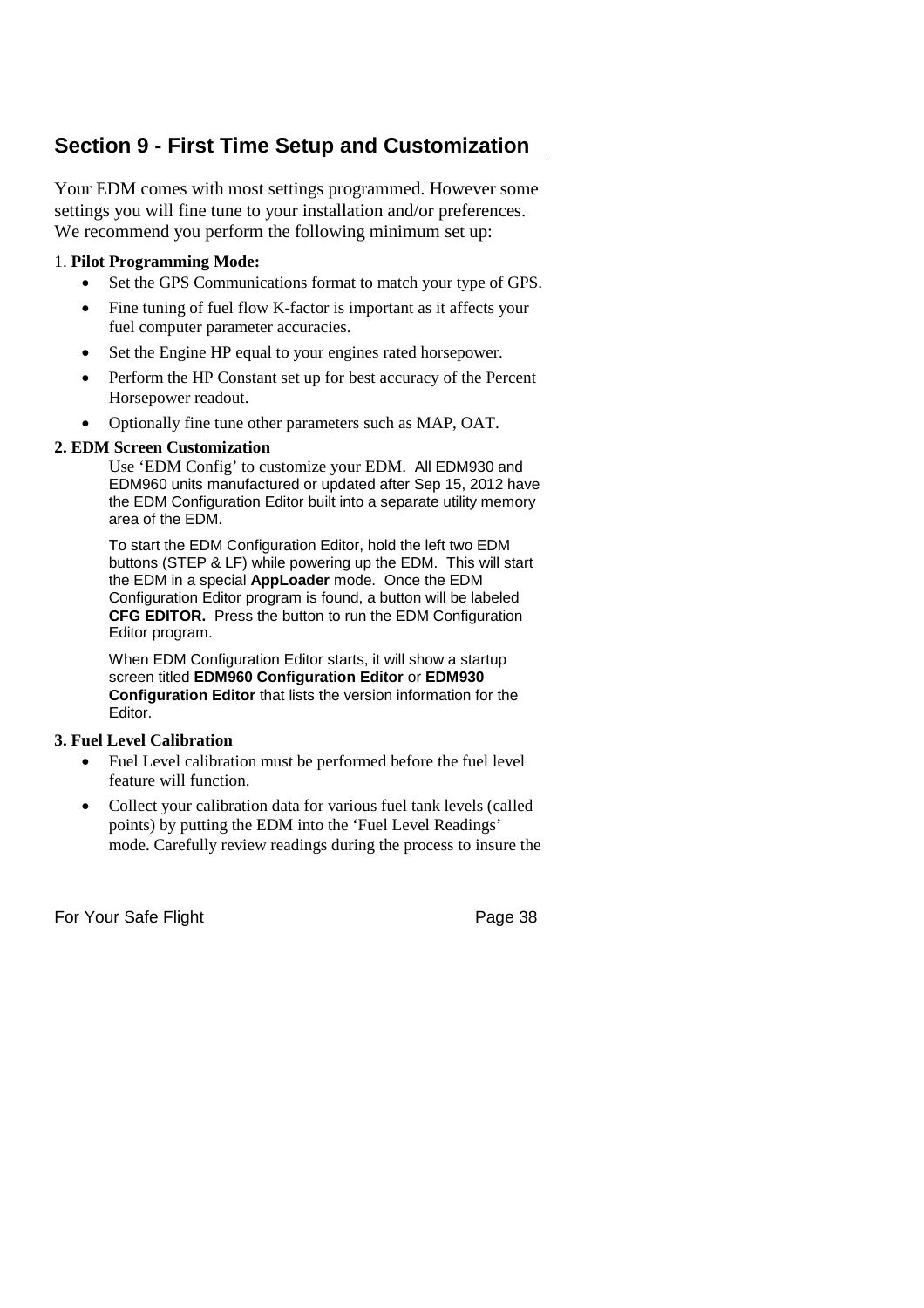# **Section 9 - First Time Setup and Customization**

Your EDM comes with most settings programmed. However some settings you will fine tune to your installation and/or preferences. We recommend you perform the following minimum set up:

## 1. **Pilot Programming Mode:**

- Set the GPS Communications format to match your type of GPS.
- Fine tuning of fuel flow K-factor is important as it affects your fuel computer parameter accuracies.
- Set the Engine HP equal to your engines rated horsepower.
- Perform the HP Constant set up for best accuracy of the Percent Horsepower readout.
- Optionally fine tune other parameters such as MAP, OAT.

## **2. EDM Screen Customization**

Use 'EDM Config' to customize your EDM. All EDM930 and EDM960 units manufactured or updated after Sep 15, 2012 have the EDM Configuration Editor built into a separate utility memory area of the EDM.

To start the EDM Configuration Editor, hold the left two EDM buttons (STEP & LF) while powering up the EDM. This will start the EDM in a special **AppLoader** mode. Once the EDM Configuration Editor program is found, a button will be labeled **CFG EDITOR.** Press the button to run the EDM Configuration Editor program.

When EDM Configuration Editor starts, it will show a startup screen titled **EDM960 Configuration Editor** or **EDM930 Configuration Editor** that lists the version information for the Editor.

## **3. Fuel Level Calibration**

- Fuel Level calibration must be performed before the fuel level feature will function.
- Collect your calibration data for various fuel tank levels (called points) by putting the EDM into the 'Fuel Level Readings' mode. Carefully review readings during the process to insure the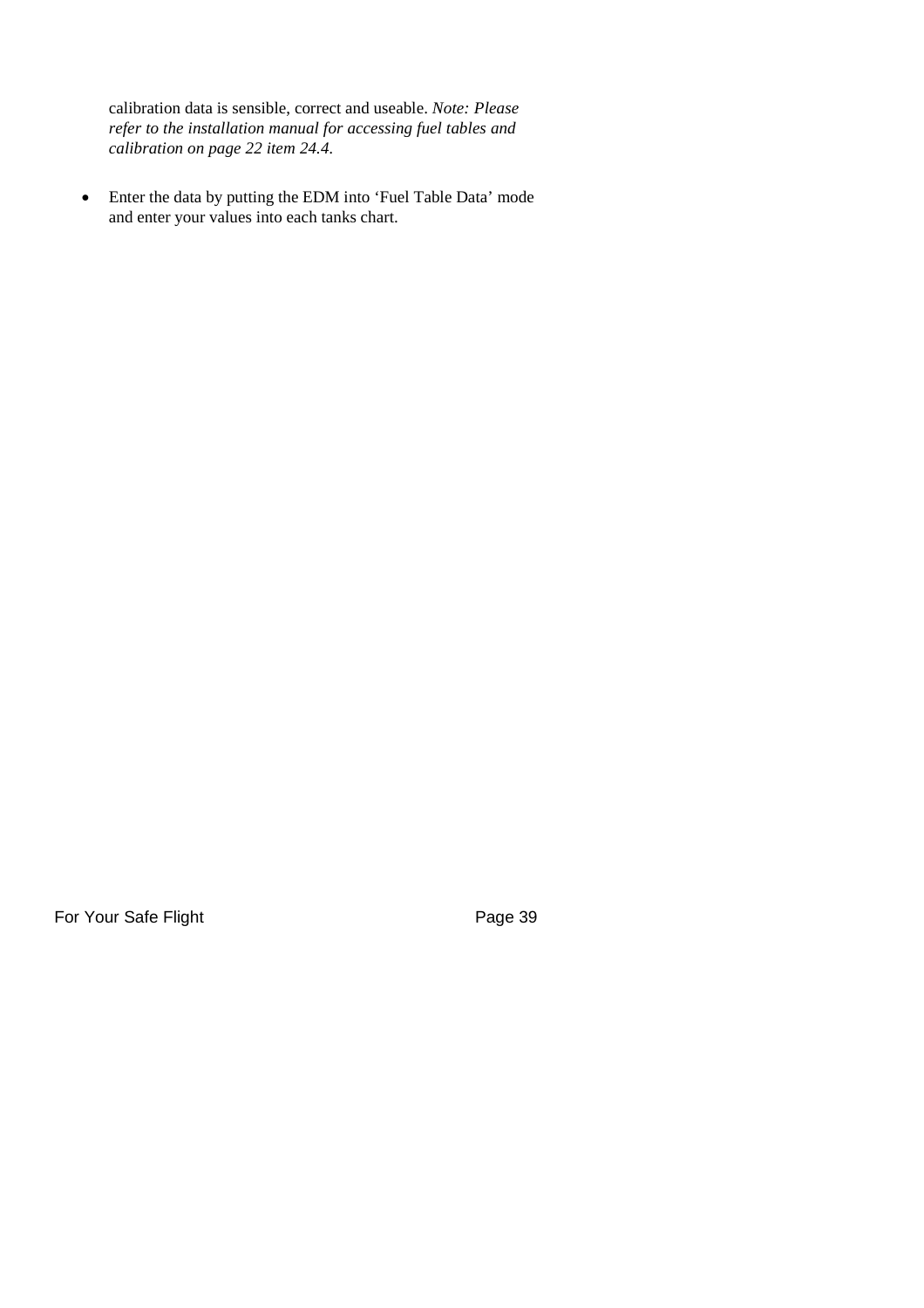calibration data is sensible, correct and useable. *Note: Please refer to the installation manual for accessing fuel tables and calibration on page 22 item 24.4.*

 Enter the data by putting the EDM into 'Fuel Table Data' mode and enter your values into each tanks chart.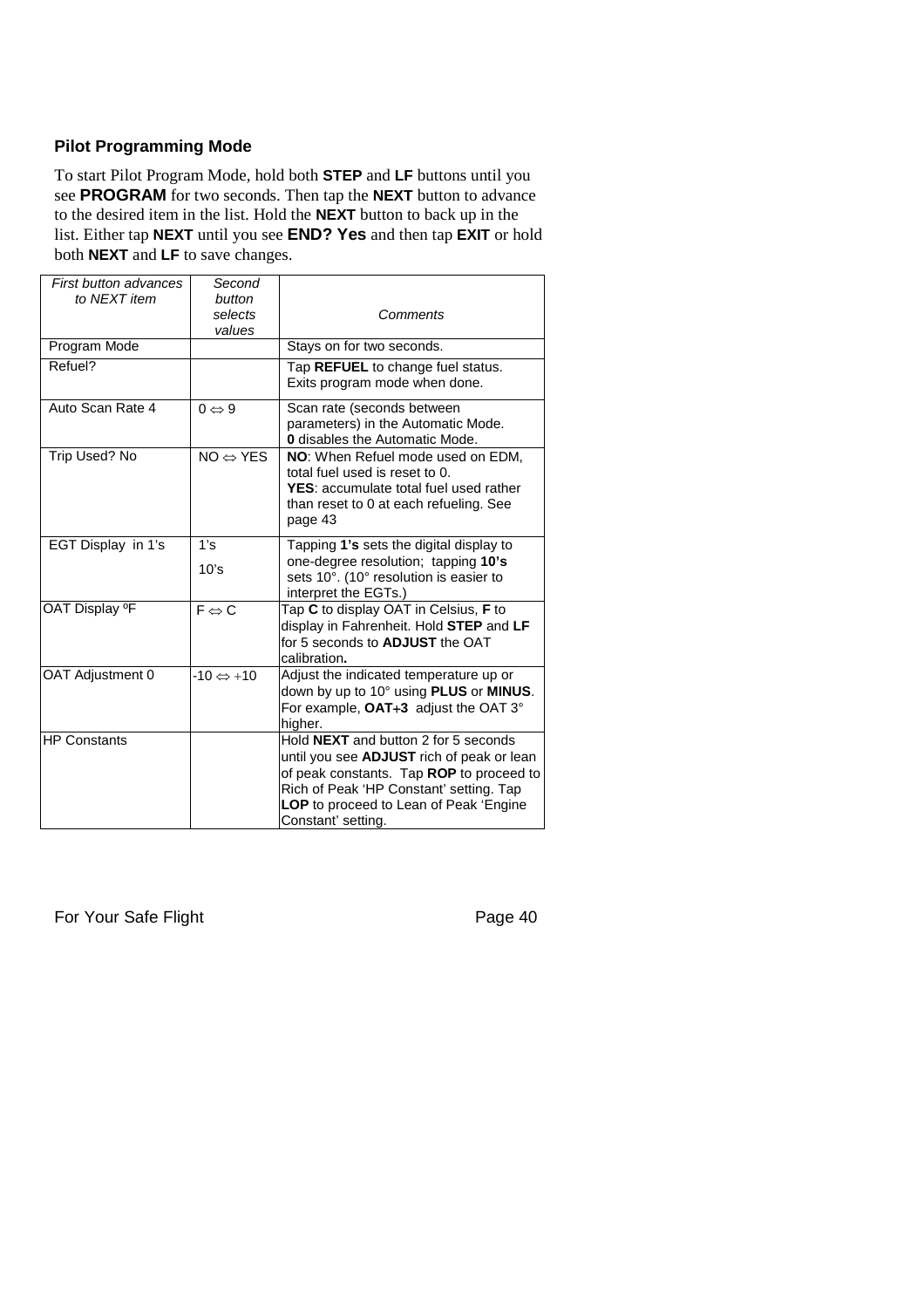## **Pilot Programming Mode**

To start Pilot Program Mode, hold both **STEP** and **LF** buttons until you see **PROGRAM** for two seconds. Then tap the **NEXT** button to advance to the desired item in the list. Hold the **NEXT** button to back up in the list. Either tap **NEXT** until you see **END? Yes** and then tap **EXIT** or hold both **NEXT** and **LF** to save changes.

| <b>First button advances</b><br>to NEXT item | Second<br>button<br>selects<br>values | Comments                                                                                                                                                                                                                                               |
|----------------------------------------------|---------------------------------------|--------------------------------------------------------------------------------------------------------------------------------------------------------------------------------------------------------------------------------------------------------|
| Program Mode                                 |                                       | Stays on for two seconds.                                                                                                                                                                                                                              |
| Refuel?                                      |                                       | Tap REFUEL to change fuel status.<br>Exits program mode when done.                                                                                                                                                                                     |
| Auto Scan Rate 4                             | $0 \Leftrightarrow 9$                 | Scan rate (seconds between<br>parameters) in the Automatic Mode.<br><b>0</b> disables the Automatic Mode.                                                                                                                                              |
| Trip Used? No                                | $NO \Leftrightarrow YES$              | NO: When Refuel mode used on EDM,<br>total fuel used is reset to 0.<br><b>YES:</b> accumulate total fuel used rather<br>than reset to 0 at each refueling. See<br>page 43                                                                              |
| EGT Display in 1's                           | 1's<br>10's                           | Tapping 1's sets the digital display to<br>one-degree resolution; tapping 10's<br>sets 10°. (10° resolution is easier to<br>interpret the EGTs.)                                                                                                       |
| OAT Display <sup>o</sup> F                   | $F \Leftrightarrow C$                 | Tap C to display OAT in Celsius, F to<br>display in Fahrenheit. Hold STEP and LF<br>for 5 seconds to <b>ADJUST</b> the OAT<br>calibration.                                                                                                             |
| OAT Adjustment 0                             | $-10 \Leftrightarrow +10$             | Adjust the indicated temperature up or<br>down by up to 10° using PLUS or MINUS.<br>For example, OAT+3 adjust the OAT 3°<br>higher.                                                                                                                    |
| <b>IHP Constants</b>                         |                                       | Hold <b>NEXT</b> and button 2 for 5 seconds<br>until you see <b>ADJUST</b> rich of peak or lean<br>of peak constants. Tap ROP to proceed to<br>Rich of Peak 'HP Constant' setting. Tap<br>LOP to proceed to Lean of Peak 'Engine<br>Constant' setting. |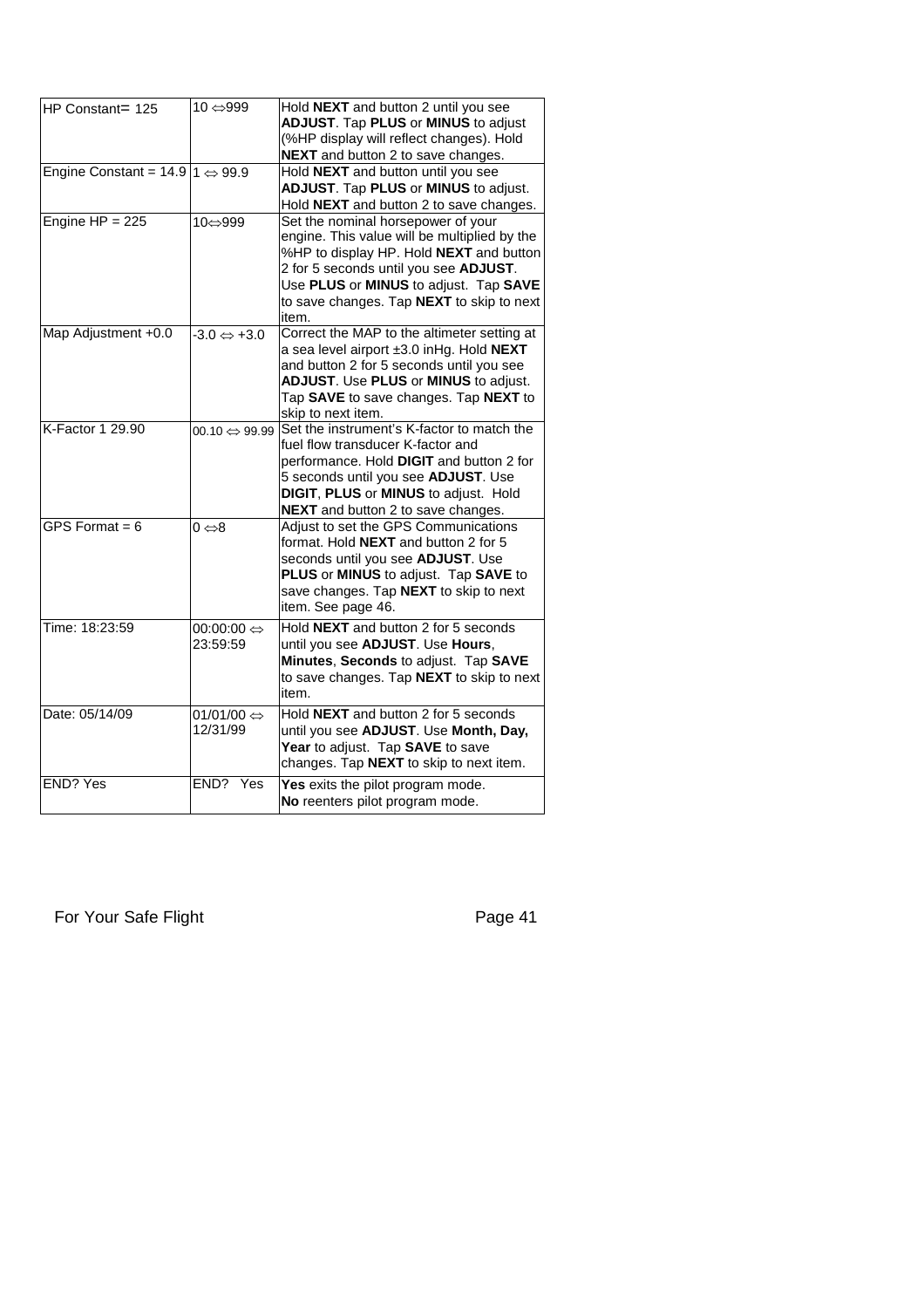| HP Constant= 125                                     | 10 ⇔999                                | Hold <b>NEXT</b> and button 2 until you see<br><b>ADJUST.</b> Tap <b>PLUS</b> or <b>MINUS</b> to adjust<br>(%HP display will reflect changes). Hold<br><b>NEXT</b> and button 2 to save changes.                                                                      |
|------------------------------------------------------|----------------------------------------|-----------------------------------------------------------------------------------------------------------------------------------------------------------------------------------------------------------------------------------------------------------------------|
| Engine Constant = $14.9 \mid 1 \Leftrightarrow 99.9$ |                                        | Hold NEXT and button until you see<br>ADJUST. Tap PLUS or MINUS to adjust.<br>Hold NEXT and button 2 to save changes.                                                                                                                                                 |
| Engine $HP = 225$                                    | 10⇔999                                 | Set the nominal horsepower of your<br>engine. This value will be multiplied by the<br>%HP to display HP. Hold NEXT and button<br>2 for 5 seconds until you see ADJUST.<br>Use PLUS or MINUS to adjust. Tap SAVE<br>to save changes. Tap NEXT to skip to next<br>item. |
| Map Adjustment +0.0                                  | $-3.0 \Leftrightarrow +3.0$            | Correct the MAP to the altimeter setting at<br>a sea level airport ±3.0 inHg. Hold NEXT<br>and button 2 for 5 seconds until you see<br><b>ADJUST.</b> Use <b>PLUS</b> or <b>MINUS</b> to adjust.<br>Tap SAVE to save changes. Tap NEXT to<br>skip to next item.       |
| K-Factor 1 29.90                                     | $00.10 \Leftrightarrow 99.99$          | Set the instrument's K-factor to match the<br>fuel flow transducer K-factor and<br>performance. Hold DIGIT and button 2 for<br>5 seconds until you see ADJUST. Use<br><b>DIGIT, PLUS or MINUS to adjust. Hold</b><br><b>NEXT</b> and button 2 to save changes.        |
| GPS Format = $6$                                     | $0 \Leftrightarrow 8$                  | Adjust to set the GPS Communications<br>format. Hold NEXT and button 2 for 5<br>seconds until you see ADJUST. Use<br>PLUS or MINUS to adjust. Tap SAVE to<br>save changes. Tap NEXT to skip to next<br>item. See page 46.                                             |
| Time: 18:23:59                                       | $00:00:00 \Leftrightarrow$<br>23:59:59 | Hold <b>NEXT</b> and button 2 for 5 seconds<br>until you see ADJUST. Use Hours,<br>Minutes, Seconds to adjust. Tap SAVE<br>to save changes. Tap NEXT to skip to next<br>item.                                                                                         |
| Date: 05/14/09                                       | 01/01/00 $\Leftrightarrow$<br>12/31/99 | Hold <b>NEXT</b> and button 2 for 5 seconds<br>until you see ADJUST. Use Month, Day,<br>Year to adjust. Tap SAVE to save<br>changes. Tap NEXT to skip to next item.                                                                                                   |
| <b>END? Yes</b>                                      | END? Yes                               | Yes exits the pilot program mode.<br>No reenters pilot program mode.                                                                                                                                                                                                  |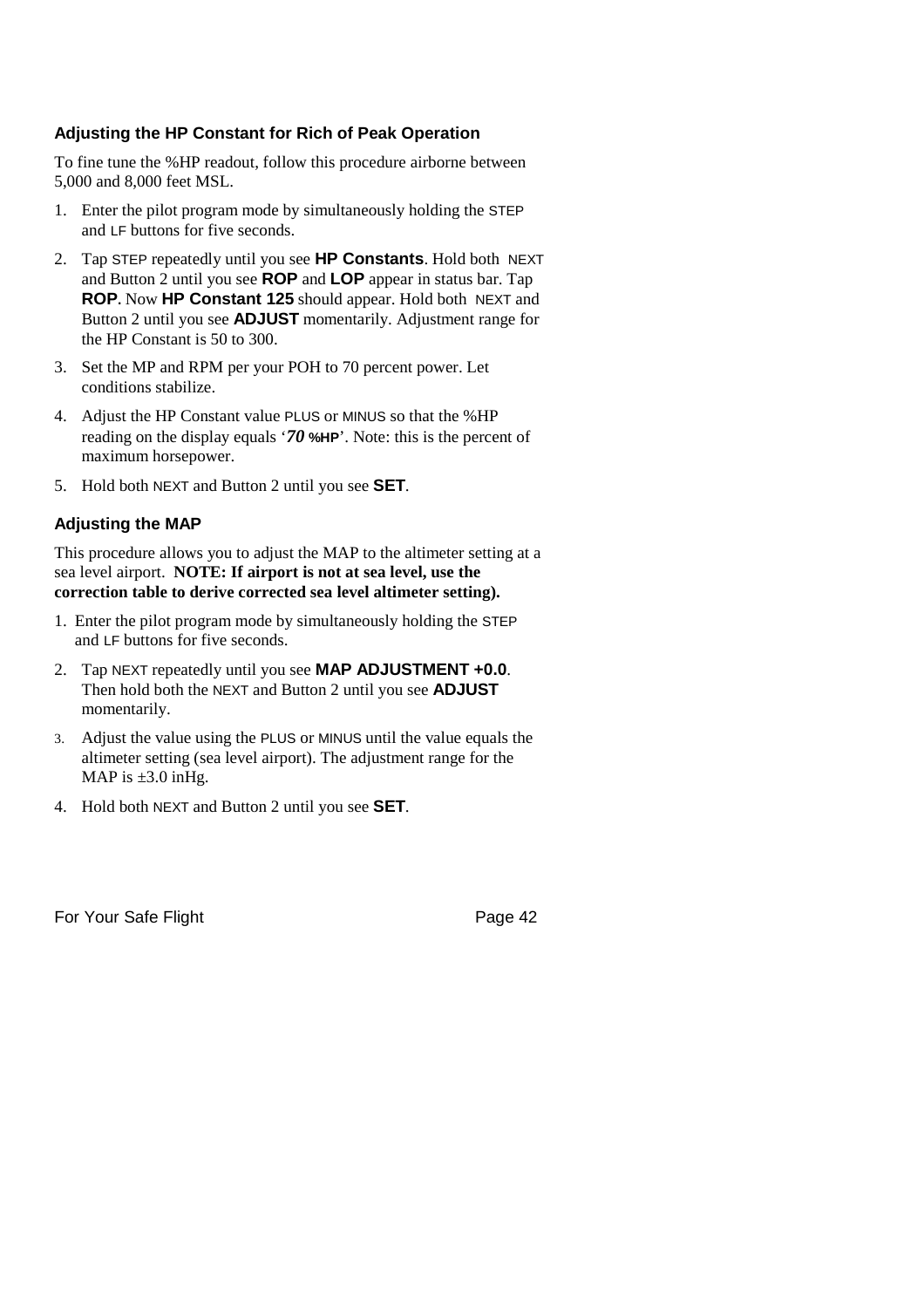## **Adjusting the HP Constant for Rich of Peak Operation**

To fine tune the %HP readout, follow this procedure airborne between 5,000 and 8,000 feet MSL.

- 1. Enter the pilot program mode by simultaneously holding the STEP and LF buttons for five seconds.
- 2. Tap STEP repeatedly until you see **HP Constants**. Hold both NEXT and Button 2 until you see **ROP** and **LOP** appear in status bar. Tap **ROP.** Now **HP Constant 125** should appear. Hold both NEXT and Button 2 until you see **ADJUST** momentarily. Adjustment range for the HP Constant is 50 to 300.
- 3. Set the MP and RPM per your POH to 70 percent power. Let conditions stabilize.
- 4. Adjust the HP Constant value PLUS or MINUS so that the %HP reading on the display equals '*70* **%HP**'. Note: this is the percent of maximum horsepower.
- 5. Hold both NEXT and Button 2 until you see **SET**.

## **Adjusting the MAP**

This procedure allows you to adjust the MAP to the altimeter setting at a sea level airport. **NOTE: If airport is not at sea level, use the correction table to derive corrected sea level altimeter setting).**

- 1. Enter the pilot program mode by simultaneously holding the STEP and LF buttons for five seconds.
- 2. Tap NEXT repeatedly until you see **MAP ADJUSTMENT +0.0**. Then hold both the NEXT and Button 2 until you see **ADJUST** momentarily.
- 3. Adjust the value using the PLUS or MINUS until the value equals the altimeter setting (sea level airport). The adjustment range for the MAP is  $\pm 3.0$  inHg.
- 4. Hold both NEXT and Button 2 until you see **SET**.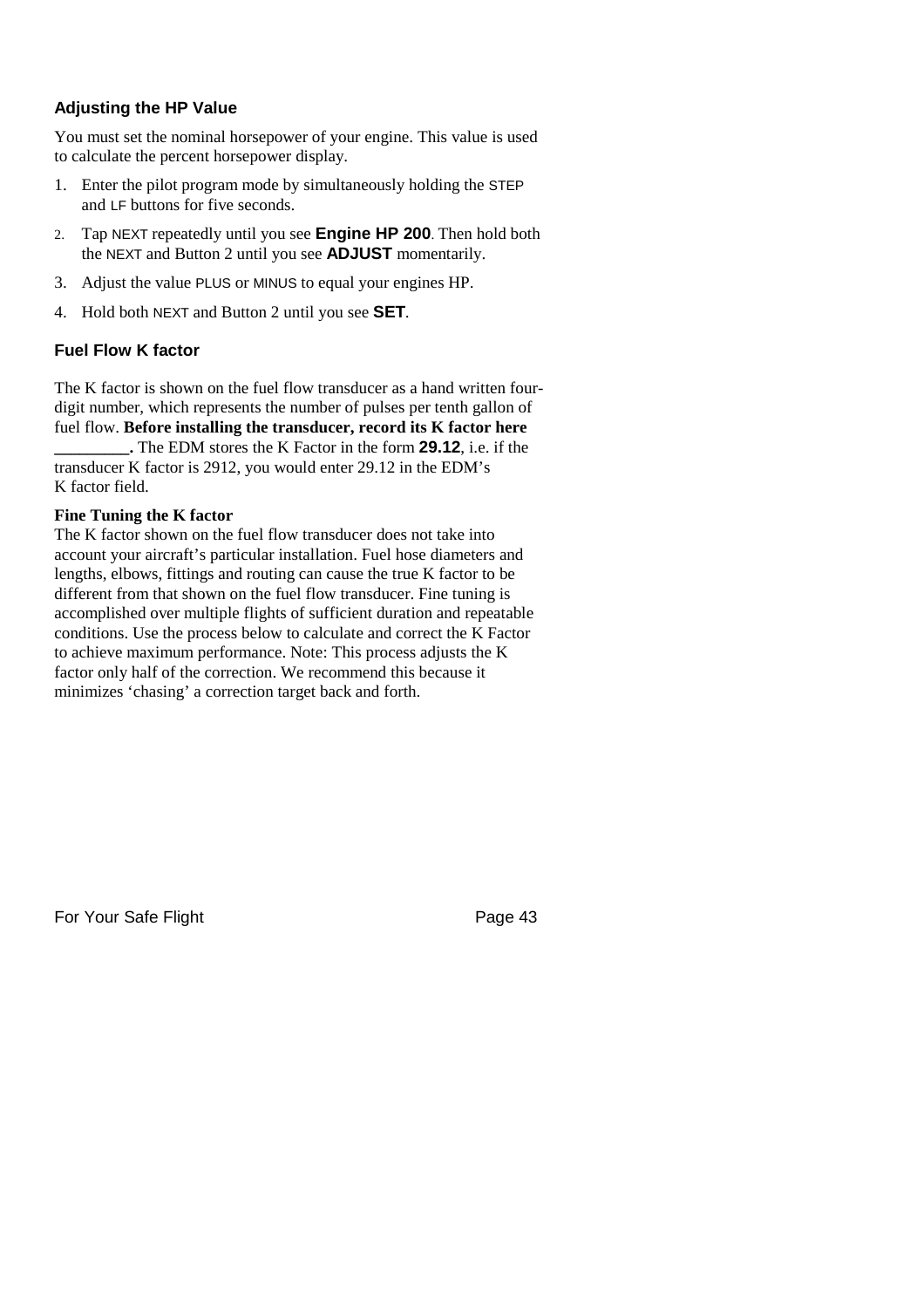## **Adjusting the HP Value**

You must set the nominal horsepower of your engine. This value is used to calculate the percent horsepower display.

- 1. Enter the pilot program mode by simultaneously holding the STEP and LF buttons for five seconds.
- 2. Tap NEXT repeatedly until you see **Engine HP 200**. Then hold both the NEXT and Button 2 until you see **ADJUST** momentarily.
- 3. Adjust the value PLUS or MINUS to equal your engines HP.
- 4. Hold both NEXT and Button 2 until you see **SET**.

## **Fuel Flow K factor**

The K factor is shown on the fuel flow transducer as a hand written fourdigit number, which represents the number of pulses per tenth gallon of fuel flow. **Before installing the transducer, record its K factor here \_\_\_\_\_\_\_\_\_.** The EDM stores the K Factor in the form **29.12**, i.e. if the

transducer K factor is 2912, you would enter 29.12 in the EDM's K factor field.

## **Fine Tuning the K factor**

The K factor shown on the fuel flow transducer does not take into account your aircraft's particular installation. Fuel hose diameters and lengths, elbows, fittings and routing can cause the true K factor to be different from that shown on the fuel flow transducer. Fine tuning is accomplished over multiple flights of sufficient duration and repeatable conditions. Use the process below to calculate and correct the K Factor to achieve maximum performance. Note: This process adjusts the K factor only half of the correction. We recommend this because it minimizes 'chasing' a correction target back and forth.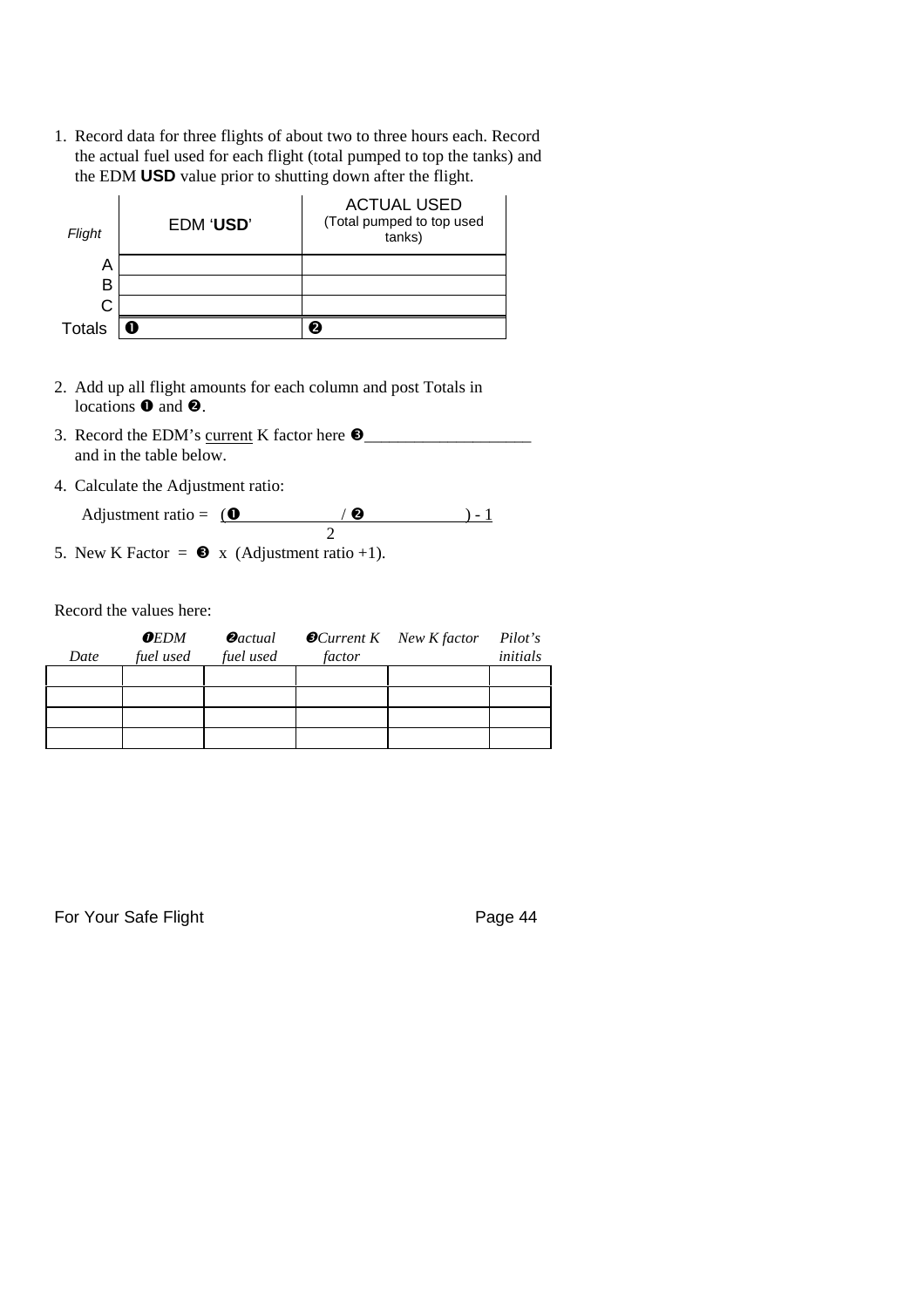1. Record data for three flights of about two to three hours each. Record the actual fuel used for each flight (total pumped to top the tanks) and the EDM **USD** value prior to shutting down after the flight.

| Flight        | EDM 'USD' | <b>ACTUAL USED</b><br>(Total pumped to top used<br>tanks) |
|---------------|-----------|-----------------------------------------------------------|
| A             |           |                                                           |
| в             |           |                                                           |
| C             |           |                                                           |
| <b>Totals</b> | Ω         |                                                           |

- 2. Add up all flight amounts for each column and post Totals in locations  $\bullet$  and  $\bullet$ .
- 3. Record the EDM's <u>current</u> K factor here  $\bullet$ and in the table below.
- 4. Calculate the Adjustment ratio:
	- Adjustment ratio =  $($   $\bullet$   $) 1$ 2
- 5. New K Factor =  $\bullet x$  (Adjustment ratio +1).

Record the values here:

| Date | $0$ EDM<br>fuel used | $\boldsymbol{\Theta}$ actual<br>fuel used | factor | $\bullet$ Current K New K factor | Pilot's<br>initials |
|------|----------------------|-------------------------------------------|--------|----------------------------------|---------------------|
|      |                      |                                           |        |                                  |                     |
|      |                      |                                           |        |                                  |                     |
|      |                      |                                           |        |                                  |                     |
|      |                      |                                           |        |                                  |                     |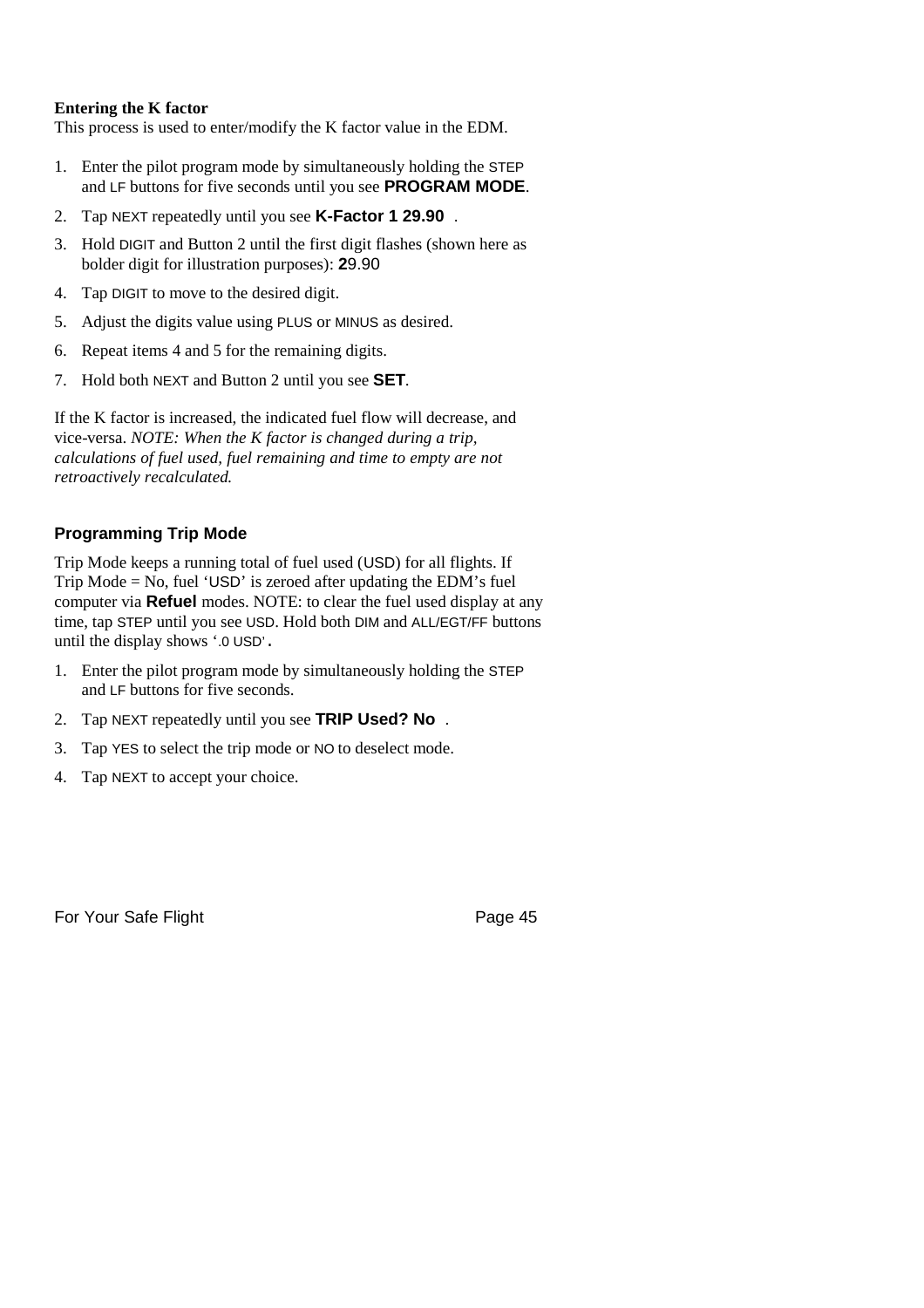## **Entering the K factor**

This process is used to enter/modify the K factor value in the EDM.

- 1. Enter the pilot program mode by simultaneously holding the STEP and LF buttons for five seconds until you see **PROGRAM MODE**.
- 2. Tap NEXT repeatedly until you see **K-Factor 1 29.90** .
- 3. Hold DIGIT and Button 2 until the first digit flashes (shown here as bolder digit for illustration purposes): **2**9.90
- 4. Tap DIGIT to move to the desired digit.
- 5. Adjust the digits value using PLUS or MINUS as desired.
- 6. Repeat items 4 and 5 for the remaining digits.
- 7. Hold both NEXT and Button 2 until you see **SET**.

If the K factor is increased, the indicated fuel flow will decrease, and vice-versa. *NOTE: When the K factor is changed during a trip, calculations of fuel used, fuel remaining and time to empty are not retroactively recalculated.*

## **Programming Trip Mode**

Trip Mode keeps a running total of fuel used (USD) for all flights. If Trip Mode = No, fuel 'USD' is zeroed after updating the EDM's fuel computer via **Refuel** modes. NOTE: to clear the fuel used display at any time, tap STEP until you see USD. Hold both DIM and ALL/EGT/FF buttons until the display shows '.0 USD'.

- 1. Enter the pilot program mode by simultaneously holding the STEP and LF buttons for five seconds.
- 2. Tap NEXT repeatedly until you see **TRIP Used? No** .
- 3. Tap YES to select the trip mode or NO to deselect mode.
- 4. Tap NEXT to accept your choice.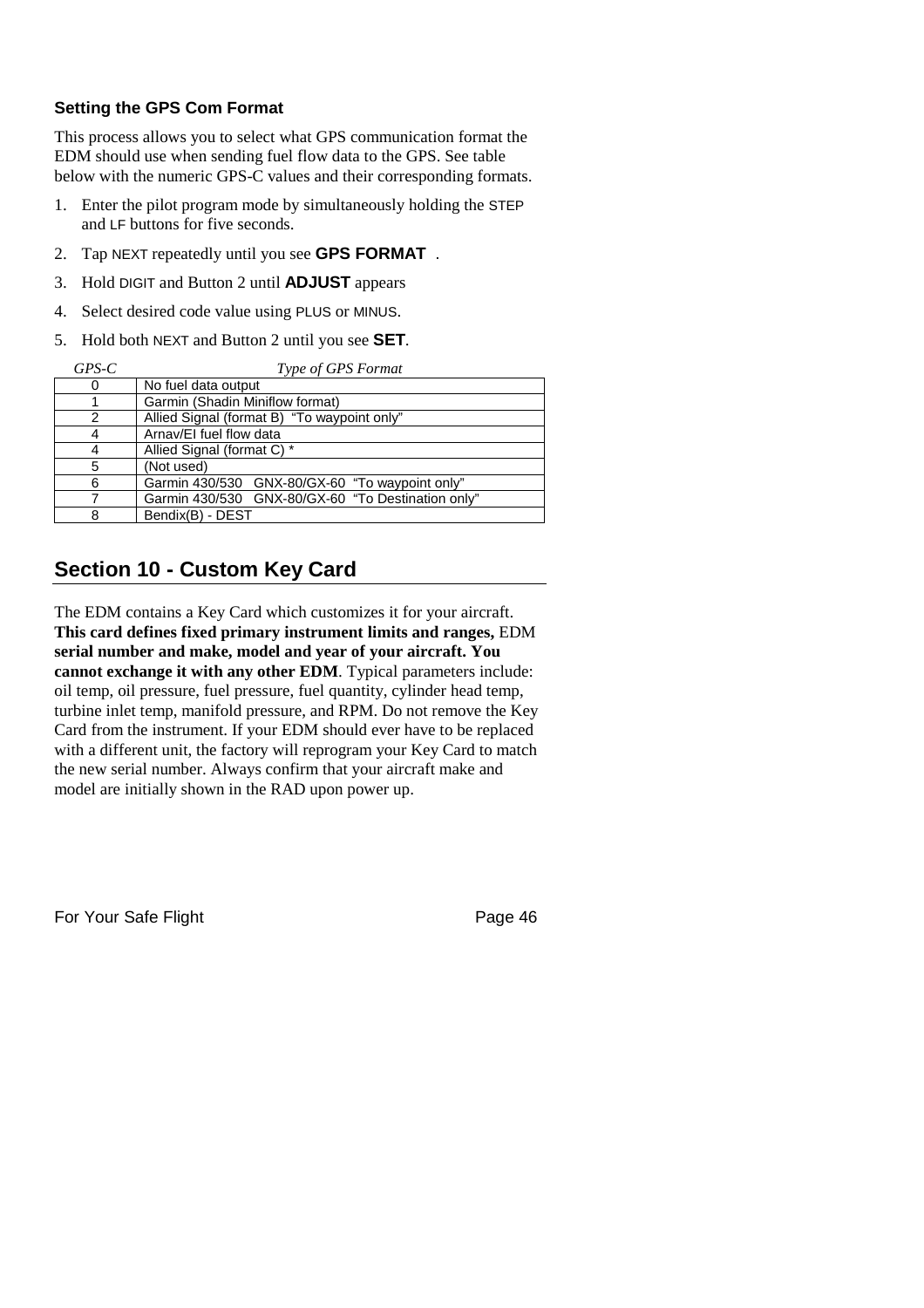## **Setting the GPS Com Format**

This process allows you to select what GPS communication format the EDM should use when sending fuel flow data to the GPS. See table below with the numeric GPS-C values and their corresponding formats.

- 1. Enter the pilot program mode by simultaneously holding the STEP and LF buttons for five seconds.
- 2. Tap NEXT repeatedly until you see **GPS FORMAT** .
- 3. Hold DIGIT and Button 2 until **ADJUST** appears
- 4. Select desired code value using PLUS or MINUS.
- 5. Hold both NEXT and Button 2 until you see **SET**.

| $GPS-C$ | Type of GPS Format                                |
|---------|---------------------------------------------------|
| 0       | No fuel data output                               |
|         | Garmin (Shadin Miniflow format)                   |
| 2       | Allied Signal (format B) "To waypoint only"       |
| 4       | Arnav/EI fuel flow data                           |
| 4       | Allied Signal (format C) *                        |
| 5       | (Not used)                                        |
| 6       | Garmin 430/530 GNX-80/GX-60 "To waypoint only"    |
| 7       | Garmin 430/530 GNX-80/GX-60 "To Destination only" |
| 8       | Bendix(B) - DEST                                  |

# **Section 10 - Custom Key Card**

The EDM contains a Key Card which customizes it for your aircraft. **This card defines fixed primary instrument limits and ranges,** EDM **serial number and make, model and year of your aircraft. You cannot exchange it with any other EDM**. Typical parameters include: oil temp, oil pressure, fuel pressure, fuel quantity, cylinder head temp, turbine inlet temp, manifold pressure, and RPM. Do not remove the Key Card from the instrument. If your EDM should ever have to be replaced with a different unit, the factory will reprogram your Key Card to match the new serial number. Always confirm that your aircraft make and model are initially shown in the RAD upon power up.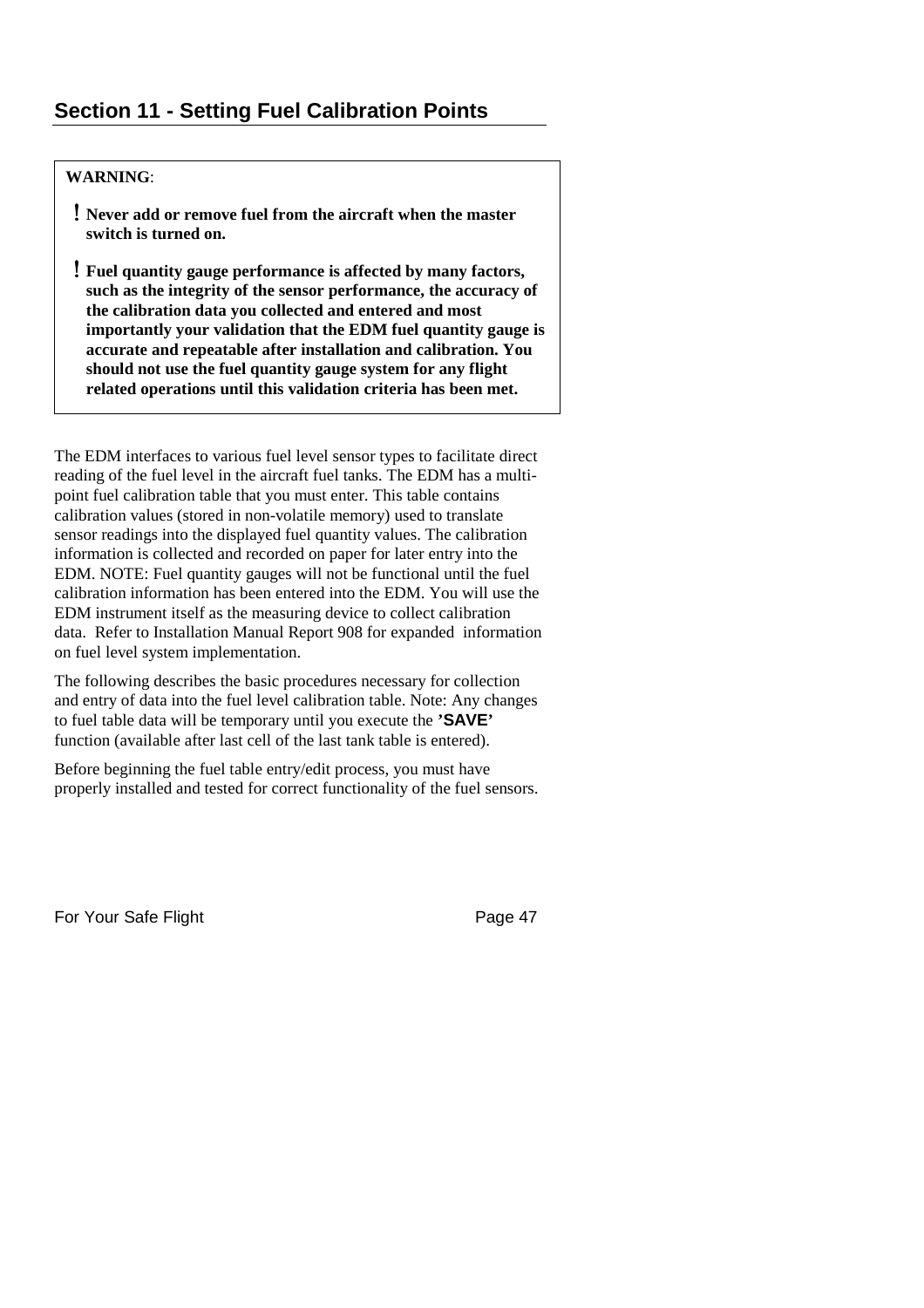## **WARNING**:

- **Never add or remove fuel from the aircraft when the master switch is turned on.**
- **Fuel quantity gauge performance is affected by many factors, such as the integrity of the sensor performance, the accuracy of the calibration data you collected and entered and most importantly your validation that the EDM fuel quantity gauge is accurate and repeatable after installation and calibration. You should not use the fuel quantity gauge system for any flight related operations until this validation criteria has been met.**

The EDM interfaces to various fuel level sensor types to facilitate direct reading of the fuel level in the aircraft fuel tanks. The EDM has a multipoint fuel calibration table that you must enter. This table contains calibration values (stored in non-volatile memory) used to translate sensor readings into the displayed fuel quantity values. The calibration information is collected and recorded on paper for later entry into the EDM. NOTE: Fuel quantity gauges will not be functional until the fuel calibration information has been entered into the EDM. You will use the EDM instrument itself as the measuring device to collect calibration data. Refer to Installation Manual Report 908 for expanded information on fuel level system implementation.

The following describes the basic procedures necessary for collection and entry of data into the fuel level calibration table. Note: Any changes to fuel table data will be temporary until you execute the **'SAVE'** function (available after last cell of the last tank table is entered).

Before beginning the fuel table entry/edit process, you must have properly installed and tested for correct functionality of the fuel sensors.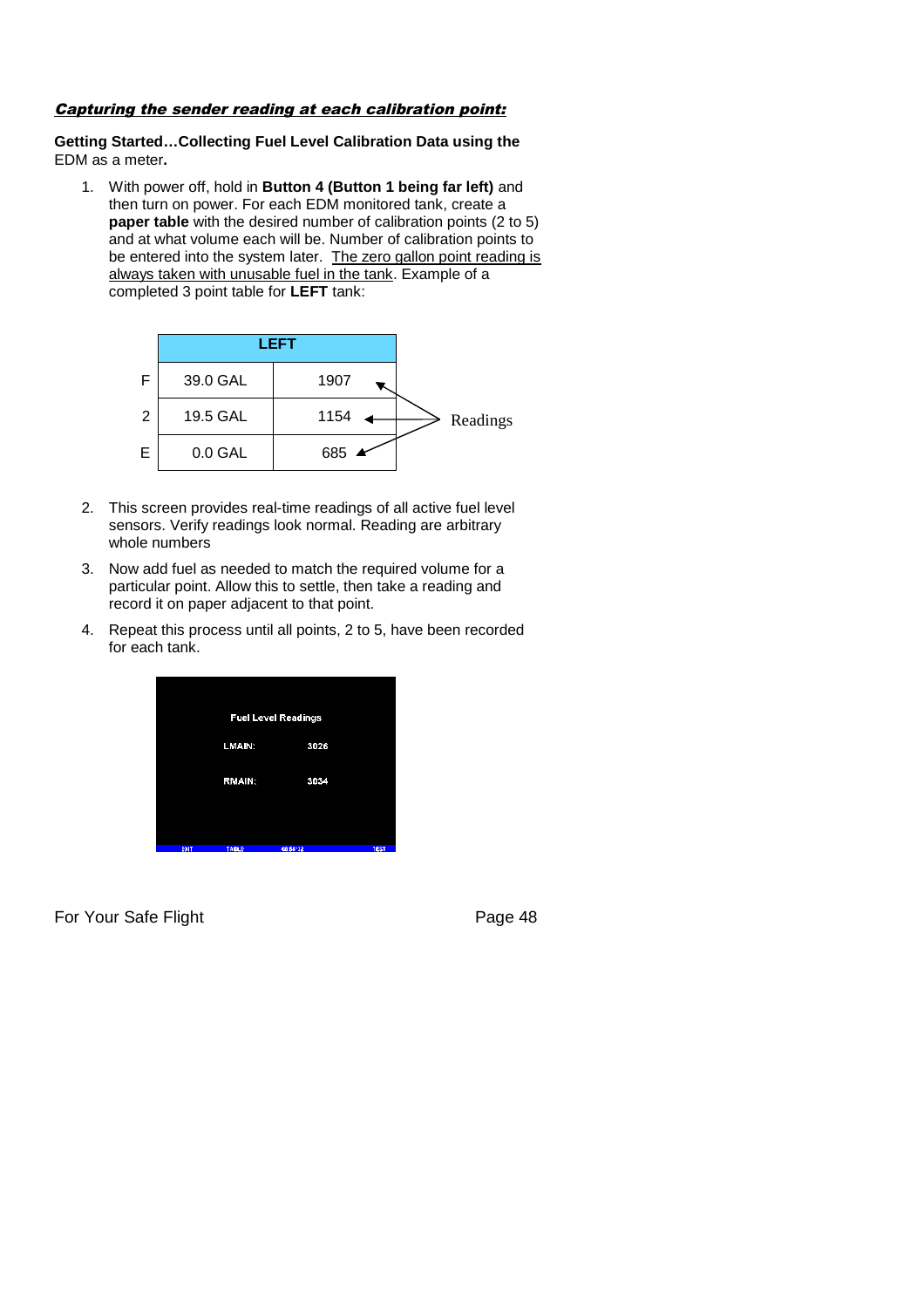#### Capturing the sender reading at each calibration point:

### **Getting Started…Collecting Fuel Level Calibration Data using the** EDM as a meter**.**

1. With power off, hold in **Button 4 (Button 1 being far left)** and then turn on power. For each EDM monitored tank, create a **paper table** with the desired number of calibration points (2 to 5) and at what volume each will be. Number of calibration points to be entered into the system later. The zero gallon point reading is always taken with unusable fuel in the tank. Example of a completed 3 point table for **LEFT** tank:



- 2. This screen provides real-time readings of all active fuel level sensors. Verify readings look normal. Reading are arbitrary whole numbers
- 3. Now add fuel as needed to match the required volume for a particular point. Allow this to settle, then take a reading and record it on paper adjacent to that point.
- 4. Repeat this process until all points, 2 to 5, have been recorded for each tank.

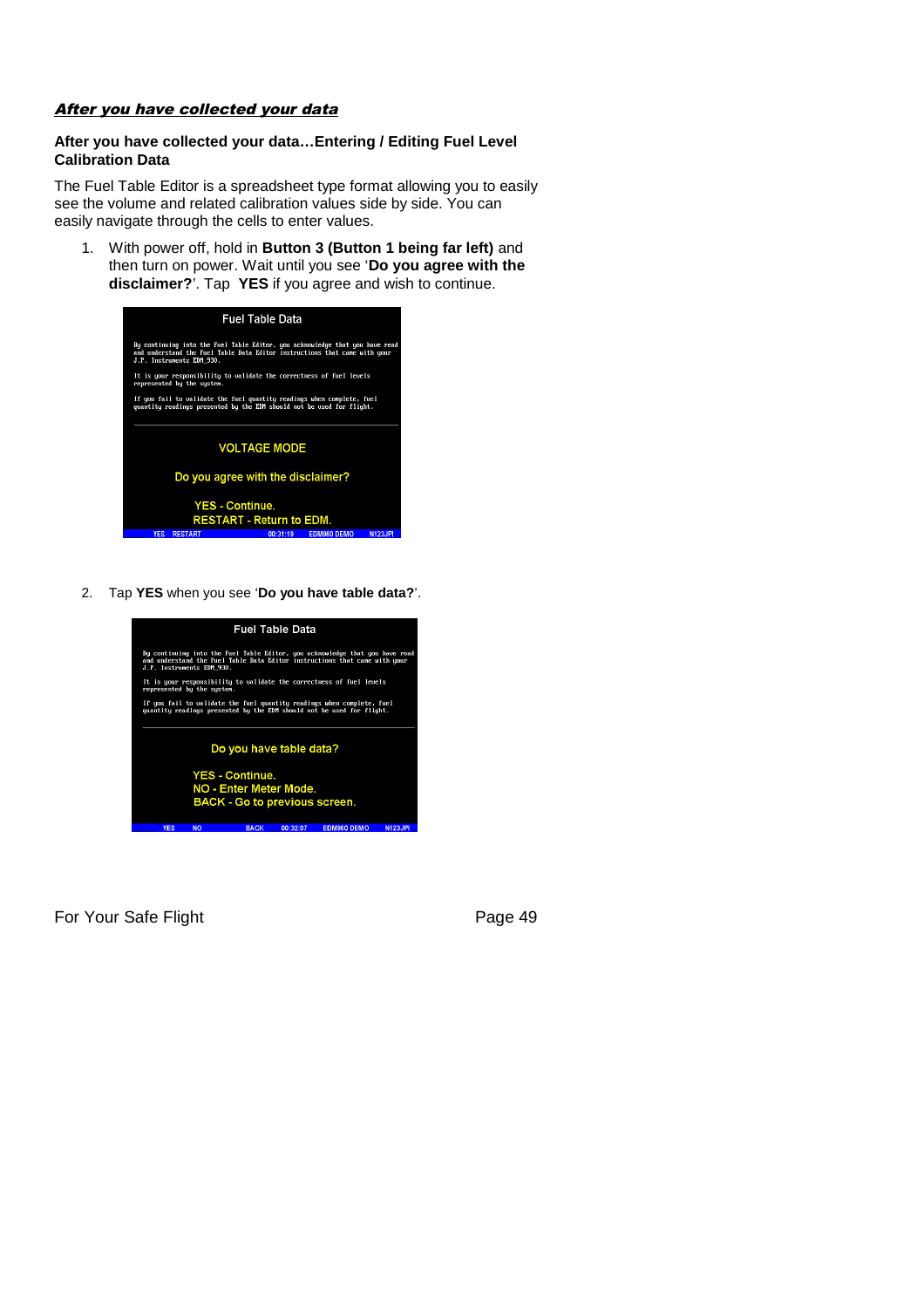#### After you have collected your data

#### **After you have collected your data…Entering / Editing Fuel Level Calibration Data**

The Fuel Table Editor is a spreadsheet type format allowing you to easily see the volume and related calibration values side by side. You can easily navigate through the cells to enter values.

1. With power off, hold in **Button 3 (Button 1 being far left)** and then turn on power. Wait until you see '**Do you agree with the disclaimer?**'. Tap **YES** if you agree and wish to continue.

| <b>Fuel Table Data</b>                                                                                                                                                                  |
|-----------------------------------------------------------------------------------------------------------------------------------------------------------------------------------------|
| By continuing into the Fuel Table Editor, you acknowledge that you have read<br>and understand the Fuel Table Data Editor instructions that came with your<br>J.P. Instruments EDM 930. |
| It is your responsibility to validate the correctness of fuel levels<br>represented by the system.                                                                                      |
| If you fail to validate the fuel quantity readings when complete, fuel<br>quantity readings presented by the EDM should not be used for flight.                                         |
| <b>VOLTAGE MODE</b>                                                                                                                                                                     |
| Do you agree with the disclaimer?                                                                                                                                                       |
| <b>YES - Continue.</b><br><b>RESTART - Return to EDM.</b>                                                                                                                               |
| <b>YES</b><br><b>RESTART</b><br><b>EDM960 DEMO</b><br>00:31:19<br>N123.IP                                                                                                               |

2. Tap **YES** when you see '**Do you have table data?**'.

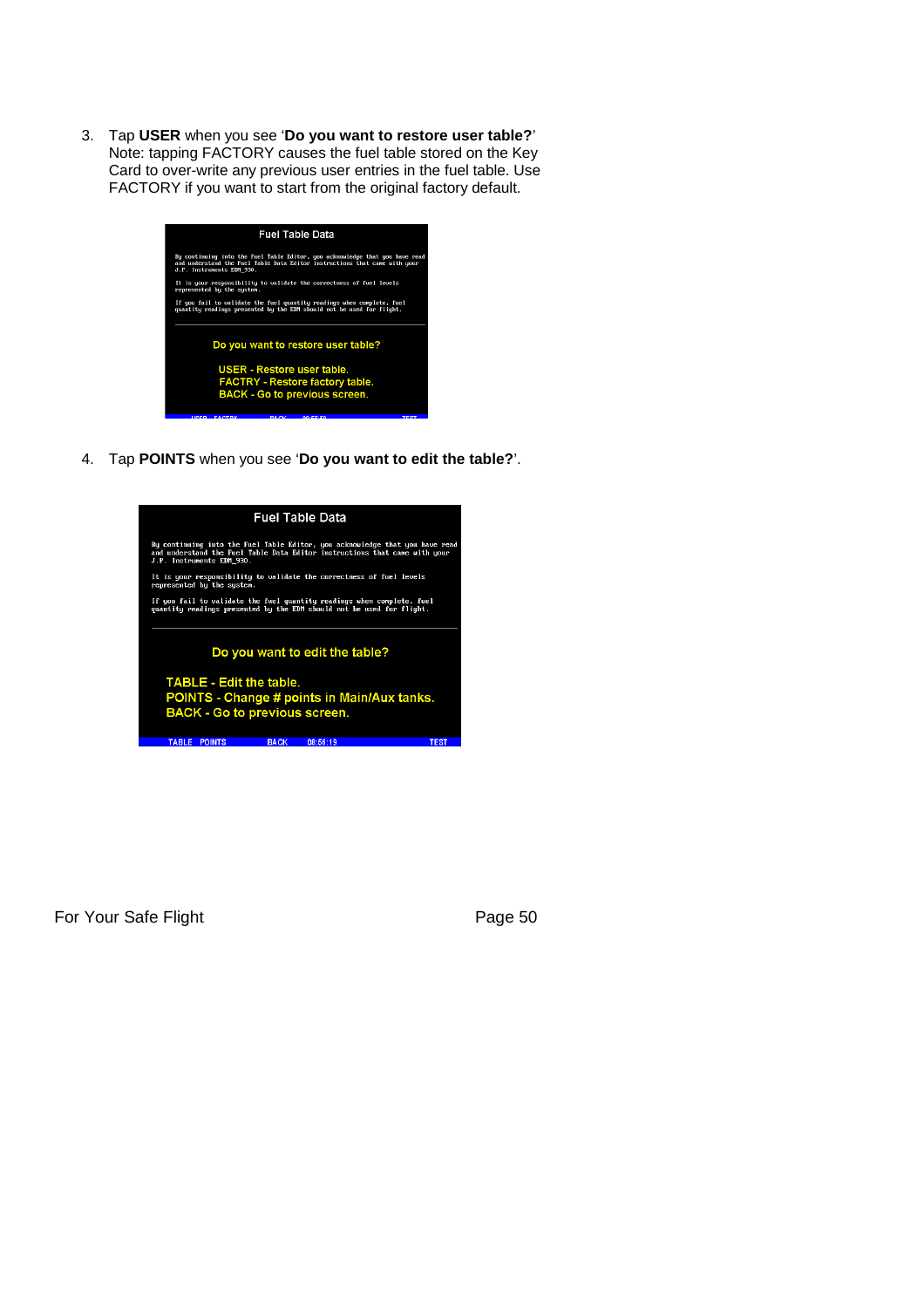3. Tap **USER** when you see '**Do you want to restore user table?**' Note: tapping FACTORY causes the fuel table stored on the Key Card to over-write any previous user entries in the fuel table. Use FACTORY if you want to start from the original factory default.



4. Tap **POINTS** when you see '**Do you want to edit the table?**'.

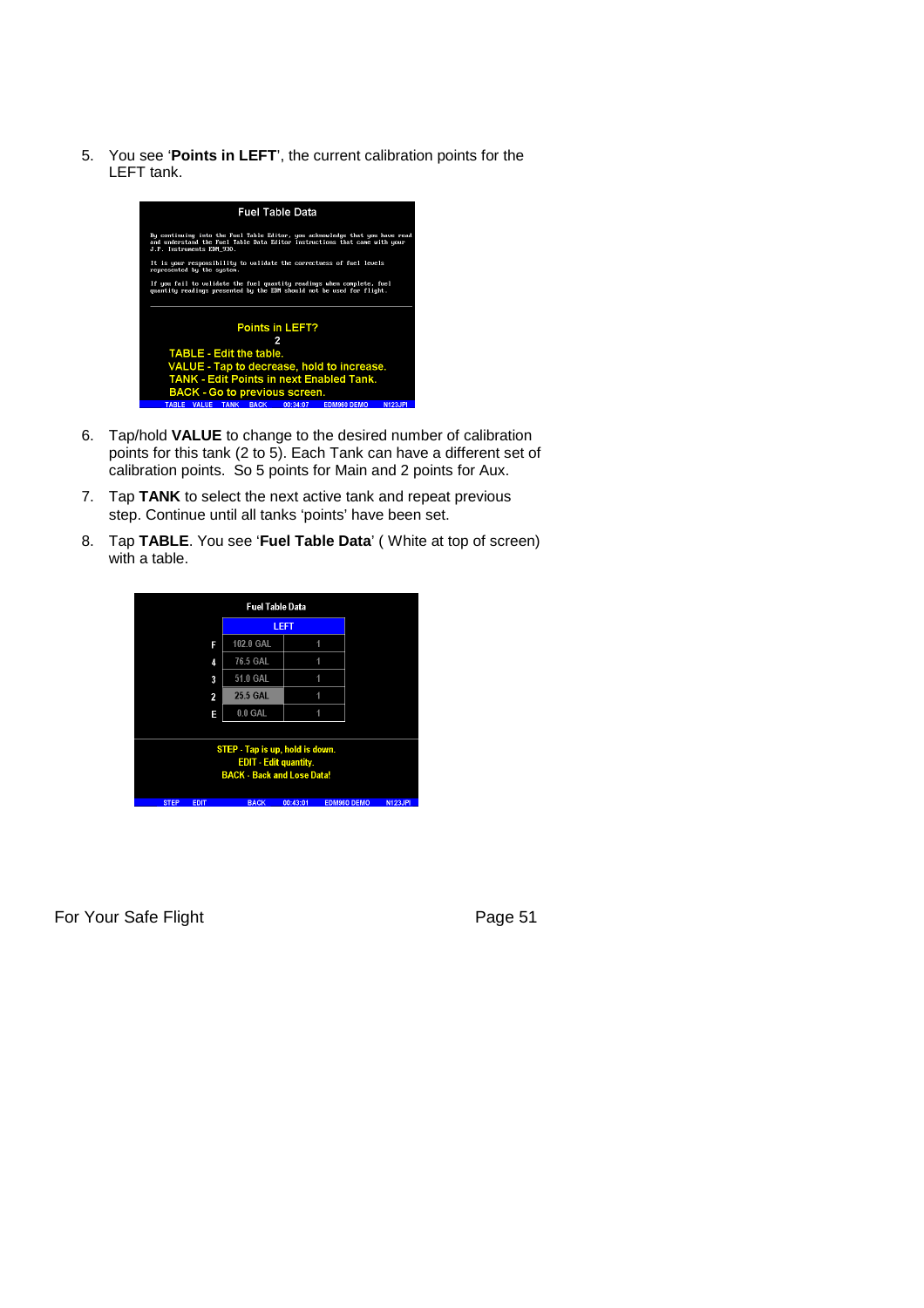5. You see '**Points in LEFT**', the current calibration points for the LEFT tank.



- 6. Tap/hold **VALUE** to change to the desired number of calibration points for this tank (2 to 5). Each Tank can have a different set of calibration points. So 5 points for Main and 2 points for Aux.
- 7. Tap **TANK** to select the next active tank and repeat previous step. Continue until all tanks 'points' have been set.
- 8. Tap **TABLE**. You see '**Fuel Table Data**' ( White at top of screen) with a table.

| <b>Fuel Table Data</b>       |                                   |                                 |          |                    |                |
|------------------------------|-----------------------------------|---------------------------------|----------|--------------------|----------------|
|                              |                                   |                                 | LEFT     |                    |                |
|                              | F                                 | 102.0 GAL                       |          | 1                  |                |
|                              | 4                                 | 76.5 GAL                        |          | 4                  |                |
|                              | 3                                 | 51.0 GAL                        |          | 1                  |                |
|                              | 2                                 | <b>25.5 GAL</b>                 |          | и                  |                |
|                              | E                                 | $0.0$ GAL                       |          | 1                  |                |
|                              |                                   |                                 |          |                    |                |
|                              |                                   | STEP - Tap is up, hold is down. |          |                    |                |
| <b>EDIT</b> - Edit quantity. |                                   |                                 |          |                    |                |
|                              | <b>BACK - Back and Lose Data!</b> |                                 |          |                    |                |
|                              |                                   |                                 |          |                    |                |
| <b>STEP</b><br><b>EDIT</b>   |                                   | <b>BACK</b>                     | 00:43:01 | <b>EDM960 DEMO</b> | <b>N123JPI</b> |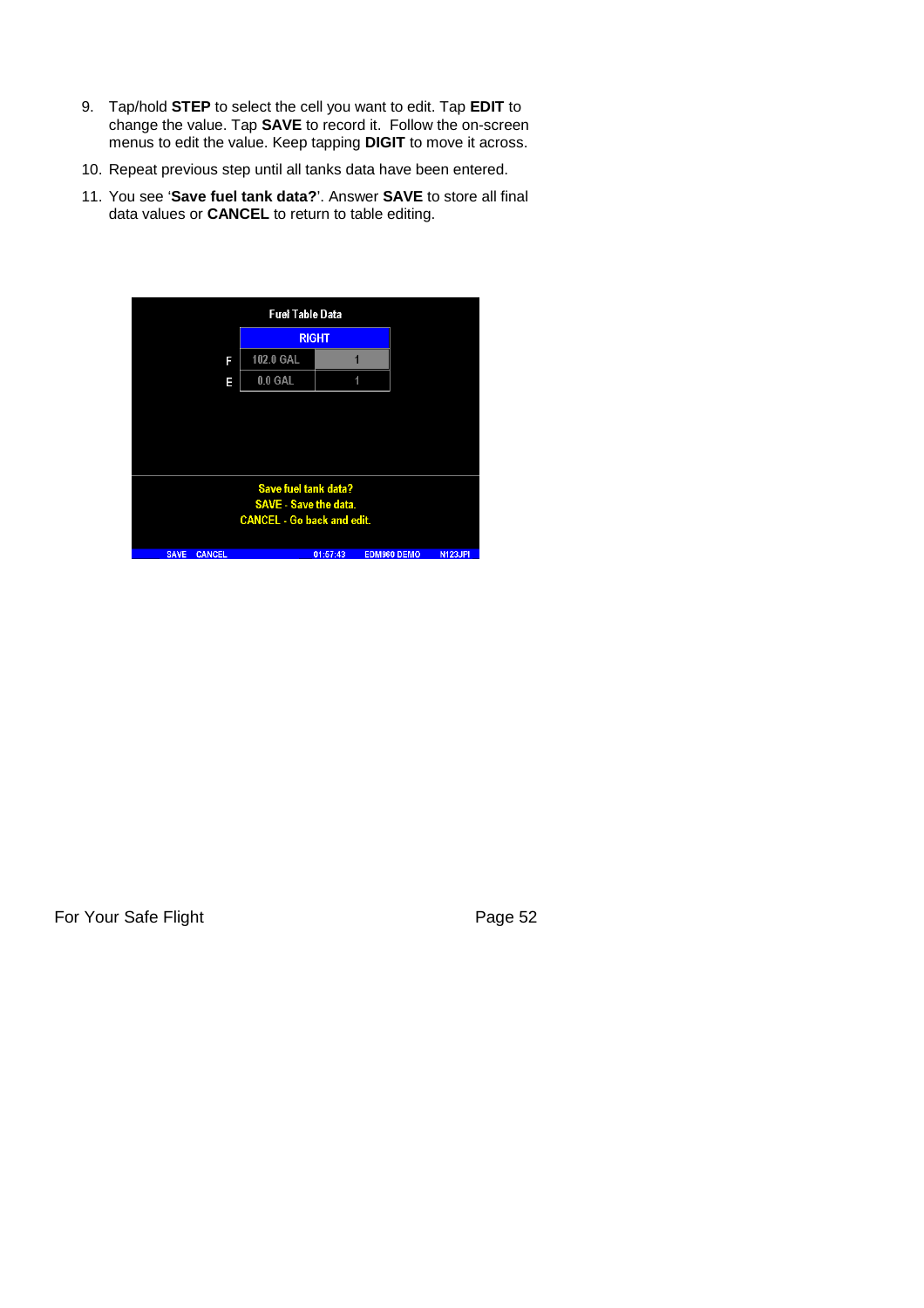- 9. Tap/hold **STEP** to select the cell you want to edit. Tap **EDIT** to change the value. Tap **SAVE** to record it. Follow the on-screen menus to edit the value. Keep tapping **DIGIT** to move it across.
- 10. Repeat previous step until all tanks data have been entered.
- 11. You see '**Save fuel tank data?**'. Answer **SAVE** to store all final data values or **CANCEL** to return to table editing.

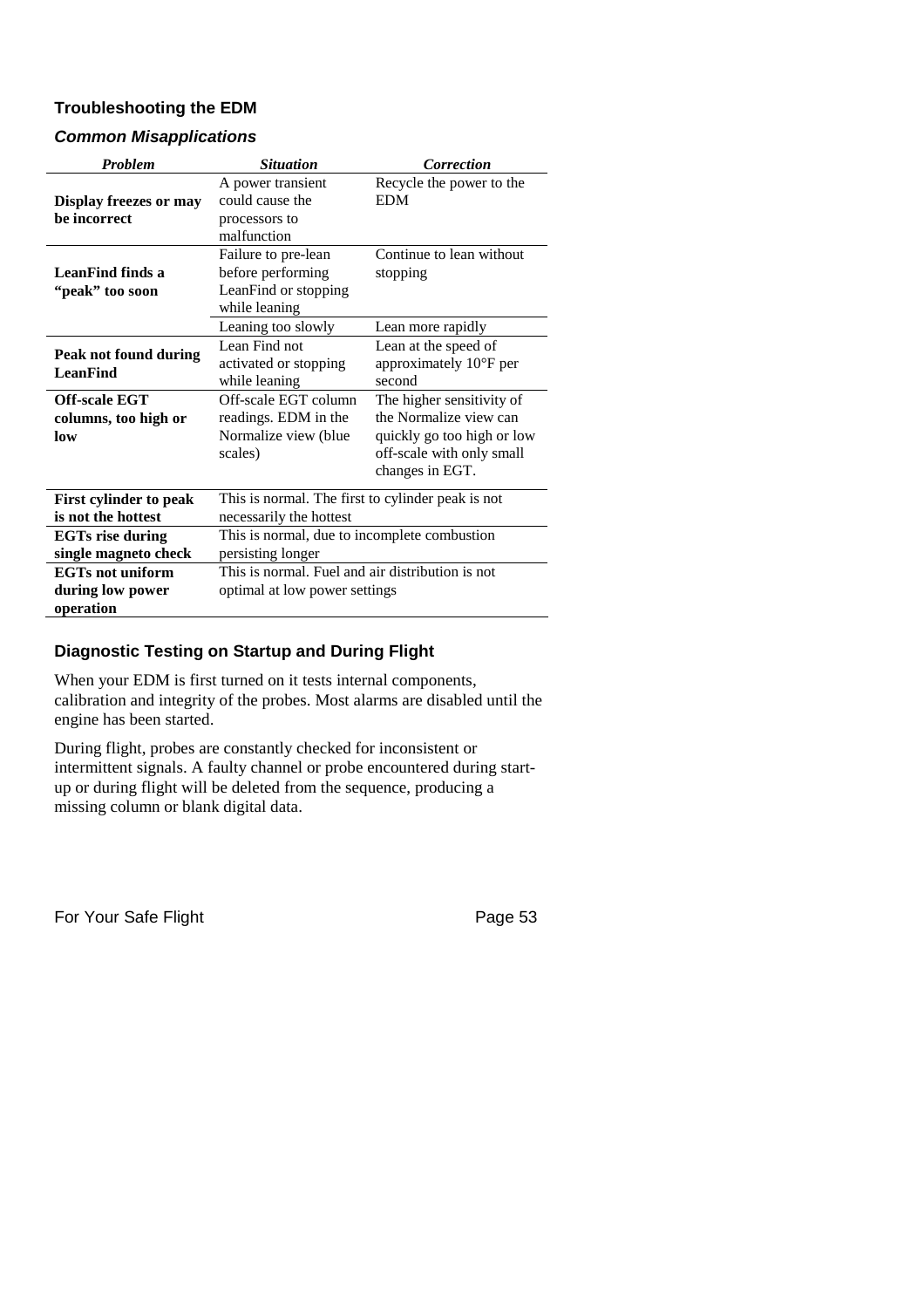## **Troubleshooting the EDM**

## *Common Misapplications*

| <b>Problem</b>                                                                                  | <b>Situation</b>                                                                                                                           | <b>Correction</b>                                                                                                                                                          |  |
|-------------------------------------------------------------------------------------------------|--------------------------------------------------------------------------------------------------------------------------------------------|----------------------------------------------------------------------------------------------------------------------------------------------------------------------------|--|
| <b>Display freezes or may</b><br>be incorrect                                                   | A power transient<br>could cause the<br>processors to<br>malfunction                                                                       | Recycle the power to the<br><b>EDM</b>                                                                                                                                     |  |
| LeanFind finds a<br>"peak" too soon                                                             | Failure to pre-lean<br>before performing<br>LeanFind or stopping<br>while leaning                                                          | Continue to lean without<br>stopping                                                                                                                                       |  |
|                                                                                                 | Leaning too slowly                                                                                                                         | Lean more rapidly                                                                                                                                                          |  |
| Peak not found during<br><b>LeanFind</b><br><b>Off-scale EGT</b><br>columns, too high or<br>low | Lean Find not<br>activated or stopping<br>while leaning<br>Off-scale EGT column<br>readings. EDM in the<br>Normalize view (blue<br>scales) | Lean at the speed of<br>approximately 10°F per<br>second<br>The higher sensitivity of<br>the Normalize view can<br>quickly go too high or low<br>off-scale with only small |  |
|                                                                                                 |                                                                                                                                            | changes in EGT.                                                                                                                                                            |  |
| <b>First cylinder to peak</b><br>is not the hottest                                             | This is normal. The first to cylinder peak is not<br>necessarily the hottest                                                               |                                                                                                                                                                            |  |
| <b>EGTs rise during</b><br>single magneto check                                                 | This is normal, due to incomplete combustion<br>persisting longer                                                                          |                                                                                                                                                                            |  |
| <b>EGTs not uniform</b><br>during low power<br>operation                                        | This is normal. Fuel and air distribution is not<br>optimal at low power settings                                                          |                                                                                                                                                                            |  |

## **Diagnostic Testing on Startup and During Flight**

When your EDM is first turned on it tests internal components, calibration and integrity of the probes. Most alarms are disabled until the engine has been started.

During flight, probes are constantly checked for inconsistent or intermittent signals. A faulty channel or probe encountered during startup or during flight will be deleted from the sequence, producing a missing column or blank digital data.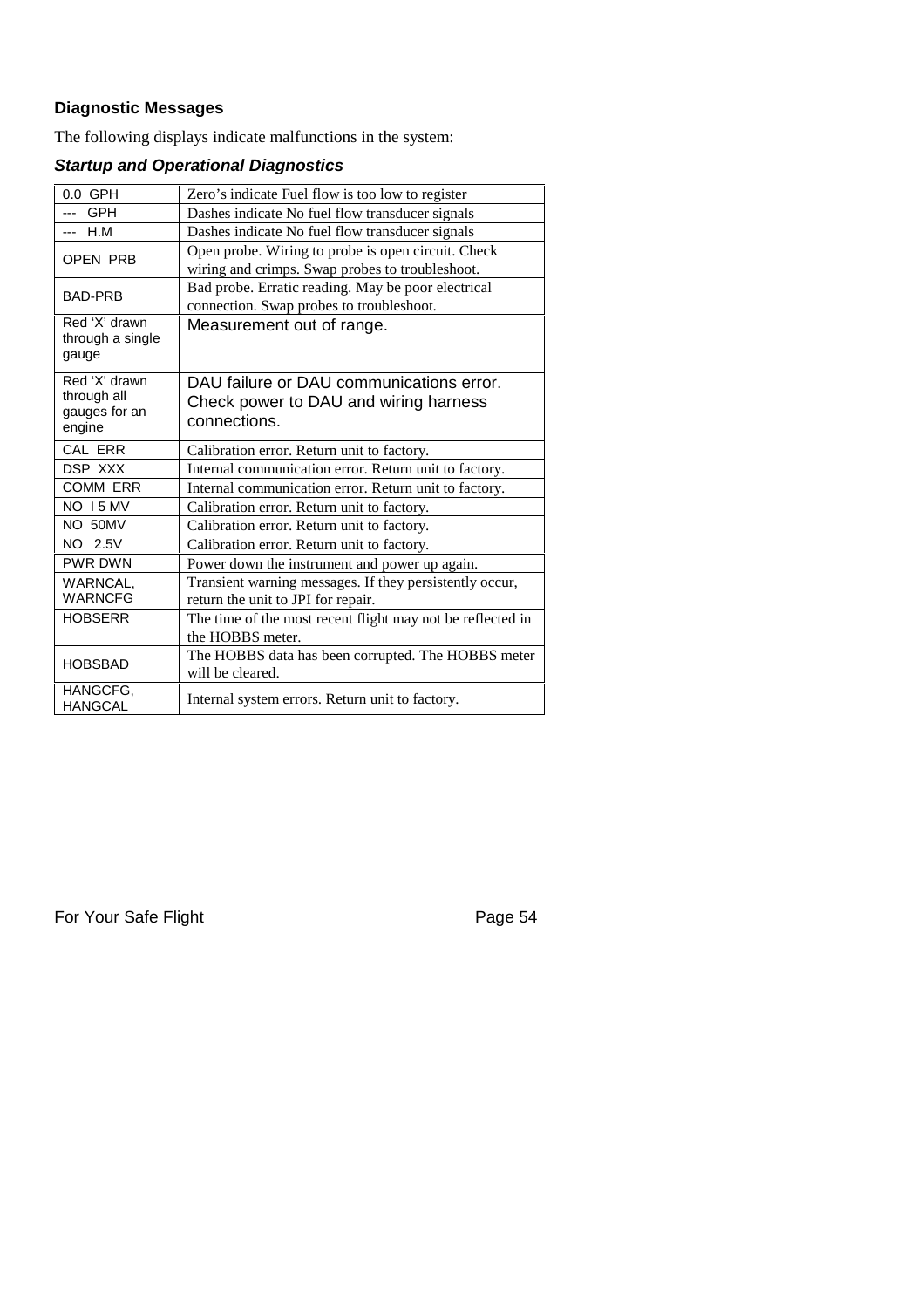## **Diagnostic Messages**

The following displays indicate malfunctions in the system:

# *Startup and Operational Diagnostics*

| $0.0$ GPH                                               | Zero's indicate Fuel flow is too low to register                                                      |
|---------------------------------------------------------|-------------------------------------------------------------------------------------------------------|
| <b>GPH</b><br>---                                       | Dashes indicate No fuel flow transducer signals                                                       |
| H.M<br>---                                              | Dashes indicate No fuel flow transducer signals                                                       |
| OPEN PRB                                                | Open probe. Wiring to probe is open circuit. Check<br>wiring and crimps. Swap probes to troubleshoot. |
| <b>BAD-PRB</b>                                          | Bad probe. Erratic reading. May be poor electrical<br>connection. Swap probes to troubleshoot.        |
| Red 'X' drawn<br>through a single<br>gauge              | Measurement out of range.                                                                             |
| Red 'X' drawn<br>through all<br>gauges for an<br>engine | DAU failure or DAU communications error.<br>Check power to DAU and wiring harness<br>connections.     |
| CAL ERR                                                 | Calibration error. Return unit to factory.                                                            |
| DSP XXX                                                 | Internal communication error. Return unit to factory.                                                 |
| <b>COMM ERR</b>                                         | Internal communication error. Return unit to factory.                                                 |
| <b>NO 15 MV</b>                                         | Calibration error. Return unit to factory.                                                            |
| NO 50MV                                                 | Calibration error. Return unit to factory.                                                            |
| NO 2.5V                                                 | Calibration error. Return unit to factory.                                                            |
| <b>PWR DWN</b>                                          | Power down the instrument and power up again.                                                         |
| <b>WARNCAL.</b><br><b>WARNCFG</b>                       | Transient warning messages. If they persistently occur,<br>return the unit to JPI for repair.         |
| <b>HOBSERR</b>                                          | The time of the most recent flight may not be reflected in<br>the HOBBS meter.                        |
| <b>HOBSBAD</b>                                          | The HOBBS data has been corrupted. The HOBBS meter<br>will be cleared.                                |
| HANGCFG,<br><b>HANGCAL</b>                              | Internal system errors. Return unit to factory.                                                       |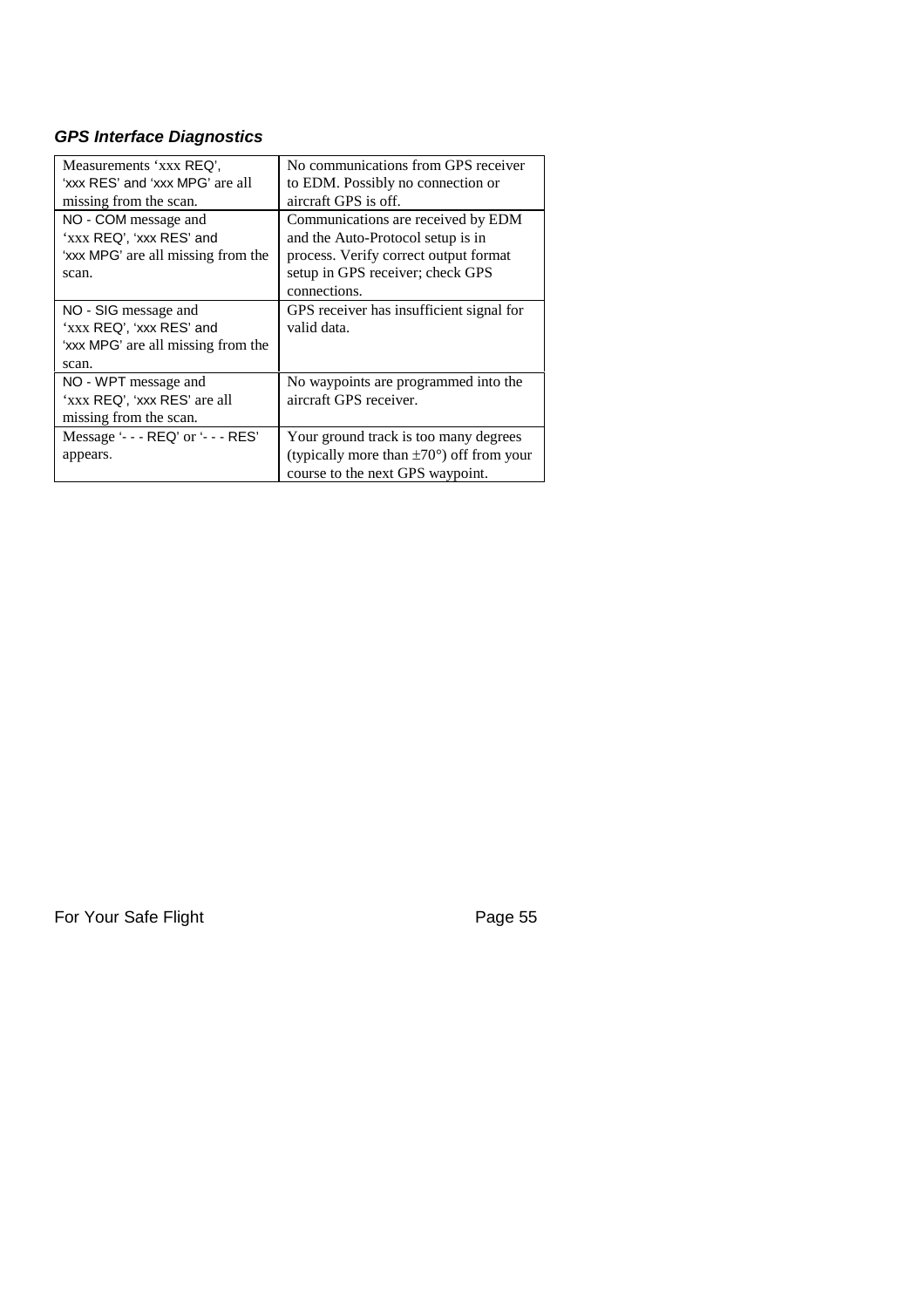## *GPS Interface Diagnostics*

| Measurements 'xxx REQ',<br>'xxx RES' and 'xxx MPG' are all | No communications from GPS receiver<br>to EDM. Possibly no connection or |
|------------------------------------------------------------|--------------------------------------------------------------------------|
| missing from the scan.                                     | aircraft GPS is off.                                                     |
| NO - COM message and<br>'xxx REQ', 'xxx RES' and           | Communications are received by EDM<br>and the Auto-Protocol setup is in  |
| 'xxx MPG' are all missing from the                         | process. Verify correct output format                                    |
| scan.                                                      | setup in GPS receiver; check GPS<br>connections.                         |
| NO - SIG message and                                       | GPS receiver has insufficient signal for                                 |
| 'xxx REQ', 'xxx RES' and                                   | valid data.                                                              |
| 'xxx MPG' are all missing from the                         |                                                                          |
| scan.                                                      |                                                                          |
| NO - WPT message and                                       | No waypoints are programmed into the                                     |
| 'xxx REQ', 'xxx RES' are all                               | aircraft GPS receiver.                                                   |
| missing from the scan.                                     |                                                                          |
| Message '- - - REQ' or '- - - RES'                         | Your ground track is too many degrees                                    |
| appears.                                                   | (typically more than $\pm 70^{\circ}$ ) off from your                    |
|                                                            | course to the next GPS waypoint.                                         |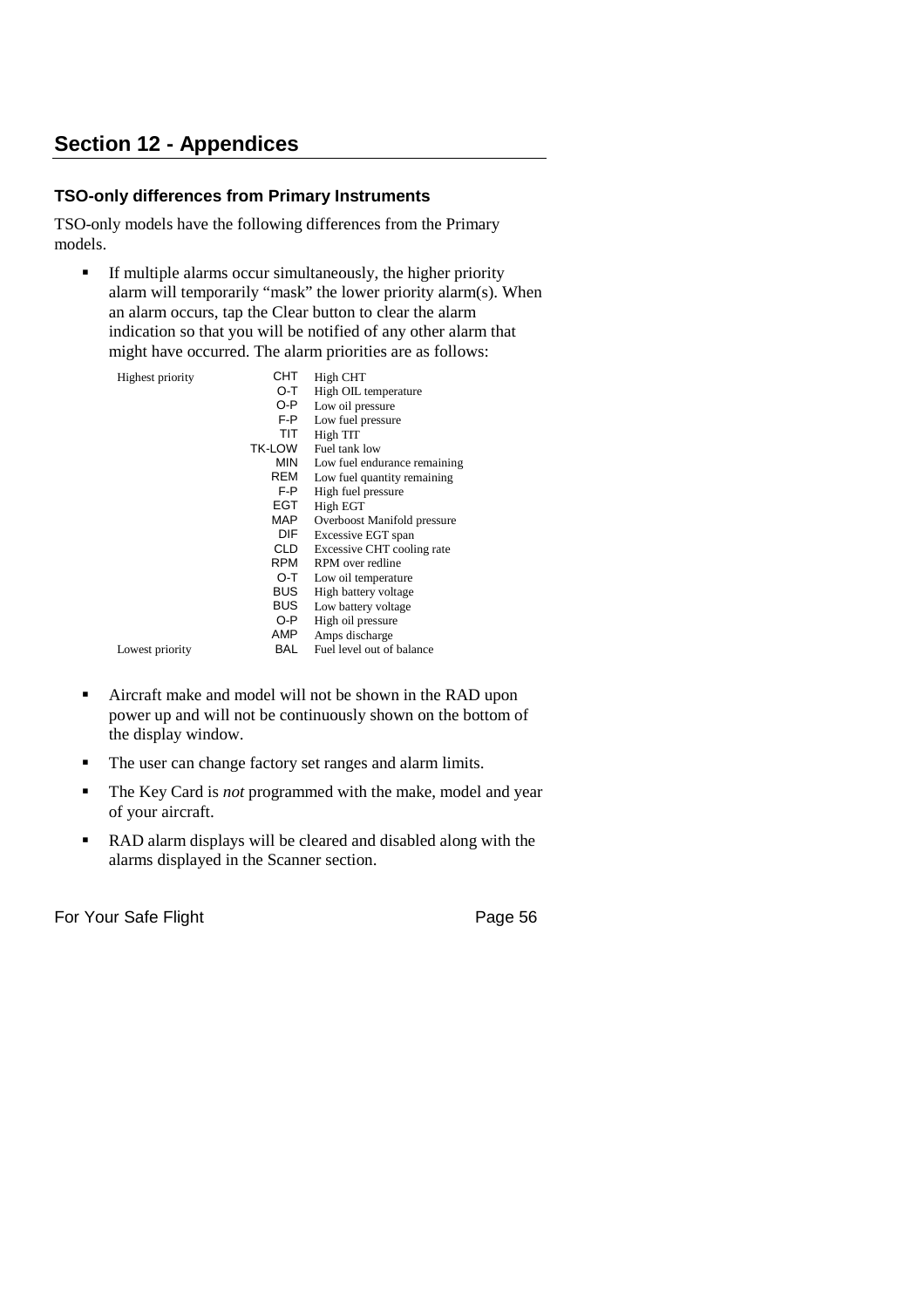# **Section 12 - Appendices**

## **TSO-only differences from Primary Instruments**

TSO-only models have the following differences from the Primary models.

 $\blacksquare$  If multiple alarms occur simultaneously, the higher priority alarm will temporarily "mask" the lower priority alarm(s). When an alarm occurs, tap the Clear button to clear the alarm indication so that you will be notified of any other alarm that might have occurred. The alarm priorities are as follows:

| Highest priority | CHT    | High CHT                     |
|------------------|--------|------------------------------|
|                  | O-T    | High OIL temperature         |
|                  | O-P    | Low oil pressure             |
|                  | F-P    | Low fuel pressure            |
|                  | TIT    | High TIT                     |
|                  | TK-LOW | Fuel tank low                |
|                  | MIN    | Low fuel endurance remaining |
|                  | REM    | Low fuel quantity remaining  |
|                  | F-P    | High fuel pressure           |
|                  | EGT    | High EGT                     |
|                  | MAP    | Overboost Manifold pressure  |
|                  | DIF    | Excessive EGT span           |
|                  | CLD    | Excessive CHT cooling rate   |
|                  | RPM    | RPM over redline             |
|                  | O-T    | Low oil temperature          |
|                  | BUS    | High battery voltage         |
|                  | BUS    | Low battery voltage          |
|                  | O-P    | High oil pressure            |
|                  | AMP    | Amps discharge               |
| Lowest priority  | BAL    | Fuel level out of balance    |
|                  |        |                              |

- Aircraft make and model will not be shown in the RAD upon power up and will not be continuously shown on the bottom of the display window.
- The user can change factory set ranges and alarm limits.
- The Key Card is *not* programmed with the make, model and year of your aircraft.
- RAD alarm displays will be cleared and disabled along with the alarms displayed in the Scanner section.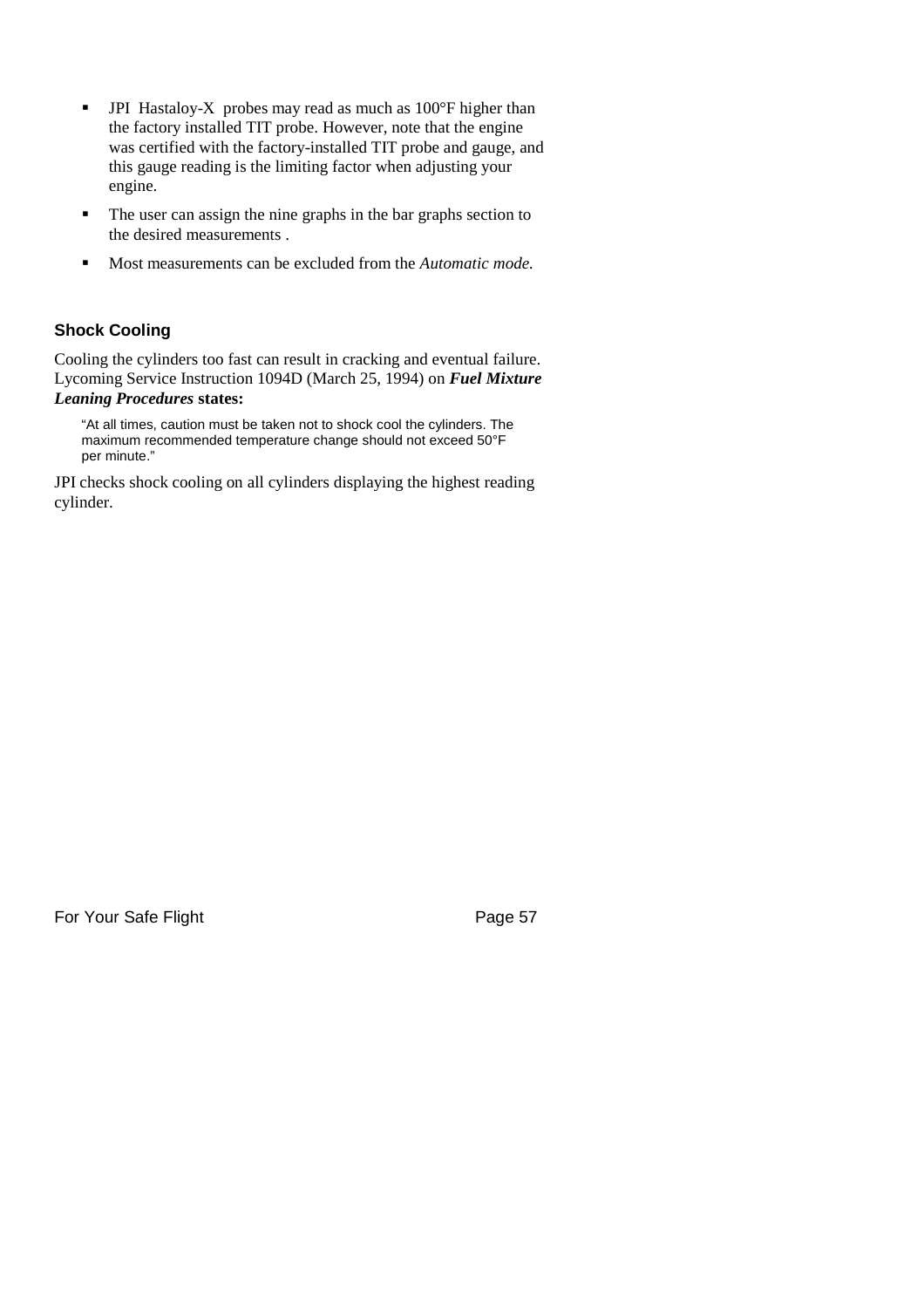- **•** JPI Hastaloy-X probes may read as much as 100°F higher than the factory installed TIT probe. However, note that the engine was certified with the factory-installed TIT probe and gauge, and this gauge reading is the limiting factor when adjusting your engine.
- The user can assign the nine graphs in the bar graphs section to the desired measurements .
- Most measurements can be excluded from the *Automatic mode.*

## **Shock Cooling**

Cooling the cylinders too fast can result in cracking and eventual failure. Lycoming Service Instruction 1094D (March 25, 1994) on *Fuel Mixture Leaning Procedures* **states:**

"At all times, caution must be taken not to shock cool the cylinders. The maximum recommended temperature change should not exceed 50°F per minute."

JPI checks shock cooling on all cylinders displaying the highest reading cylinder.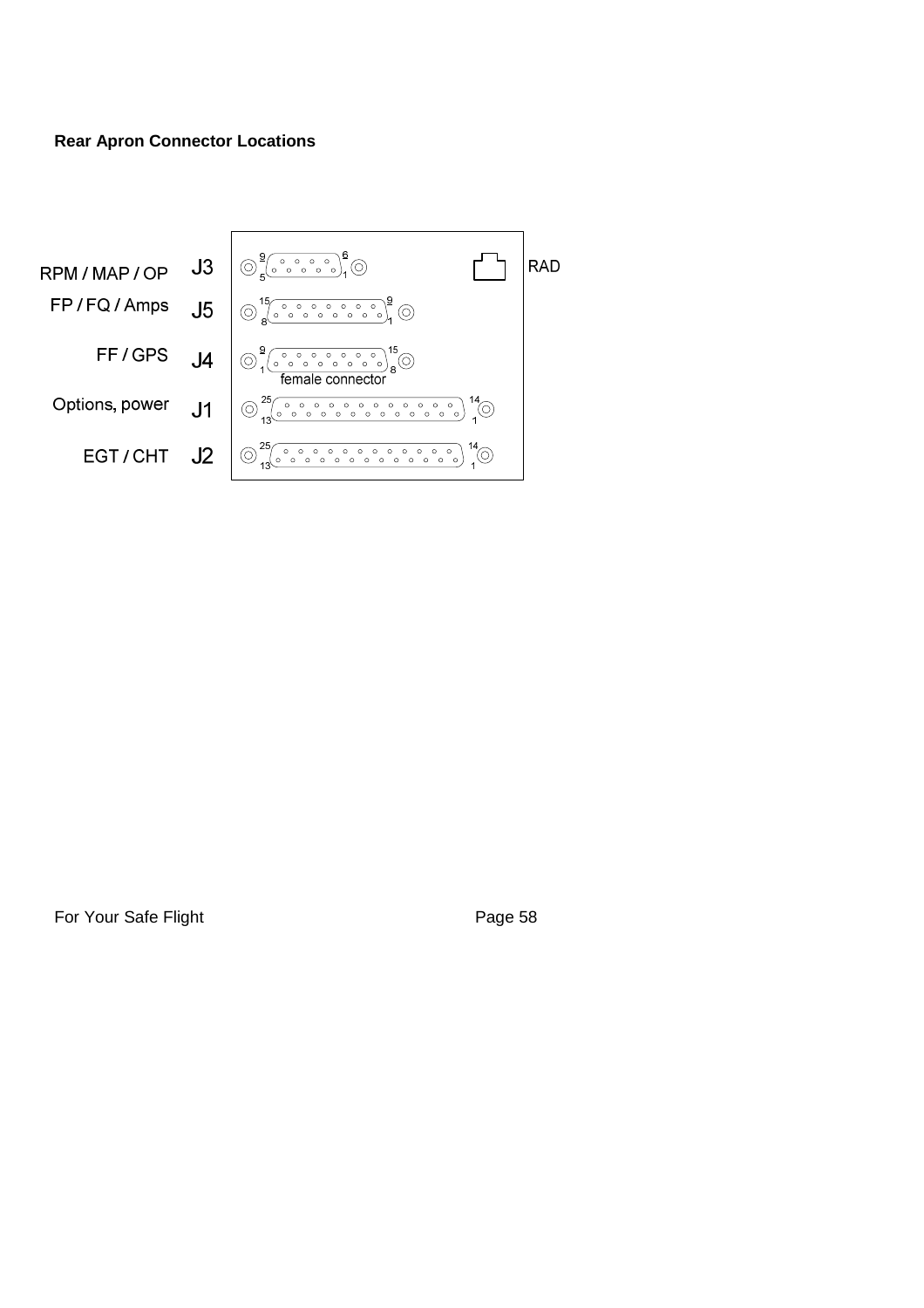## **Rear Apron Connector Locations**

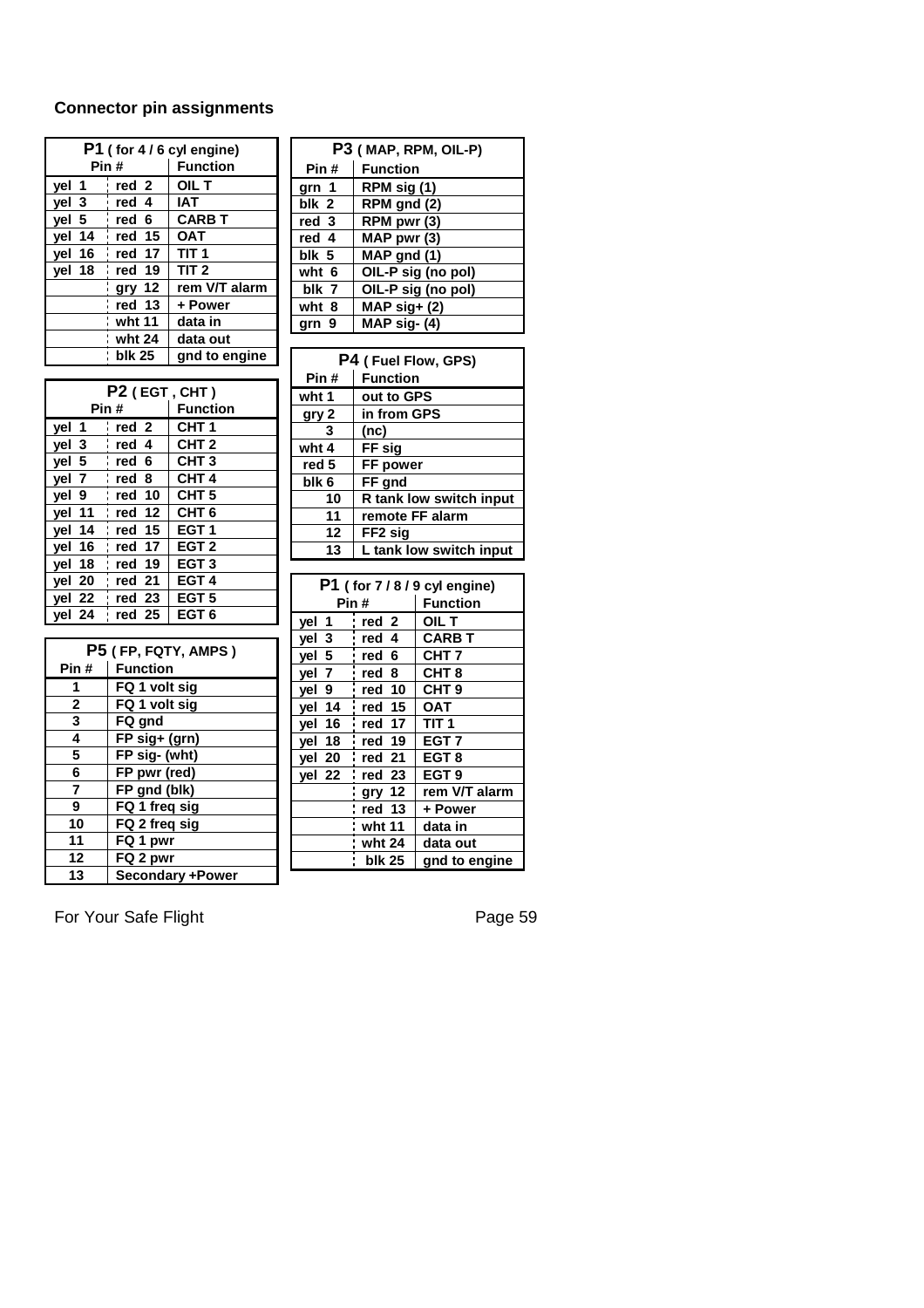## **Connector pin assignments**

| P1 (for 4/6 cyl engine) |        |                  |  |  |
|-------------------------|--------|------------------|--|--|
| Pin #                   |        | <b>Function</b>  |  |  |
| vel 1                   | red 2  | OIL T            |  |  |
| vel 3                   | red 4  | IAT              |  |  |
| yel 5                   | red 6  | <b>CARB T</b>    |  |  |
| yel 14                  | red 15 | <b>OAT</b>       |  |  |
| yel 16                  | red 17 | TIT <sub>1</sub> |  |  |
| yel 18                  | red 19 | TIT <sub>2</sub> |  |  |
|                         | gry 12 | rem V/T alarm    |  |  |
|                         | red 13 | + Power          |  |  |
|                         | wht 11 | data in          |  |  |
|                         | wht 24 | data out         |  |  |
|                         | blk 25 | gnd to engine    |  |  |

| P2 (EGT, CHT)                   |        |                  |  |  |
|---------------------------------|--------|------------------|--|--|
| Pin #                           |        | <b>Function</b>  |  |  |
| vel 1                           | red 2  | CHT <sub>1</sub> |  |  |
| yel 3                           | red 4  | CHT <sub>2</sub> |  |  |
| vel 5                           | red 6  | CHT <sub>3</sub> |  |  |
| vel<br>7                        | red 8  | CHT <sub>4</sub> |  |  |
| yel 9                           | red 10 | CHT <sub>5</sub> |  |  |
| yel 11                          | red 12 | CHT <sub>6</sub> |  |  |
| yel 14                          | red 15 | EGT <sub>1</sub> |  |  |
| yel 16                          | red 17 | EGT <sub>2</sub> |  |  |
| yel 18                          | red 19 | EGT <sub>3</sub> |  |  |
| yel 20                          | red 21 | EGT <sub>4</sub> |  |  |
| vel 22                          | red 23 | EGT <sub>5</sub> |  |  |
| $\overline{\phantom{a}}$ vel 24 | red 25 | EGT <sub>6</sub> |  |  |

| P5 (FP, FQTY, AMPS) |                         |  |
|---------------------|-------------------------|--|
| Pin#                | <b>Function</b>         |  |
| 1                   | FQ 1 volt sig           |  |
| $\mathbf{2}$        | FQ 1 volt sig           |  |
| 3                   | FQ gnd                  |  |
| 4                   | FP sig+ (grn)           |  |
| 5                   | FP sig- (wht)           |  |
| 6                   | FP pwr (red)            |  |
| $\overline{7}$      | FP gnd (blk)            |  |
| 9                   | FQ 1 freq sig           |  |
| 10                  | FQ 2 freq sig           |  |
| 11                  | FQ 1 pwr                |  |
| 12                  | FQ 2 pwr                |  |
| 13                  | <b>Secondary +Power</b> |  |

| P3 (MAP, RPM, OIL-P)              |                                 |                    |  |  |
|-----------------------------------|---------------------------------|--------------------|--|--|
| Pin #                             | <b>Function</b>                 |                    |  |  |
| $\mathbf{1}$<br>grn               | RPM sig (1)                     |                    |  |  |
| blk<br>2                          | $\overline{\text{RPM}}$ gnd (2) |                    |  |  |
| red 3                             | RPM pwr (3)                     |                    |  |  |
| red 4                             | MAP pwr (3)                     |                    |  |  |
| blk 5                             | MAP gnd (1)                     |                    |  |  |
| wht 6                             | OIL-P sig (no pol)              |                    |  |  |
| blk 7                             | OIL-P sig (no pol)              |                    |  |  |
| wht $\overline{8}$                | $MAP sig+ (2)$                  |                    |  |  |
| 9<br>grn                          | MAP sig-(4)                     |                    |  |  |
|                                   |                                 |                    |  |  |
|                                   | P4 (Fuel Flow, GPS)             |                    |  |  |
| Pin#                              | <b>Function</b>                 |                    |  |  |
| wht 1                             | out to GPS                      |                    |  |  |
| gry 2                             | in from GPS                     |                    |  |  |
| 3                                 | (nc)                            |                    |  |  |
| wht 4                             | <mark>FF sig</mark><br>FF power |                    |  |  |
| red 5                             |                                 |                    |  |  |
| $\overline{b}$ lk 6               | FF gnd                          |                    |  |  |
| 10                                | R tank low switch input         |                    |  |  |
| 11                                | remote FF alarm                 |                    |  |  |
| 12                                | FF <sub>2</sub> sig             |                    |  |  |
| 13                                | L tank low switch input         |                    |  |  |
|                                   |                                 |                    |  |  |
| P1 (for 7/8/9 cyl engine)<br>Pin# |                                 |                    |  |  |
|                                   |                                 | <b>Function</b>    |  |  |
| $\mathbf 1$<br>yel                | rel2                            | OIL T              |  |  |
| 3<br>yel                          | red 4                           | <b>CARB T</b>      |  |  |
| 5<br>yel                          | red 6                           | CHT $\overline{7}$ |  |  |
| yel 7                             | red 8                           | CHT <sub>8</sub>   |  |  |
| yel 9                             | red 10                          | CHT <sub>9</sub>   |  |  |
| yel $14$                          | $\overline{15}$<br>red          | <b>OAT</b>         |  |  |
| yel 16                            | red 17                          | TIT $\overline{1}$ |  |  |
| <u>yel 18</u>                     | red 19                          | EGT <sub>7</sub>   |  |  |
| yel 20                            | 21<br>red                       | $\overline{EG}T$ 8 |  |  |
| yel 22                            | red 23                          | EGT <sub>9</sub>   |  |  |
|                                   | gry 12                          | rem V/T alarm      |  |  |
|                                   | i<br>red 13                     | + Power            |  |  |
|                                   | wht 11                          | data in            |  |  |
|                                   | i<br>wht 24                     | data out           |  |  |
|                                   | <b>blk 25</b>                   | gnd to engine      |  |  |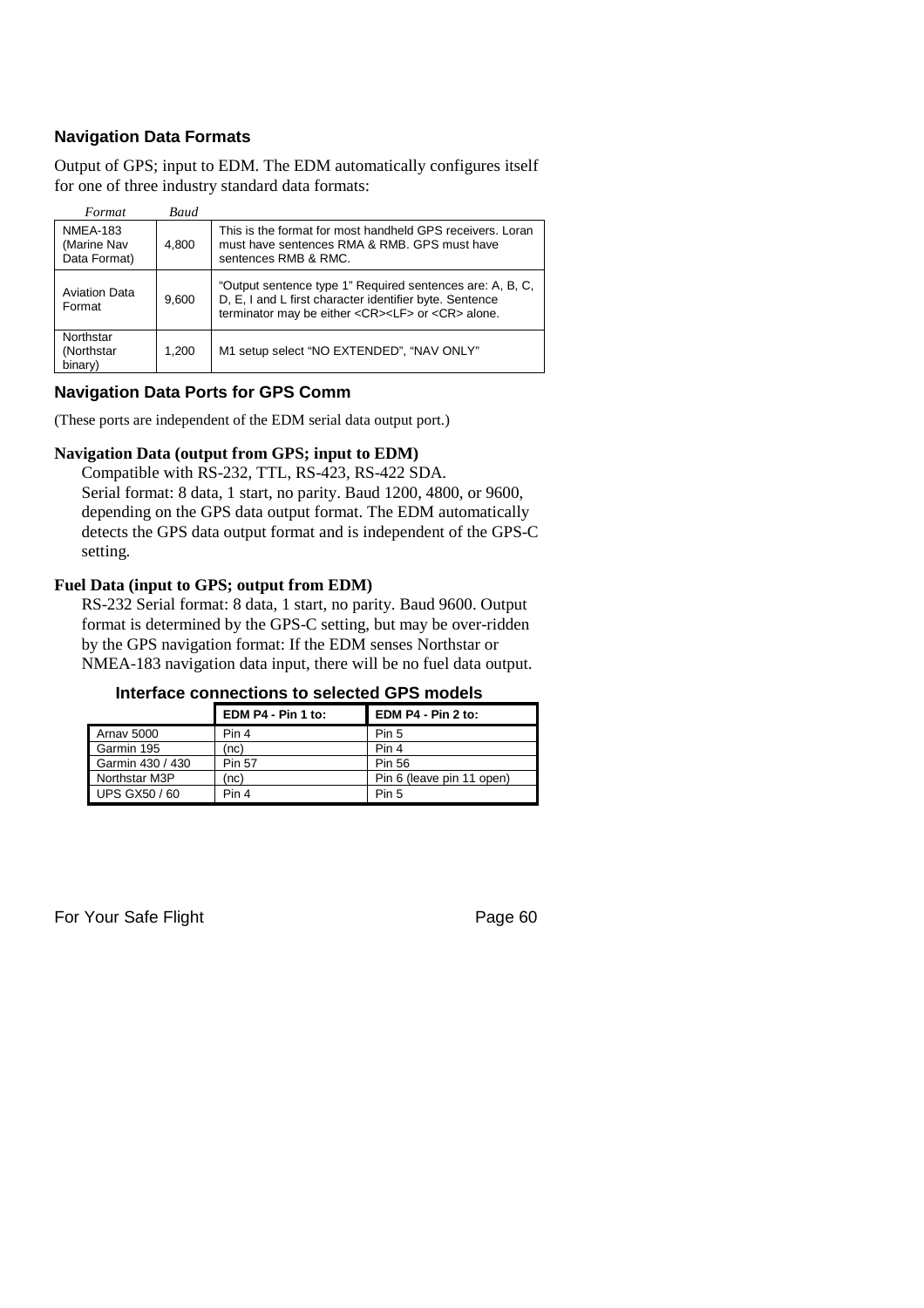## **Navigation Data Formats**

Output of GPS; input to EDM. The EDM automatically configures itself for one of three industry standard data formats:

| Format                                         | <b>Baud</b> |                                                                                                                                                                                         |
|------------------------------------------------|-------------|-----------------------------------------------------------------------------------------------------------------------------------------------------------------------------------------|
| <b>NMEA-183</b><br>(Marine Nav<br>Data Format) | 4.800       | This is the format for most handheld GPS receivers. Loran<br>must have sentences RMA & RMB. GPS must have<br>sentences RMB & RMC.                                                       |
| <b>Aviation Data</b><br>Format                 | 9.600       | "Output sentence type 1" Required sentences are: A, B, C,<br>D, E, I and L first character identifier byte. Sentence<br>terminator may be either <cr><lf> or <cr> alone.</cr></lf></cr> |
| Northstar<br>(Northstar<br>binary)             | 1.200       | M1 setup select "NO EXTENDED", "NAV ONLY"                                                                                                                                               |

### **Navigation Data Ports for GPS Comm**

(These ports are independent of the EDM serial data output port.)

### **Navigation Data (output from GPS; input to EDM)**

Compatible with RS-232, TTL, RS-423, RS-422 SDA. Serial format: 8 data, 1 start, no parity. Baud 1200, 4800, or 9600, depending on the GPS data output format. The EDM automatically detects the GPS data output format and is independent of the GPS-C setting.

#### **Fuel Data (input to GPS; output from EDM)**

RS-232 Serial format: 8 data, 1 start, no parity. Baud 9600. Output format is determined by the GPS-C setting, but may be over-ridden by the GPS navigation format: If the EDM senses Northstar or NMEA-183 navigation data input, there will be no fuel data output.

#### **Interface connections to selected GPS models**

|                      | EDM P4 - Pin 1 to: | EDM P4 - Pin 2 to:        |  |
|----------------------|--------------------|---------------------------|--|
| <b>Arnav 5000</b>    | Pin 4              | Pin 5                     |  |
| Garmin 195           | (nc)               | Pin 4                     |  |
| Garmin 430 / 430     | <b>Pin 57</b>      | Pin 56                    |  |
| Northstar M3P        | (nc)               | Pin 6 (leave pin 11 open) |  |
| <b>UPS GX50 / 60</b> | Pin 4              | Pin 5                     |  |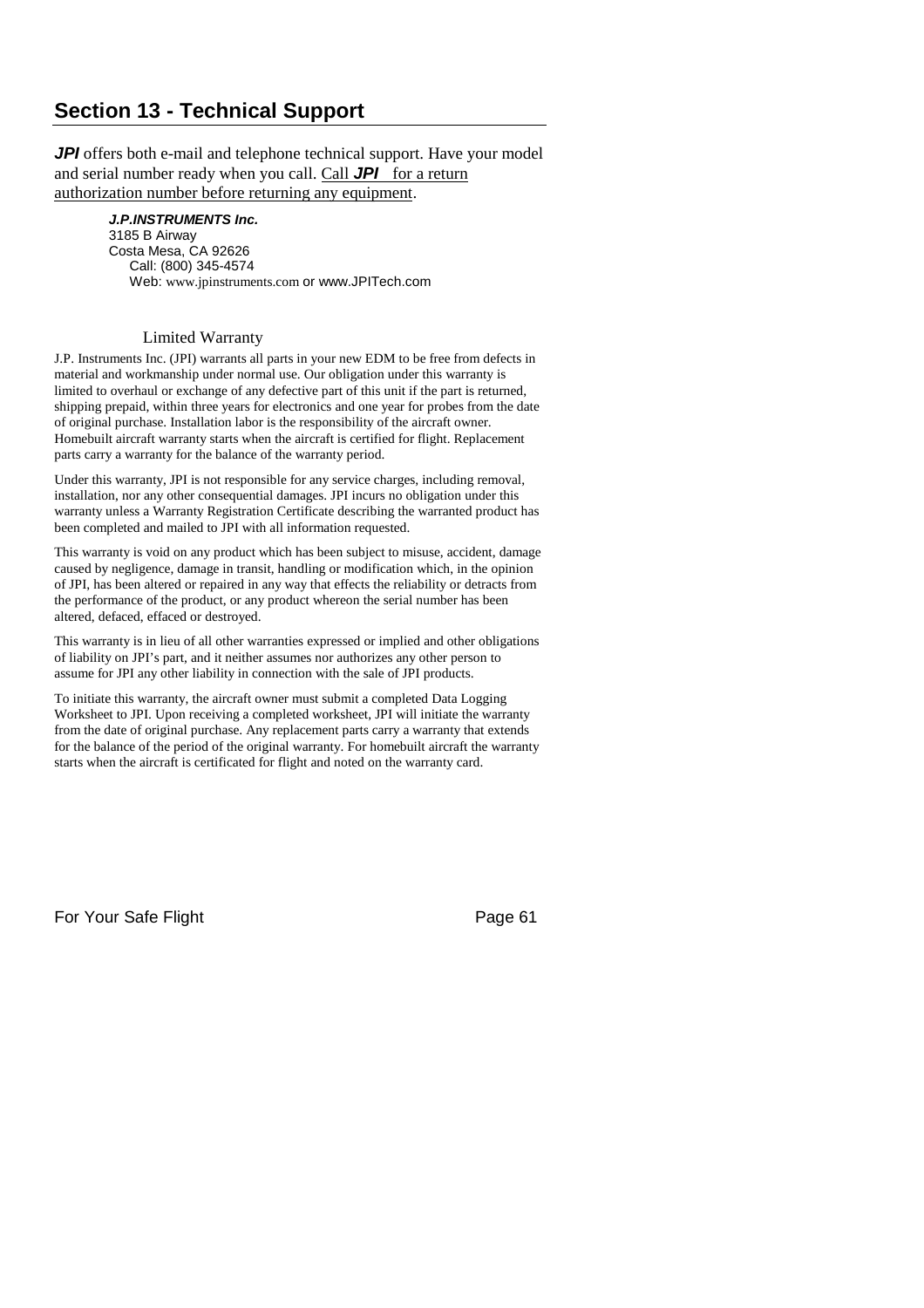# **Section 13 - Technical Support**

*JPI* offers both e-mail and telephone technical support. Have your model and serial number ready when you call. Call *JPI* for a return authorization number before returning any equipment.

> *J.P.INSTRUMENTS Inc.* 3185 B Airway Costa Mesa, CA 92626 Call: (800) 345-4574 Web: www.jpinstruments.com or www.JPITech.com

#### Limited Warranty

J.P. Instruments Inc. (JPI) warrants all parts in your new EDM to be free from defects in material and workmanship under normal use. Our obligation under this warranty is limited to overhaul or exchange of any defective part of this unit if the part is returned, shipping prepaid, within three years for electronics and one year for probes from the date of original purchase. Installation labor is the responsibility of the aircraft owner. Homebuilt aircraft warranty starts when the aircraft is certified for flight. Replacement parts carry a warranty for the balance of the warranty period.

Under this warranty, JPI is not responsible for any service charges, including removal, installation, nor any other consequential damages. JPI incurs no obligation under this warranty unless a Warranty Registration Certificate describing the warranted product has been completed and mailed to JPI with all information requested.

This warranty is void on any product which has been subject to misuse, accident, damage caused by negligence, damage in transit, handling or modification which, in the opinion of JPI, has been altered or repaired in any way that effects the reliability or detracts from the performance of the product, or any product whereon the serial number has been altered, defaced, effaced or destroyed.

This warranty is in lieu of all other warranties expressed or implied and other obligations of liability on JPI's part, and it neither assumes nor authorizes any other person to assume for JPI any other liability in connection with the sale of JPI products.

To initiate this warranty, the aircraft owner must submit a completed Data Logging Worksheet to JPI. Upon receiving a completed worksheet, JPI will initiate the warranty from the date of original purchase. Any replacement parts carry a warranty that extends for the balance of the period of the original warranty. For homebuilt aircraft the warranty starts when the aircraft is certificated for flight and noted on the warranty card.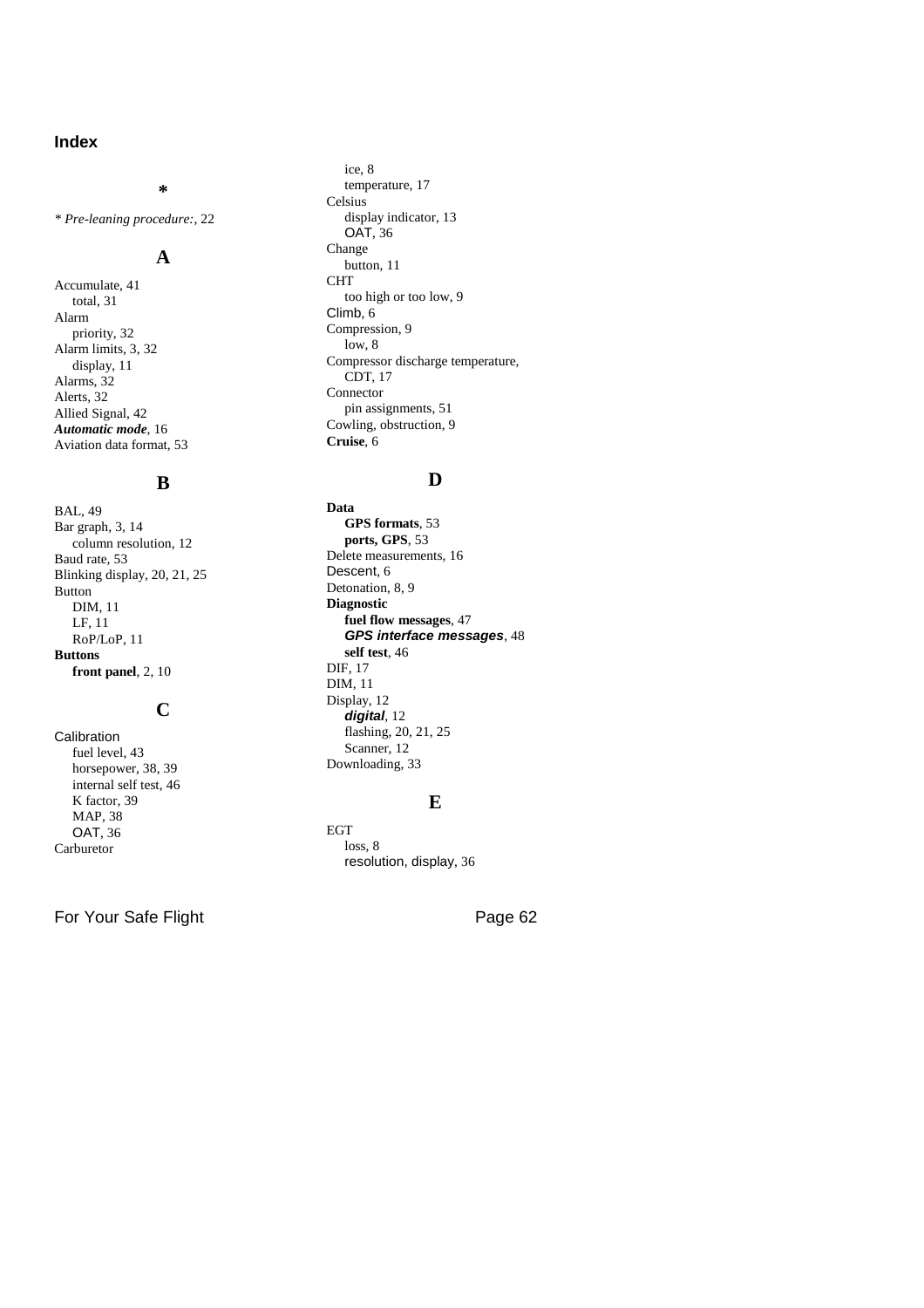## **Index**

*\* Pre-leaning procedure:*, 22

### **A**

**\***

Accumulate, 41 total, 31 Alarm priority, 32 Alarm limits, 3, 32 display, 11 Alarms, 32 Alerts, 32 Allied Signal, 42 *Automatic mode*, 16 Aviation data format, 53

#### **B**

BAL, 49 Bar graph, 3, 14 column resolution, 12 Baud rate, 53 Blinking display, 20, 21, 25 Button DIM, 11 LF, 11 RoP/LoP, 11 **Buttons front panel**, 2, 10

## **C**

Calibration fuel level, 43 horsepower, 38, 39 internal self test, 46 K factor, 39 MAP, 38 OAT, 36 Carburetor

ice, 8 temperature, 17 Celsius display indicator, 13 OAT, 36 Change button, 11 **CHT** too high or too low, 9 Climb, 6 Compression, 9 low, 8 Compressor discharge temperature, CDT, 17 Connector pin assignments, 51 Cowling, obstruction, 9 **Cruise**, 6

#### **D**

**Data GPS formats**, 53 **ports, GPS**, 53 Delete measurements, 16 Descent, 6 Detonation, 8, 9 **Diagnostic fuel flow messages**, 47 *GPS interface messages*, 48 **self test**, 46 DIF, 17 DIM, 11 Display, 12 *digital*, 12 flashing, 20, 21, 25 Scanner, 12 Downloading, 33

#### **E**

EGT loss, 8 resolution, display, 36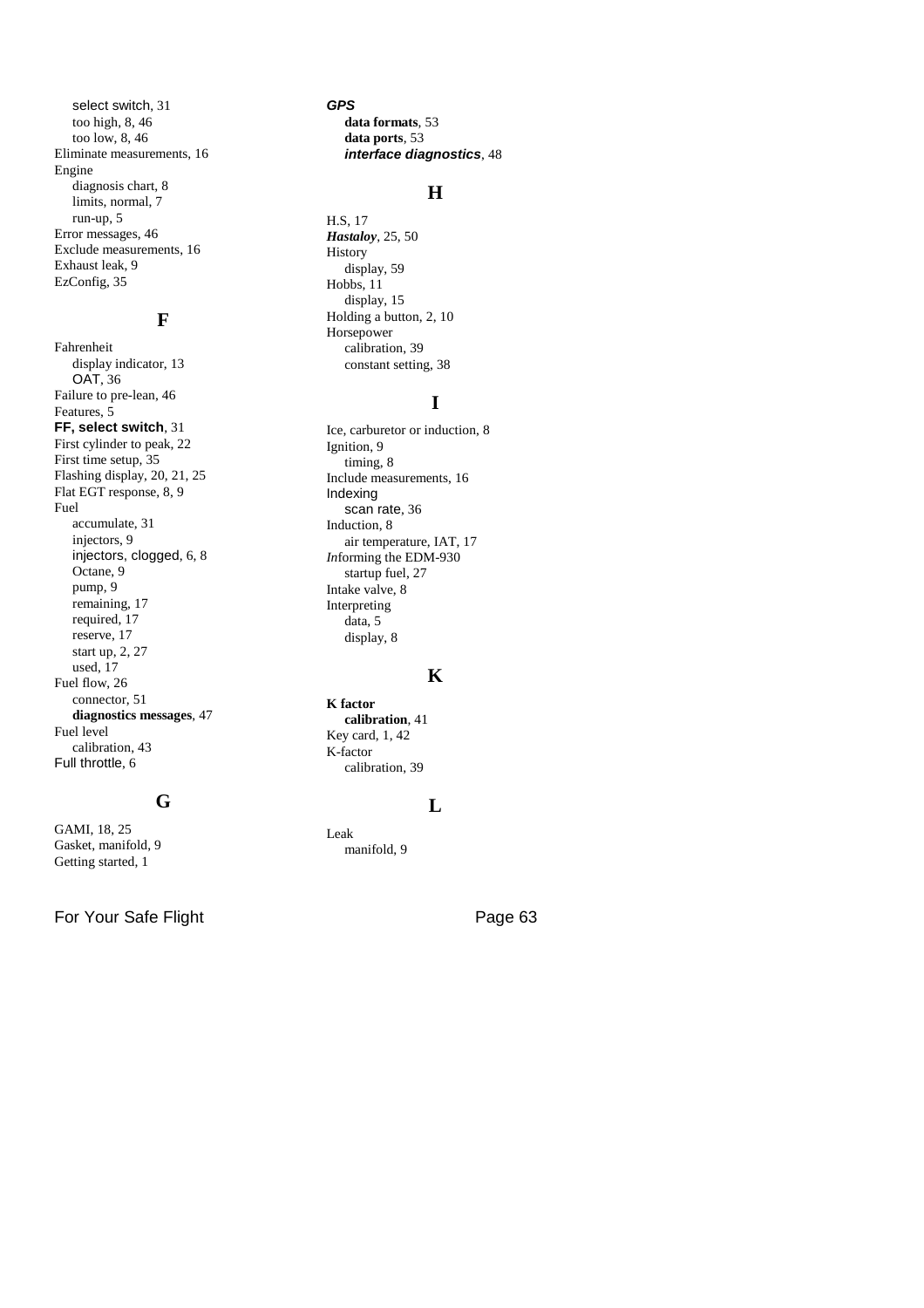select switch, 31 too high, 8, 46 too low, 8, 46 Eliminate measurements, 16 Engine diagnosis chart, 8 limits, normal, 7 run-up, 5 Error messages, 46 Exclude measurements, 16 Exhaust leak, 9 EzConfig, 35

## **F**

Fahrenheit display indicator, 13 OAT, 36 Failure to pre-lean, 46 Features, 5 **FF, select switch**, 31 First cylinder to peak, 22 First time setup, 35 Flashing display, 20, 21, 25 Flat EGT response, 8, 9 Fuel accumulate, 31 injectors, 9 injectors, clogged, 6, 8 Octane, 9 pump, 9 remaining, 17 required, 17 reserve, 17 start up, 2, 27 used, 17 Fuel flow, 26 connector, 51 **diagnostics messages**, 47 Fuel level calibration, 43 Full throttle, 6

## **G**

GAMI, 18, 25 Gasket, manifold, 9 Getting started, 1

For Your Safe Flight **Page 63** 

*GPS* **data formats**, 53 **data ports**, 53 *interface diagnostics*, 48

### **H**

H.S, 17 *Hastaloy*, 25, 50 History display, 59 Hobbs, 11 display, 15 Holding a button, 2, 10 Horsepower calibration, 39 constant setting, 38

## **I**

Ice, carburetor or induction, 8 Ignition, 9 timing, 8 Include measurements, 16 Indexing scan rate, 36 Induction, 8 air temperature, IAT, 17 *In*forming the EDM-930 startup fuel, 27 Intake valve, 8 Interpreting data, 5 display, 8

## **K**

**K factor calibration**, 41 Key card, 1, 42 K-factor calibration, 39

#### **L**

Leak manifold, 9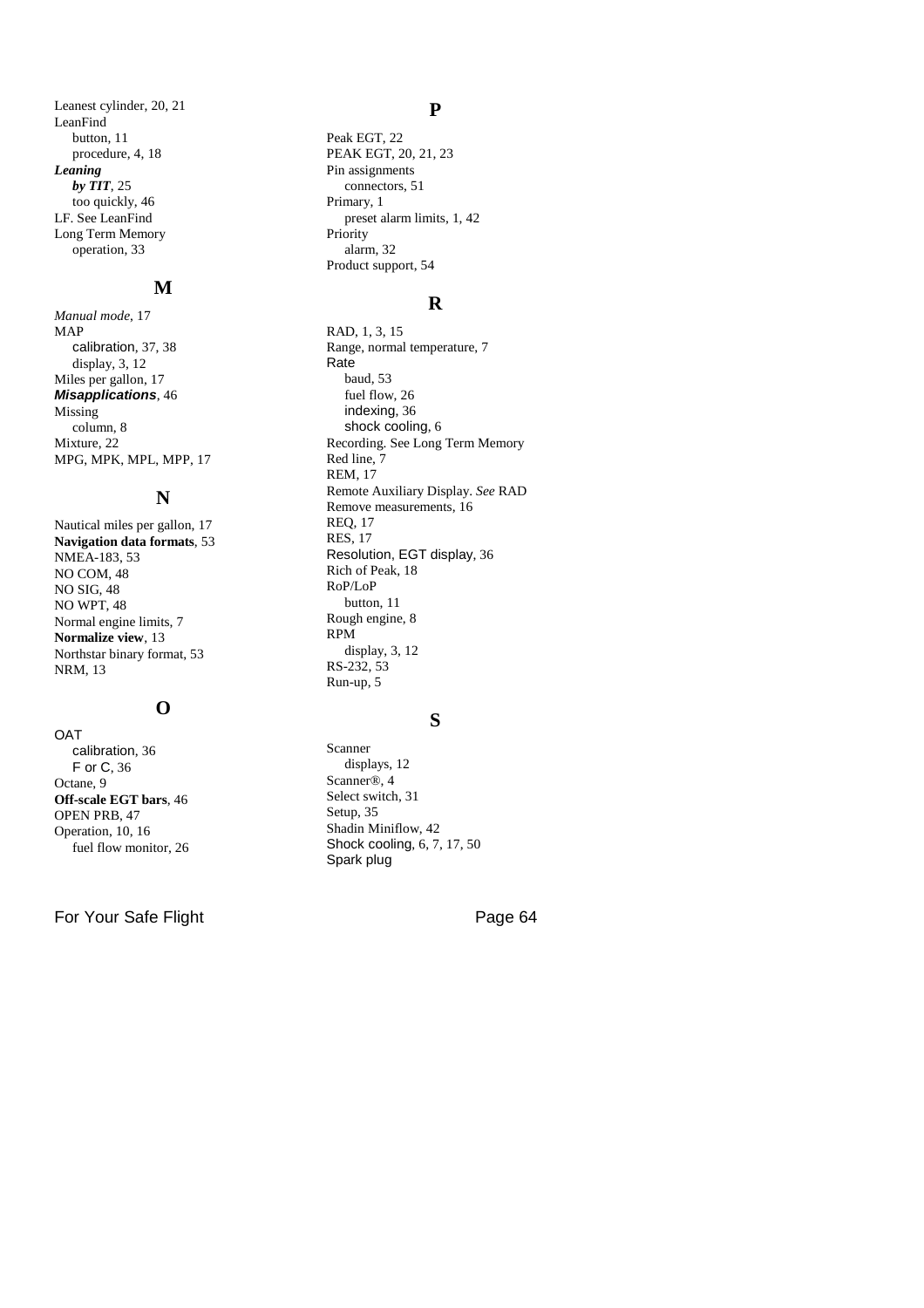Leanest cylinder, 20, 21 LeanFind button, 11 procedure, 4, 18 *Leaning by TIT*, 25 too quickly, 46 LF. See LeanFind Long Term Memory operation, 33

#### **M**

*Manual mode*, 17 MAP calibration, 37, 38 display, 3, 12 Miles per gallon, 17 *Misapplications*, 46 Missing column, 8 Mixture, 22 MPG, MPK, MPL, MPP, 17

#### **N**

Nautical miles per gallon, 17 **Navigation data formats**, 53 NMEA-183, 53 NO COM, 48 NO SIG, 48 NO WPT, 48 Normal engine limits, 7 **Normalize view**, 13 Northstar binary format, 53 NRM, 13

## **O**

**OAT** calibration, 36 F or C, 36 Octane, 9 **Off-scale EGT bars**, 46 OPEN PRB, 47 Operation, 10, 16 fuel flow monitor, 26

For Your Safe Flight **Page 64** 

#### **P**

Peak EGT, 22 PEAK EGT, 20, 21, 23 Pin assignments connectors, 51 Primary, 1 preset alarm limits, 1, 42 Priority alarm, 32 Product support, 54

#### **R**

RAD, 1, 3, 15 Range, normal temperature, 7 Rate baud, 53 fuel flow, 26 indexing, 36 shock cooling, 6 Recording. See Long Term Memory Red line, 7 REM, 17 Remote Auxiliary Display. *See* RAD Remove measurements, 16 REQ, 17 RES, 17 Resolution, EGT display, 36 Rich of Peak, 18 RoP/LoP button, 11 Rough engine, 8 RPM display, 3, 12 RS-232, 53 Run-up, 5

#### **S**

Scanner displays, 12 Scanner®, 4 Select switch, 31 Setup, 35 Shadin Miniflow, 42 Shock cooling, 6, 7, 17, 50 Spark plug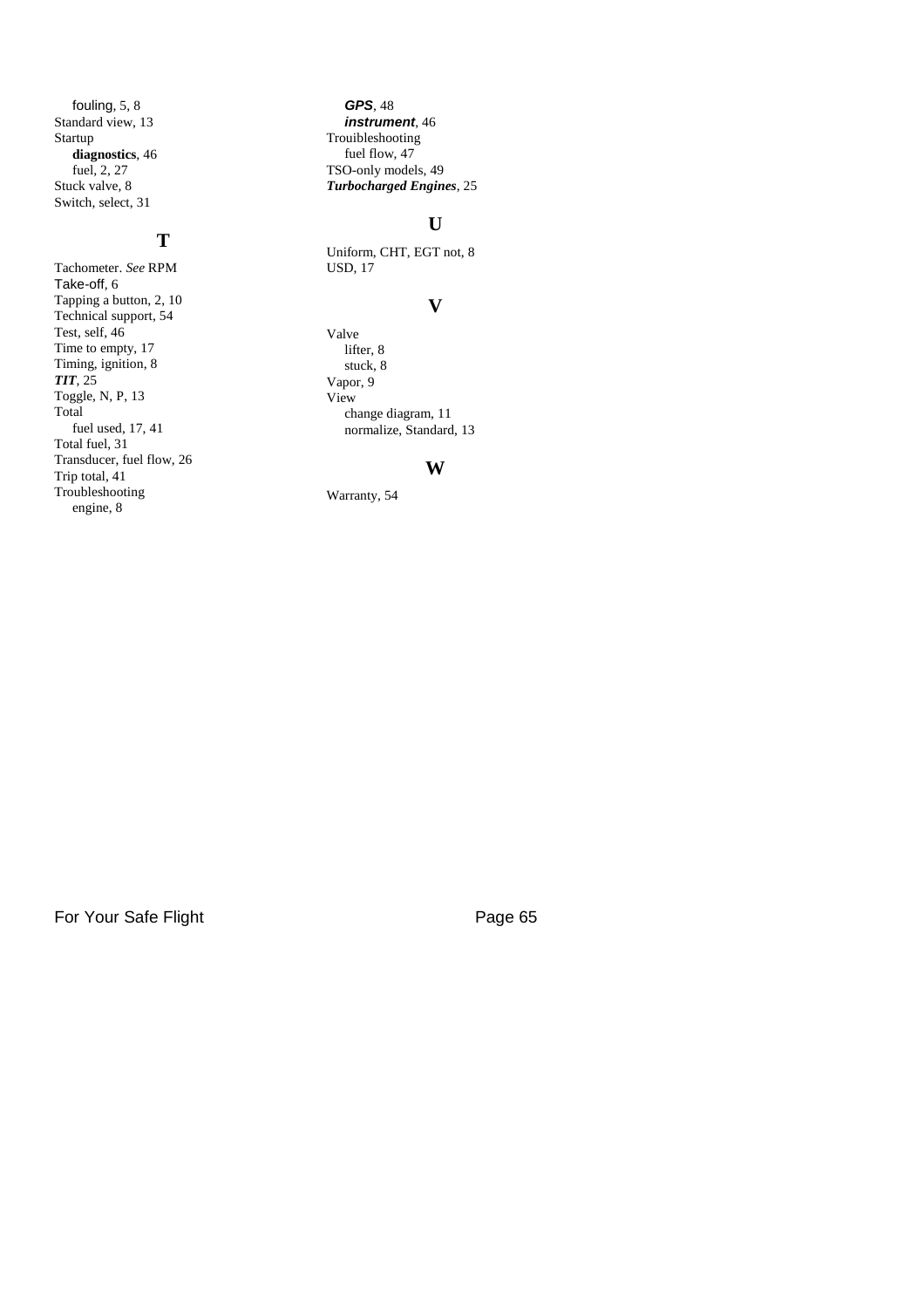fouling, 5, 8 Standard view, 13 Startup **diagnostics**, 46 fuel, 2, 27 Stuck valve, 8 Switch, select, 31

#### **T**

Tachometer. *See* RPM Take-off, 6 Tapping a button, 2, 10 Technical support, 54 Test, self, 46 Time to empty, 17 Timing, ignition, 8 *TIT*, 25 Toggle, N, P, 13 Total fuel used, 17, 41 Total fuel, 31 Transducer, fuel flow, 26 Trip total, 41 Troubleshooting engine, 8

*GPS*, 48 *instrument*, 46 Trouibleshooting fuel flow,  $47$ TSO-only models, 49 *Turbocharged Engines*, 25

### **U**

Uniform, CHT, EGT not, 8 USD, 17

#### **V**

Valve lifter, 8 stuck, 8 Vapor, 9 View change diagram, 11 normalize, Standard, 13

#### **W**

Warranty, 54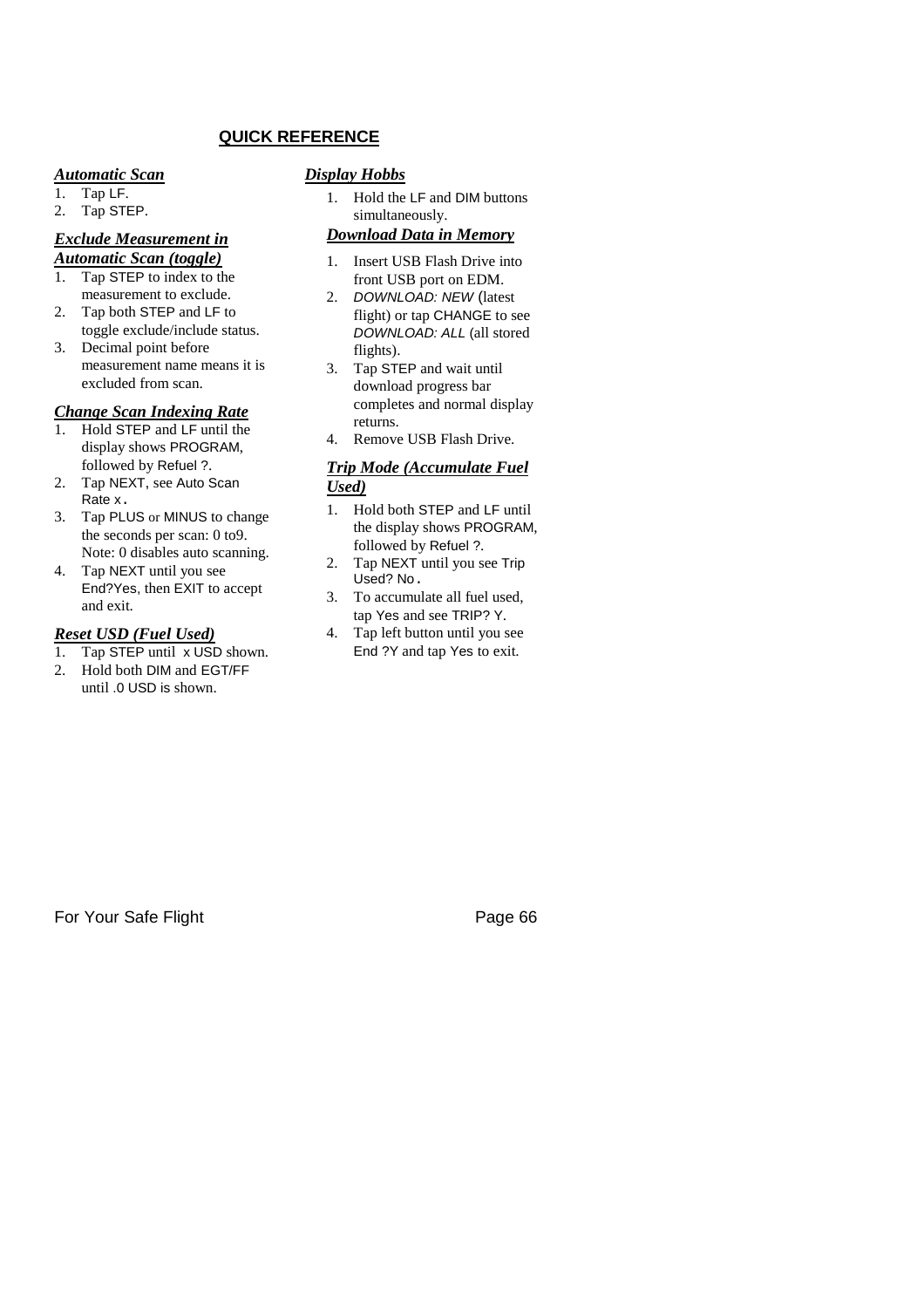## **QUICK REFERENCE**

#### *Automatic Scan*

1. Tap LF.

## 2. Tap STEP.

#### *Exclude Measurement in Automatic Scan (toggle)*

- 1. Tap STEP to index to the measurement to exclude.
- 2. Tap both STEP and LF to toggle exclude/include status.
- 3. Decimal point before measurement name means it is excluded from scan.

#### *Change Scan Indexing Rate*

- 1. Hold STEP and LF until the display shows PROGRAM, followed by Refuel ?.
- 2. Tap NEXT, see Auto Scan Rate x.
- 3. Tap PLUS or MINUS to change the seconds per scan: 0 to9. Note: 0 disables auto scanning.
- 4. Tap NEXT until you see End?Yes, then EXIT to accept and exit.

#### *Reset USD (Fuel Used)*

- 1. Tap STEP until x USD shown.
- 2. Hold both DIM and EGT/FF until .0 USD is shown.

#### *Display Hobbs*

1. Hold the LF and DIM buttons simultaneously.

## *Download Data in Memory*

- 1. Insert USB Flash Drive into front USB port on EDM.
- 2. *DOWNLOAD: NEW* (latest flight) or tap CHANGE to see *DOWNLOAD: ALL* (all stored flights).
- 3. Tap STEP and wait until download progress bar completes and normal display returns.
- 4. Remove USB Flash Drive.

#### *Trip Mode (Accumulate Fuel Used)*

- 1. Hold both STEP and LF until the display shows PROGRAM, followed by Refuel ?.
- 2. Tap NEXT until you see Trip Used? No.
- 3. To accumulate all fuel used, tap Yes and see TRIP? Y.
- 4. Tap left button until you see End ?Y and tap Yes to exit.